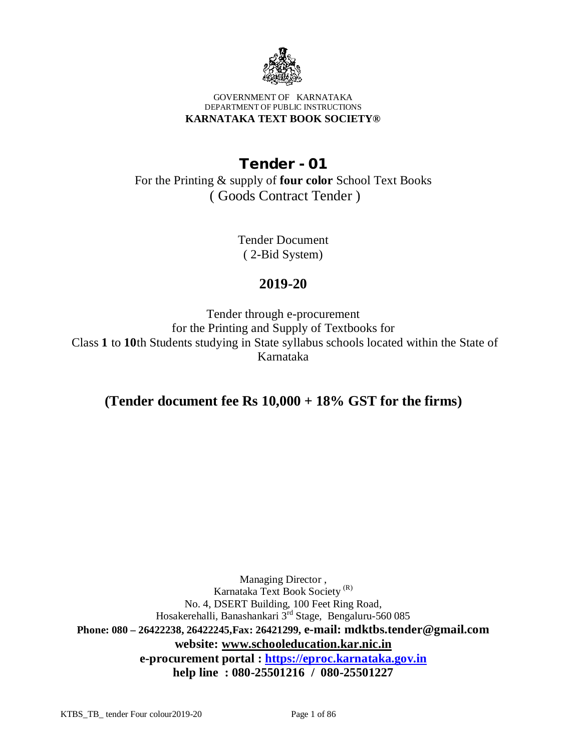

#### GOVERNMENT OF KARNATAKA DEPARTMENT OF PUBLIC INSTRUCTIONS **KARNATAKA TEXT BOOK SOCIETY®**

# **Tender - 01**

For the Printing & supply of **four color** School Text Books ( Goods Contract Tender )

> Tender Document ( 2-Bid System)

## **2019-20**

Tender through e-procurement for the Printing and Supply of Textbooks for Class **1** to **10**th Students studying in State syllabus schools located within the State of Karnataka

**(Tender document fee Rs 10,000 + 18% GST for the firms)**

Managing Director , Karnataka Text Book Society (R) No. 4, DSERT Building, 100 Feet Ring Road, Hosakerehalli, Banashankari 3rd Stage, Bengaluru-560 085 **Phone: 080 – 26422238, 26422245,Fax: 26421299, e-mail: [mdktbs.tender@gmail.com](mailto:mdktbs.tender@gmail.com) website: [www.schooleducation.kar.nic.in](http://www.schooleducation.kar.nic.in) e-procurement portal :<https://eproc.karnataka.gov.in> help line : 080-25501216 / 080-25501227**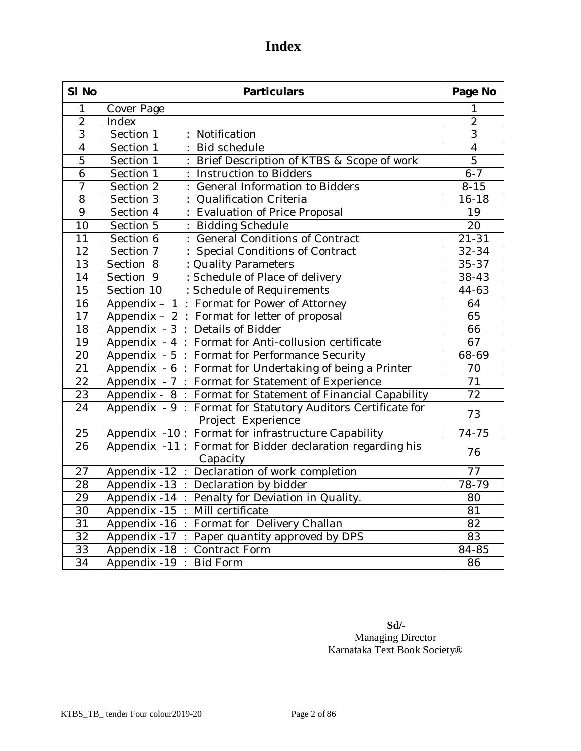# **Index**

| SI No           | <b>Particulars</b>                                                    |                 |
|-----------------|-----------------------------------------------------------------------|-----------------|
| 1               | Cover Page                                                            | 1               |
| $\overline{2}$  | Index                                                                 | $\overline{2}$  |
| $\overline{3}$  | Section 1<br>Notification<br>÷.                                       | $\overline{3}$  |
| $\overline{4}$  | Section 1<br><b>Bid schedule</b>                                      | $\overline{4}$  |
| $\overline{5}$  | Section 1<br>Brief Description of KTBS & Scope of work                | $\overline{5}$  |
| 6               | Section 1<br>Instruction to Bidders                                   | $6 - 7$         |
| $\overline{7}$  | Section 2<br>General Information to Bidders                           | $8 - 15$        |
| $\overline{8}$  | Section 3<br><b>Qualification Criteria</b>                            | $16 - 18$       |
| $\overline{9}$  | Section 4<br>Evaluation of Price Proposal                             | 19              |
| 10              | Section 5<br><b>Bidding Schedule</b>                                  | 20              |
| 11              | Section 6<br><b>General Conditions of Contract</b>                    | $21 - 31$       |
| $\overline{12}$ | Section 7<br>Special Conditions of Contract                           | $32 - 34$       |
| $\overline{13}$ | Section 8<br>: Quality Parameters                                     | $35 - 37$       |
| $\overline{14}$ | Section <sub>9</sub><br>: Schedule of Place of delivery               | 38-43           |
| $\overline{15}$ | Section 10<br>: Schedule of Requirements                              | $44-63$         |
| 16              | Appendix - 1: Format for Power of Attorney                            | 64              |
| $\overline{17}$ | Appendix - 2 : Format for letter of proposal                          | 65              |
| 18              | Appendix - 3 : Details of Bidder                                      | 66              |
| $\overline{19}$ | Appendix - 4 : Format for Anti-collusion certificate                  | 67              |
| $\overline{20}$ | Appendix - 5 : Format for Performance Security                        | 68-69           |
| $\overline{21}$ | Appendix - 6: Format for Undertaking of being a Printer               | 70              |
| $\overline{22}$ | Appendix - 7 : Format for Statement of Experience                     | 71              |
| $\overline{23}$ | Appendix - 8: Format for Statement of Financial Capability            | $\overline{72}$ |
| 24              | Appendix - 9 : Format for Statutory Auditors Certificate for          | 73              |
|                 | Project Experience                                                    |                 |
| 25              | Appendix -10 : Format for infrastructure Capability                   | 74-75           |
| 26              | Appendix -11: Format for Bidder declaration regarding his<br>Capacity | 76              |
| 27              | Appendix -12 : Declaration of work completion                         | 77              |
| 28              | Appendix -13 : Declaration by bidder                                  | $78 - 79$       |
| 29              | Appendix -14 : Penalty for Deviation in Quality.                      | 80              |
| $\overline{30}$ | Appendix -15 :<br>Mill certificate                                    | 81              |
| 31              | Format for Delivery Challan<br>Appendix -16 :                         | 82              |
| 32              | Paper quantity approved by DPS<br>Appendix -17 :                      | 83              |
| 33              | Appendix -18 :<br>Contract Form                                       | $84 - 85$       |
| 34              | Appendix -19<br><b>Bid Form</b>                                       | 86              |

 **Sd/-** Managing Director Karnataka Text Book Society®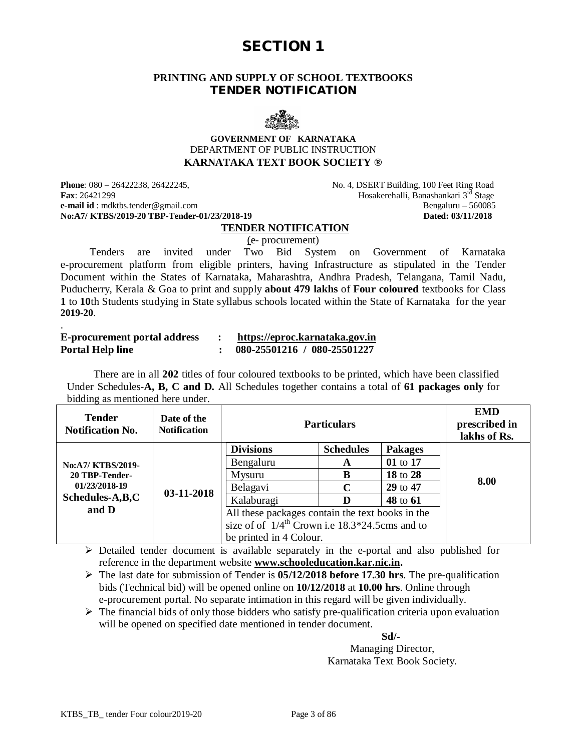#### **PRINTING AND SUPPLY OF SCHOOL TEXTBOOKS TENDER NOTIFICATION**



#### **GOVERNMENT OF KARNATAKA** DEPARTMENT OF PUBLIC INSTRUCTION **KARNATAKA TEXT BOOK SOCIETY ®**

**Phone**: 080 – 26422238, 26422245,  $\blacksquare$  No. 4, DSERT Building, 100 Feet Ring Road **Fax**: 26421299 **Fax**: 26421299 **Hosakerehalli, Banashankari 3<sup>rd</sup> Stage**<br>**e-mail id** : mdktbs.tender@gmail.com **Bengaluru** – 560085 **e-mail id** : [mdktbs.tender@gmail.com](mailto:mdktbs.tender@gmail.com) Bengaluru – 560085<br> **No:A7/ KTBS/2019-20 TBP-Tender-01/23/2018-19** Bengaluru – 560085 **No:A7/ KTBS/2019-20 TBP-Tender-01/23/2018-19** 

.

#### **TENDER NOTIFICATION**

(e- procurement)

 Tenders are invited under Two Bid System on Government of Karnataka e-procurement platform from eligible printers, having Infrastructure as stipulated in the Tender Document within the States of Karnataka, Maharashtra, Andhra Pradesh, Telangana, Tamil Nadu, Puducherry, Kerala & Goa to print and supply **about 479 lakhs** of **Four coloured** textbooks for Class **1** to **10**th Students studying in State syllabus schools located within the State of Karnataka for the year **2019-20**.

| <b>E-procurement portal address</b> | https://eproc.karnataka.gov.in |
|-------------------------------------|--------------------------------|
| <b>Portal Help line</b>             | 080-25501216 / 080-25501227    |

 There are in all **202** titles of four coloured textbooks to be printed, which have been classified Under Schedules-**A, B, C and D.** All Schedules together contains a total of **61 packages only** for bidding as mentioned here under.

| <b>Tender</b><br><b>Notification No.</b> | Date of the<br><b>Notification</b> |                                                              | <b>Particulars</b> |                | <b>EMD</b><br>prescribed in<br>lakhs of Rs. |
|------------------------------------------|------------------------------------|--------------------------------------------------------------|--------------------|----------------|---------------------------------------------|
|                                          |                                    | <b>Divisions</b>                                             | <b>Schedules</b>   | <b>Pakages</b> |                                             |
| No:A7/ KTBS/2019-                        |                                    | Bengaluru                                                    | A                  | 01 to 17       |                                             |
| 20 TBP-Tender-                           |                                    | Mysuru                                                       | B                  | 18 to 28       |                                             |
| 01/23/2018-19                            | 03-11-2018                         | Belagavi                                                     | C                  | 29 to 47       | 8.00                                        |
| Schedules-A,B,C                          |                                    | Kalaburagi                                                   | D                  | 48 to 61       |                                             |
| and D                                    |                                    | All these packages contain the text books in the             |                    |                |                                             |
|                                          |                                    | size of of $1/4$ <sup>th</sup> Crown i.e 18.3*24.5cms and to |                    |                |                                             |
|                                          |                                    | be printed in 4 Colour.                                      |                    |                |                                             |

 $\triangleright$  Detailed tender document is available separately in the e-portal and also published for reference in the department website **[www.schooleducation.kar.nic.in.](http://www.schooleducation.kar.nic.in.)**

 The last date for submission of Tender is **05/12/2018 before 17.30 hrs**. The pre-qualification bids (Technical bid) will be opened online on **10/12/2018** at **10.00 hrs**. Online through e-procurement portal. No separate intimation in this regard will be given individually.

 $\triangleright$  The financial bids of only those bidders who satisfy pre-qualification criteria upon evaluation will be opened on specified date mentioned in tender document.

 **Sd/-**

Managing Director, Karnataka Text Book Society.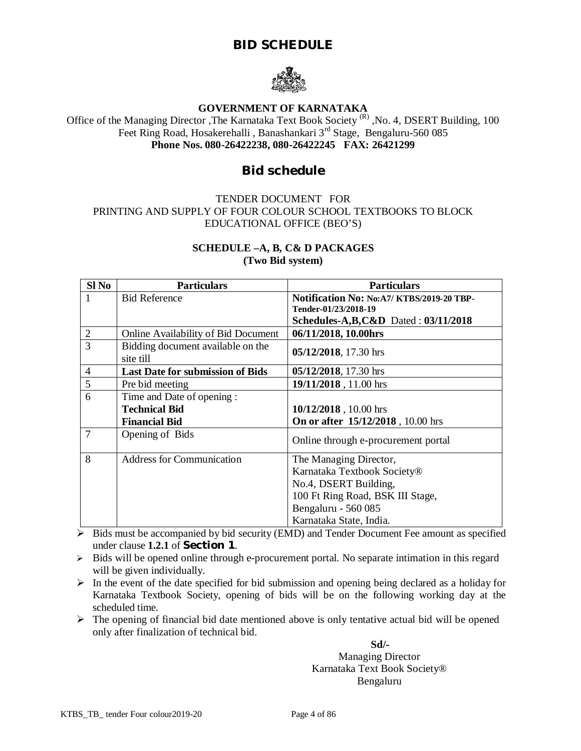## **BID SCHEDULE**



## **GOVERNMENT OF KARNATAKA**

Office of the Managing Director , The Karnataka Text Book Society<sup>(R)</sup>, No. 4, DSERT Building, 100 Feet Ring Road, Hosakerehalli, Banashankari 3<sup>rd</sup> Stage, Bengaluru-560 085 **Phone Nos. 080-26422238, 080-26422245 FAX: 26421299**

## **Bid schedule**

#### TENDER DOCUMENT FOR PRINTING AND SUPPLY OF FOUR COLOUR SCHOOL TEXTBOOKS TO BLOCK EDUCATIONAL OFFICE (BEO'S)

#### **SCHEDULE –A, B, C& D PACKAGES**

**(Two Bid system)**

| $SI$ No        | <b>Particulars</b>                             | <b>Particulars</b>                                                 |  |
|----------------|------------------------------------------------|--------------------------------------------------------------------|--|
|                | <b>Bid Reference</b>                           | Notification No: No: A7/ KTBS/2019-20 TBP-<br>Tender-01/23/2018-19 |  |
|                |                                                | Schedules-A,B,C&D Dated: $03/11/2018$                              |  |
| $\overline{2}$ | Online Availability of Bid Document            | 06/11/2018, 10.00hrs                                               |  |
| 3              | Bidding document available on the<br>site till | 05/12/2018, 17.30 hrs                                              |  |
| $\overline{4}$ | <b>Last Date for submission of Bids</b>        | 05/12/2018, 17.30 hrs                                              |  |
| 5              | Pre bid meeting                                | 19/11/2018, 11.00 hrs                                              |  |
| 6              | Time and Date of opening :                     |                                                                    |  |
|                | <b>Technical Bid</b>                           | 10/12/2018, 10.00 hrs                                              |  |
|                | <b>Financial Bid</b>                           | <b>On or after 15/12/2018</b> , 10.00 hrs                          |  |
| 7              | Opening of Bids                                | Online through e-procurement portal                                |  |
| 8              | <b>Address for Communication</b>               | The Managing Director,                                             |  |
|                |                                                | Karnataka Textbook Society®                                        |  |
|                |                                                | No.4, DSERT Building,                                              |  |
|                |                                                | 100 Ft Ring Road, BSK III Stage,                                   |  |
|                |                                                | Bengaluru - 560 085                                                |  |
|                |                                                | Karnataka State, India.                                            |  |

 $\overline{\triangleright}$  Bids must be accompanied by bid security (EMD) and Tender Document Fee amount as specified under clause **1.2.1** of **Section 1**.

 $\triangleright$  Bids will be opened online through e-procurement portal. No separate intimation in this regard will be given individually.

 $\triangleright$  In the event of the date specified for bid submission and opening being declared as a holiday for Karnataka Textbook Society, opening of bids will be on the following working day at the scheduled time.

 $\triangleright$  The opening of financial bid date mentioned above is only tentative actual bid will be opened only after finalization of technical bid.

 **Sd/-** Managing Director Karnataka Text Book Society® Bengaluru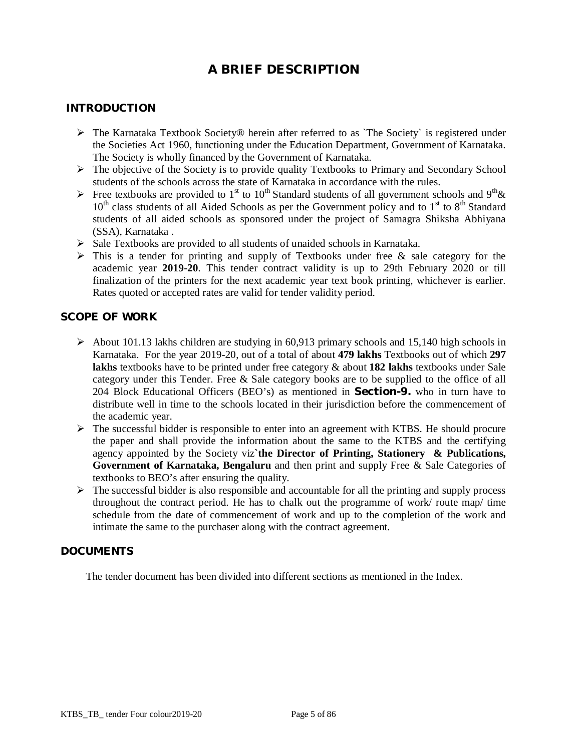## **A BRIEF DESCRIPTION**

#### **INTRODUCTION**

- $\triangleright$  The Karnataka Textbook Society® herein after referred to as `The Society` is registered under the Societies Act 1960, functioning under the Education Department, Government of Karnataka. The Society is wholly financed by the Government of Karnataka.
- $\triangleright$  The objective of the Society is to provide quality Textbooks to Primary and Secondary School students of the schools across the state of Karnataka in accordance with the rules.
- Free textbooks are provided to 1<sup>st</sup> to 10<sup>th</sup> Standard students of all government schools and 9<sup>th</sup> &  $10<sup>th</sup>$  class students of all Aided Schools as per the Government policy and to  $1<sup>st</sup>$  to  $8<sup>th</sup>$  Standard students of all aided schools as sponsored under the project of Samagra Shiksha Abhiyana (SSA), Karnataka .
- $\triangleright$  Sale Textbooks are provided to all students of unaided schools in Karnataka.
- $\triangleright$  This is a tender for printing and supply of Textbooks under free & sale category for the academic year **2019-20**. This tender contract validity is up to 29th February 2020 or till finalization of the printers for the next academic year text book printing, whichever is earlier. Rates quoted or accepted rates are valid for tender validity period.

#### **SCOPE OF WORK**

- $\triangleright$  About 101.13 lakhs children are studying in 60.913 primary schools and 15,140 high schools in Karnataka. For the year 2019-20, out of a total of about **479 lakhs** Textbooks out of which **297 lakhs** textbooks have to be printed under free category & about **182 lakhs** textbooks under Sale category under this Tender. Free & Sale category books are to be supplied to the office of all 204 Block Educational Officers (BEO's) as mentioned in **Section-9.** who in turn have to distribute well in time to the schools located in their jurisdiction before the commencement of the academic year.
- $\triangleright$  The successful bidder is responsible to enter into an agreement with KTBS. He should procure the paper and shall provide the information about the same to the KTBS and the certifying agency appointed by the Society viz**`the Director of Printing, Stationery & Publications, Government of Karnataka, Bengaluru** and then print and supply Free & Sale Categories of textbooks to BEO's after ensuring the quality.
- $\triangleright$  The successful bidder is also responsible and accountable for all the printing and supply process throughout the contract period. He has to chalk out the programme of work/ route map/ time schedule from the date of commencement of work and up to the completion of the work and intimate the same to the purchaser along with the contract agreement.

#### **DOCUMENTS**

The tender document has been divided into different sections as mentioned in the Index.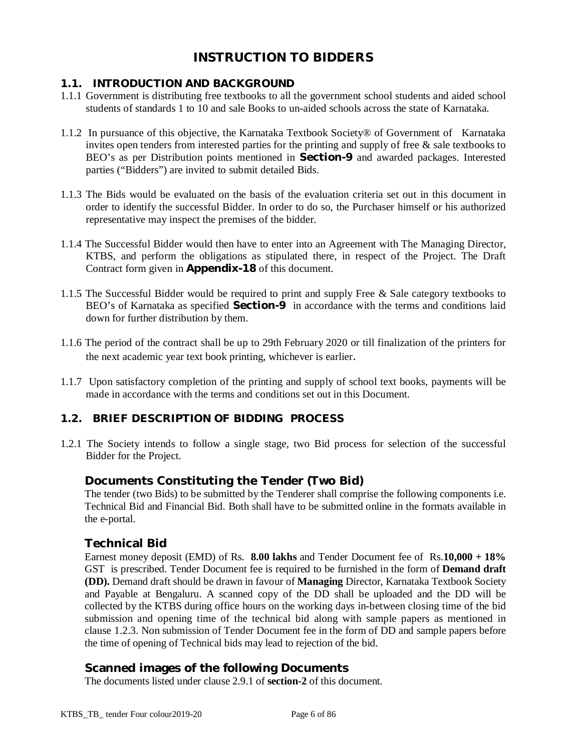## **INSTRUCTION TO BIDDERS**

## **1.1. INTRODUCTION AND BACKGROUND**

- 1.1.1 Government is distributing free textbooks to all the government school students and aided school students of standards 1 to 10 and sale Books to un-aided schools across the state of Karnataka.
- 1.1.2 In pursuance of this objective, the Karnataka Textbook Society® of Government of Karnataka invites open tenders from interested parties for the printing and supply of free  $\&$  sale textbooks to BEO's as per Distribution points mentioned in **Section-9** and awarded packages. Interested parties ("Bidders") are invited to submit detailed Bids.
- 1.1.3 The Bids would be evaluated on the basis of the evaluation criteria set out in this document in order to identify the successful Bidder. In order to do so, the Purchaser himself or his authorized representative may inspect the premises of the bidder.
- 1.1.4 The Successful Bidder would then have to enter into an Agreement with The Managing Director, KTBS, and perform the obligations as stipulated there, in respect of the Project. The Draft Contract form given in **Appendix-18** of this document.
- 1.1.5 The Successful Bidder would be required to print and supply Free & Sale category textbooks to BEO's of Karnataka as specified **Section-9** in accordance with the terms and conditions laid down for further distribution by them.
- 1.1.6 The period of the contract shall be up to 29th February 2020 or till finalization of the printers for the next academic year text book printing, whichever is earlier.
- 1.1.7 Upon satisfactory completion of the printing and supply of school text books, payments will be made in accordance with the terms and conditions set out in this Document.

## **1.2. BRIEF DESCRIPTION OF BIDDING PROCESS**

1.2.1 The Society intends to follow a single stage, two Bid process for selection of the successful Bidder for the Project.

## **Documents Constituting the Tender (Two Bid)**

The tender (two Bids) to be submitted by the Tenderer shall comprise the following components i.e. Technical Bid and Financial Bid. Both shall have to be submitted online in the formats available in the e-portal.

## **Technical Bid**

Earnest money deposit (EMD) of Rs. **8.00 lakhs** and Tender Document fee of Rs.**10,000 + 18%**  GST is prescribed. Tender Document fee is required to be furnished in the form of **Demand draft (DD).** Demand draft should be drawn in favour of **Managing** Director, Karnataka Textbook Society and Payable at Bengaluru. A scanned copy of the DD shall be uploaded and the DD will be collected by the KTBS during office hours on the working days in-between closing time of the bid submission and opening time of the technical bid along with sample papers as mentioned in clause 1.2.3. Non submission of Tender Document fee in the form of DD and sample papers before the time of opening of Technical bids may lead to rejection of the bid.

## **Scanned images of the following Documents**

The documents listed under clause 2.9.1 of **section-2** of this document.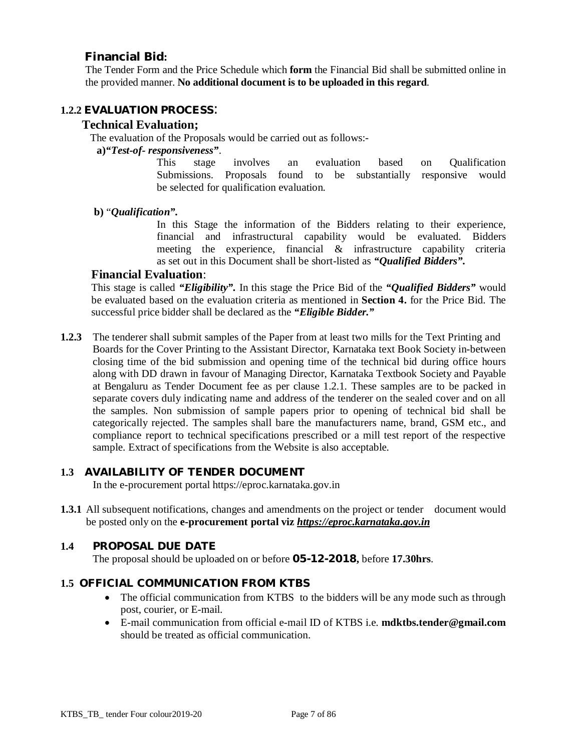## **Financial Bid:**

The Tender Form and the Price Schedule which **form** the Financial Bid shall be submitted online in the provided manner. **No additional document is to be uploaded in this regard**.

#### **1.2.2 EVALUATION PROCESS**:

#### **Technical Evaluation;**

The evaluation of the Proposals would be carried out as follows:-

#### **a)***"Test-of- responsiveness"*.

This stage involves an evaluation based on Qualification Submissions. Proposals found to be substantially responsive would be selected for qualification evaluation.

**b)** "*Qualification".*

In this Stage the information of the Bidders relating to their experience, financial and infrastructural capability would be evaluated. Bidders meeting the experience, financial & infrastructure capability criteria as set out in this Document shall be short-listed as *"Qualified Bidders".*

#### **Financial Evaluation**:

This stage is called *"Eligibility".* In this stage the Price Bid of the *"Qualified Bidders"* would be evaluated based on the evaluation criteria as mentioned in **Section 4.** for the Price Bid. The successful price bidder shall be declared as the *"Eligible Bidder."*

**1.2.3** The tenderer shall submit samples of the Paper from at least two mills for the Text Printing and Boards for the Cover Printing to the Assistant Director, Karnataka text Book Society in-between closing time of the bid submission and opening time of the technical bid during office hours along with DD drawn in favour of Managing Director, Karnataka Textbook Society and Payable at Bengaluru as Tender Document fee as per clause 1.2.1. These samples are to be packed in separate covers duly indicating name and address of the tenderer on the sealed cover and on all the samples. Non submission of sample papers prior to opening of technical bid shall be categorically rejected. The samples shall bare the manufacturers name, brand, GSM etc., and compliance report to technical specifications prescribed or a mill test report of the respective sample. Extract of specifications from the Website is also acceptable.

#### **1.3 AVAILABILITY OF TENDER DOCUMENT**

In the e-procurement portal<https://eproc.karnataka.gov.in>

**1.3.1** All subsequent notifications, changes and amendments on the project or tender document would be posted only on the **e-procurement portal viz** *<https://eproc.karnataka.gov.in>*

## **1.4 PROPOSAL DUE DATE**

The proposal should be uploaded on or before **05-12-2018,** before **17.30hrs**.

#### **1.5 OFFICIAL COMMUNICATION FROM KTBS**

- The official communication from KTBS to the bidders will be any mode such as through post, courier, or E-mail.
- E-mail communication from official e-mail ID of KTBS i.e. **[mdktbs.tender@gmail.com](mailto:mdktbs.tender@gmail.com)** should be treated as official communication.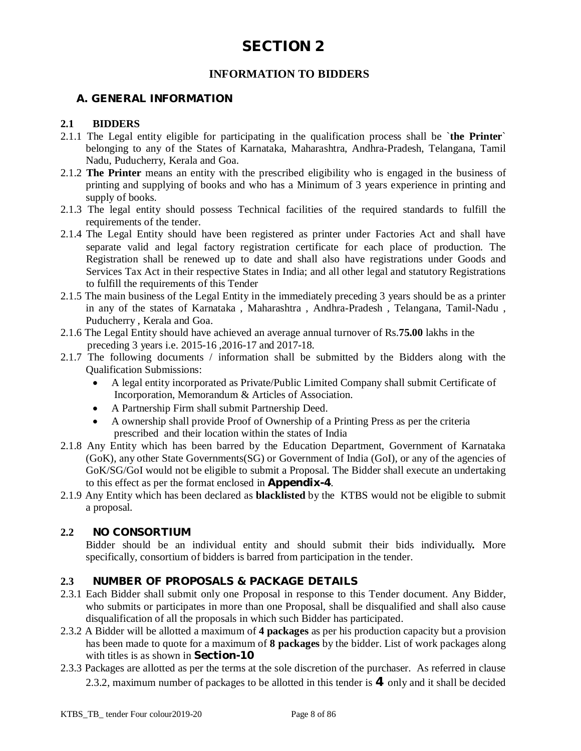## **INFORMATION TO BIDDERS**

### **A. GENERAL INFORMATION**

#### **2.1 BIDDERS**

- 2.1.1 The Legal entity eligible for participating in the qualification process shall be `**the Printer**` belonging to any of the States of Karnataka, Maharashtra, Andhra-Pradesh, Telangana, Tamil Nadu, Puducherry, Kerala and Goa.
- 2.1.2 **The Printer** means an entity with the prescribed eligibility who is engaged in the business of printing and supplying of books and who has a Minimum of 3 years experience in printing and supply of books.
- 2.1.3 The legal entity should possess Technical facilities of the required standards to fulfill the requirements of the tender.
- 2.1.4 The Legal Entity should have been registered as printer under Factories Act and shall have separate valid and legal factory registration certificate for each place of production. The Registration shall be renewed up to date and shall also have registrations under Goods and Services Tax Act in their respective States in India; and all other legal and statutory Registrations to fulfill the requirements of this Tender
- 2.1.5 The main business of the Legal Entity in the immediately preceding 3 years should be as a printer in any of the states of Karnataka , Maharashtra , Andhra-Pradesh , Telangana, Tamil-Nadu , Puducherry , Kerala and Goa.
- 2.1.6 The Legal Entity should have achieved an average annual turnover of Rs.**75.00** lakhs in the preceding 3 years i.e. 2015-16 ,2016-17 and 2017-18.
- 2.1.7 The following documents / information shall be submitted by the Bidders along with the Qualification Submissions:
	- A legal entity incorporated as Private/Public Limited Company shall submit Certificate of Incorporation, Memorandum & Articles of Association.
	- A Partnership Firm shall submit Partnership Deed.
	- A ownership shall provide Proof of Ownership of a Printing Press as per the criteria prescribed and their location within the states of India
- 2.1.8 Any Entity which has been barred by the Education Department, Government of Karnataka (GoK), any other State Governments(SG) or Government of India (GoI), or any of the agencies of GoK/SG/GoI would not be eligible to submit a Proposal. The Bidder shall execute an undertaking to this effect as per the format enclosed in **Appendix-4**.
- 2.1.9 Any Entity which has been declared as **blacklisted** by the KTBS would not be eligible to submit a proposal.

#### **2.2 NO CONSORTIUM**

Bidder should be an individual entity and should submit their bids individually*.* More specifically, consortium of bidders is barred from participation in the tender.

#### **2.3 NUMBER OF PROPOSALS & PACKAGE DETAILS**

- 2.3.1 Each Bidder shall submit only one Proposal in response to this Tender document. Any Bidder, who submits or participates in more than one Proposal, shall be disqualified and shall also cause disqualification of all the proposals in which such Bidder has participated.
- 2.3.2 A Bidder will be allotted a maximum of **4 packages** as per his production capacity but a provision has been made to quote for a maximum of **8 packages** by the bidder. List of work packages along with titles is as shown in **Section-10**
- 2.3.3 Packages are allotted as per the terms at the sole discretion of the purchaser. As referred in clause 2.3.2, maximum number of packages to be allotted in this tender is **4** only and it shall be decided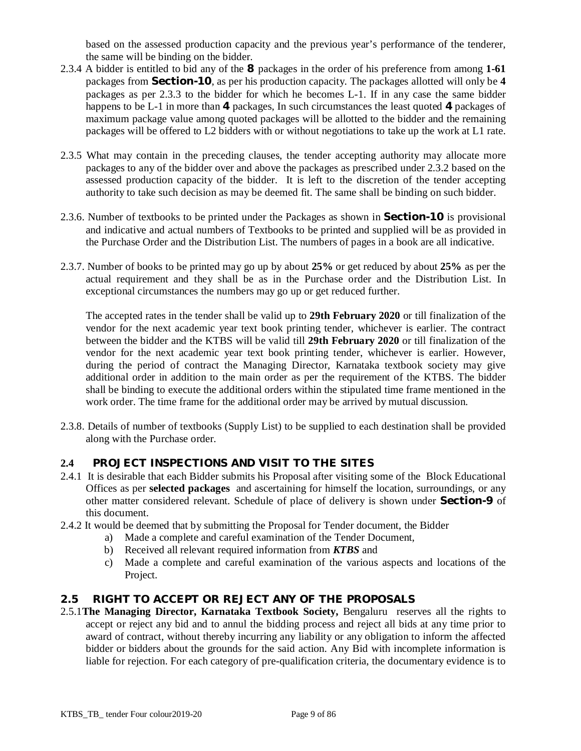based on the assessed production capacity and the previous year's performance of the tenderer, the same will be binding on the bidder.

- 2.3.4 A bidder is entitled to bid any of the **8** packages in the order of his preference from among **1-61** packages from **Section-10**, as per his production capacity. The packages allotted will only be **4** packages as per 2.3.3 to the bidder for which he becomes L-1. If in any case the same bidder happens to be L-1 in more than **4** packages, In such circumstances the least quoted **4** packages of maximum package value among quoted packages will be allotted to the bidder and the remaining packages will be offered to L2 bidders with or without negotiations to take up the work at L1 rate.
- 2.3.5 What may contain in the preceding clauses, the tender accepting authority may allocate more packages to any of the bidder over and above the packages as prescribed under 2.3.2 based on the assessed production capacity of the bidder. It is left to the discretion of the tender accepting authority to take such decision as may be deemed fit. The same shall be binding on such bidder.
- 2.3.6. Number of textbooks to be printed under the Packages as shown in **Section-10** is provisional and indicative and actual numbers of Textbooks to be printed and supplied will be as provided in the Purchase Order and the Distribution List. The numbers of pages in a book are all indicative.
- 2.3.7. Number of books to be printed may go up by about **25%** or get reduced by about **25%** as per the actual requirement and they shall be as in the Purchase order and the Distribution List. In exceptional circumstances the numbers may go up or get reduced further.

The accepted rates in the tender shall be valid up to **29th February 2020** or till finalization of the vendor for the next academic year text book printing tender, whichever is earlier. The contract between the bidder and the KTBS will be valid till **29th February 2020** or till finalization of the vendor for the next academic year text book printing tender, whichever is earlier. However, during the period of contract the Managing Director, Karnataka textbook society may give additional order in addition to the main order as per the requirement of the KTBS. The bidder shall be binding to execute the additional orders within the stipulated time frame mentioned in the work order. The time frame for the additional order may be arrived by mutual discussion.

2.3.8. Details of number of textbooks (Supply List) to be supplied to each destination shall be provided along with the Purchase order.

## **2.4 PROJECT INSPECTIONS AND VISIT TO THE SITES**

- 2.4.1 It is desirable that each Bidder submits his Proposal after visiting some of the Block Educational Offices as per **selected packages** and ascertaining for himself the location, surroundings, or any other matter considered relevant. Schedule of place of delivery is shown under **Section-9** of this document.
- 2.4.2 It would be deemed that by submitting the Proposal for Tender document, the Bidder
	- a) Made a complete and careful examination of the Tender Document,
	- b) Received all relevant required information from *KTBS* and
	- c) Made a complete and careful examination of the various aspects and locations of the Project.

#### **2.5 RIGHT TO ACCEPT OR REJECT ANY OF THE PROPOSALS**

2.5.1**The Managing Director, Karnataka Textbook Society,** Bengaluru reserves all the rights to accept or reject any bid and to annul the bidding process and reject all bids at any time prior to award of contract, without thereby incurring any liability or any obligation to inform the affected bidder or bidders about the grounds for the said action. Any Bid with incomplete information is liable for rejection. For each category of pre-qualification criteria, the documentary evidence is to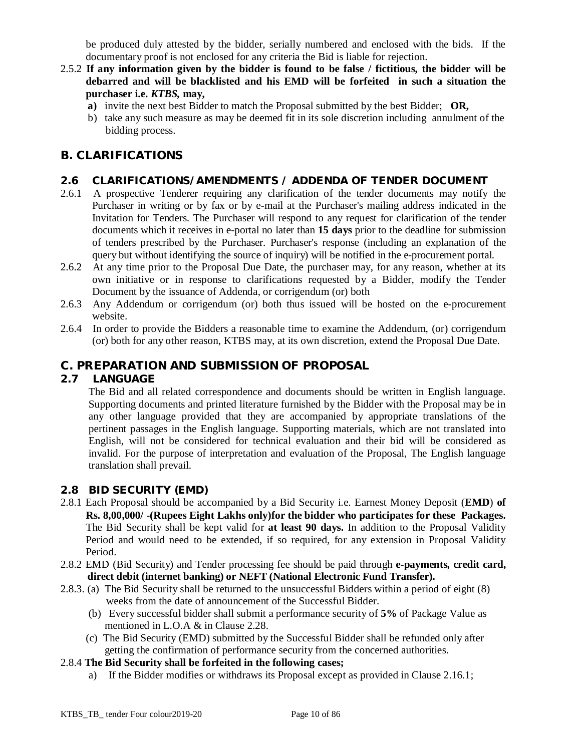be produced duly attested by the bidder, serially numbered and enclosed with the bids. If the documentary proof is not enclosed for any criteria the Bid is liable for rejection.

- 2.5.2 **If any information given by the bidder is found to be false / fictitious, the bidder will be debarred and will be blacklisted and his EMD will be forfeited in such a situation the purchaser i.e.** *KTBS,* **may,**
	- **a)** invite the next best Bidder to match the Proposal submitted by the best Bidder; **OR,**
	- b) take any such measure as may be deemed fit in its sole discretion including annulment of the bidding process.

## **B. CLARIFICATIONS**

#### **2.6 CLARIFICATIONS/AMENDMENTS / ADDENDA OF TENDER DOCUMENT**

- 2.6.1 A prospective Tenderer requiring any clarification of the tender documents may notify the Purchaser in writing or by fax or by e-mail at the Purchaser's mailing address indicated in the Invitation for Tenders. The Purchaser will respond to any request for clarification of the tender documents which it receives in e-portal no later than **15 days** prior to the deadline for submission of tenders prescribed by the Purchaser. Purchaser's response (including an explanation of the query but without identifying the source of inquiry) will be notified in the e-procurement portal.
- 2.6.2 At any time prior to the Proposal Due Date, the purchaser may, for any reason, whether at its own initiative or in response to clarifications requested by a Bidder, modify the Tender Document by the issuance of Addenda, or corrigendum (or) both
- 2.6.3 Any Addendum or corrigendum (or) both thus issued will be hosted on the e-procurement website.
- 2.6.4 In order to provide the Bidders a reasonable time to examine the Addendum, (or) corrigendum (or) both for any other reason, KTBS may, at its own discretion, extend the Proposal Due Date.

## **C. PREPARATION AND SUBMISSION OF PROPOSAL**

#### **2.7 LANGUAGE**

The Bid and all related correspondence and documents should be written in English language. Supporting documents and printed literature furnished by the Bidder with the Proposal may be in any other language provided that they are accompanied by appropriate translations of the pertinent passages in the English language. Supporting materials, which are not translated into English, will not be considered for technical evaluation and their bid will be considered as invalid. For the purpose of interpretation and evaluation of the Proposal, The English language translation shall prevail.

#### **2.8 BID SECURITY (EMD)**

- 2.8.1 Each Proposal should be accompanied by a Bid Security i.e. Earnest Money Deposit (**EMD**) **of Rs. 8,00,000/ -(Rupees Eight Lakhs only)for the bidder who participates for these Packages.** The Bid Security shall be kept valid for **at least 90 days.** In addition to the Proposal Validity Period and would need to be extended, if so required, for any extension in Proposal Validity Period.
- 2.8.2 EMD (Bid Security) and Tender processing fee should be paid through **e-payments, credit card, direct debit (internet banking) or NEFT (National Electronic Fund Transfer).**
- 2.8.3. (a) The Bid Security shall be returned to the unsuccessful Bidders within a period of eight (8) weeks from the date of announcement of the Successful Bidder.
	- (b) Every successful bidder shall submit a performance security of **5%** of Package Value as mentioned in L.O.A & in Clause 2.28.
	- (c) The Bid Security (EMD) submitted by the Successful Bidder shall be refunded only after getting the confirmation of performance security from the concerned authorities.
- 2.8.4 **The Bid Security shall be forfeited in the following cases;**
	- a) If the Bidder modifies or withdraws its Proposal except as provided in Clause 2.16.1;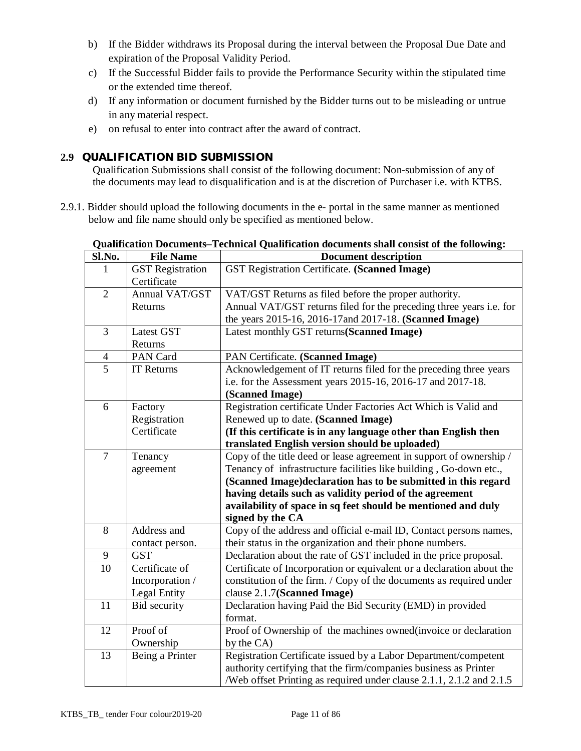- b) If the Bidder withdraws its Proposal during the interval between the Proposal Due Date and expiration of the Proposal Validity Period.
- c) If the Successful Bidder fails to provide the Performance Security within the stipulated time or the extended time thereof.
- d) If any information or document furnished by the Bidder turns out to be misleading or untrue in any material respect.
- e) on refusal to enter into contract after the award of contract.

### **2.9 QUALIFICATION BID SUBMISSION**

Qualification Submissions shall consist of the following document: Non-submission of any of the documents may lead to disqualification and is at the discretion of Purchaser i.e. with KTBS.

2.9.1. Bidder should upload the following documents in the e- portal in the same manner as mentioned below and file name should only be specified as mentioned below.

| Sl.No.         | <b>File Name</b>        | <b>Document description</b>                                           |  |  |
|----------------|-------------------------|-----------------------------------------------------------------------|--|--|
|                | <b>GST</b> Registration | GST Registration Certificate. (Scanned Image)                         |  |  |
|                | Certificate             |                                                                       |  |  |
| $\overline{2}$ | Annual VAT/GST          | VAT/GST Returns as filed before the proper authority.                 |  |  |
|                | Returns                 | Annual VAT/GST returns filed for the preceding three years i.e. for   |  |  |
|                |                         | the years 2015-16, 2016-17 and 2017-18. (Scanned Image)               |  |  |
| 3              | <b>Latest GST</b>       | Latest monthly GST returns(Scanned Image)                             |  |  |
|                | Returns                 |                                                                       |  |  |
| 4              | PAN Card                | PAN Certificate. (Scanned Image)                                      |  |  |
| $\overline{5}$ | <b>IT Returns</b>       | Acknowledgement of IT returns filed for the preceding three years     |  |  |
|                |                         | i.e. for the Assessment years 2015-16, 2016-17 and 2017-18.           |  |  |
|                |                         | (Scanned Image)                                                       |  |  |
| 6              | Factory                 | Registration certificate Under Factories Act Which is Valid and       |  |  |
|                | Registration            | Renewed up to date. (Scanned Image)                                   |  |  |
|                | Certificate             | (If this certificate is in any language other than English then       |  |  |
|                |                         | translated English version should be uploaded)                        |  |  |
| $\overline{7}$ | Tenancy                 | Copy of the title deed or lease agreement in support of ownership /   |  |  |
|                | agreement               | Tenancy of infrastructure facilities like building, Go-down etc.,     |  |  |
|                |                         | (Scanned Image)declaration has to be submitted in this regard         |  |  |
|                |                         | having details such as validity period of the agreement               |  |  |
|                |                         | availability of space in sq feet should be mentioned and duly         |  |  |
|                |                         | signed by the CA                                                      |  |  |
| 8              | Address and             | Copy of the address and official e-mail ID, Contact persons names,    |  |  |
|                | contact person.         | their status in the organization and their phone numbers.             |  |  |
| 9              | <b>GST</b>              | Declaration about the rate of GST included in the price proposal.     |  |  |
| 10             | Certificate of          | Certificate of Incorporation or equivalent or a declaration about the |  |  |
|                | Incorporation /         | constitution of the firm. / Copy of the documents as required under   |  |  |
|                | Legal Entity            | clause 2.1.7(Scanned Image)                                           |  |  |
| 11             | Bid security            | Declaration having Paid the Bid Security (EMD) in provided            |  |  |
|                |                         | format.                                                               |  |  |
| 12             | Proof of                | Proof of Ownership of the machines owned(invoice or declaration       |  |  |
|                | Ownership               | by the CA)                                                            |  |  |
| 13             | Being a Printer         | Registration Certificate issued by a Labor Department/competent       |  |  |
|                |                         | authority certifying that the firm/companies business as Printer      |  |  |
|                |                         | /Web offset Printing as required under clause 2.1.1, 2.1.2 and 2.1.5  |  |  |

**Qualification Documents***–***Technical Qualification documents shall consist of the following:**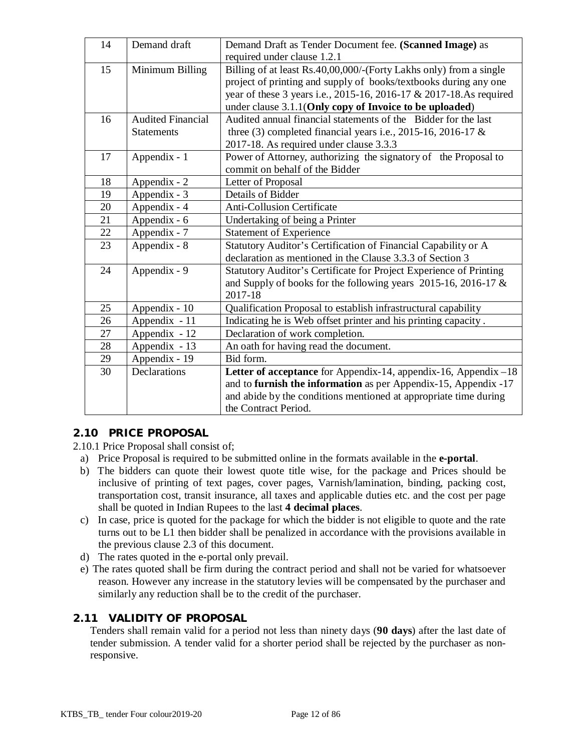| 14 | Demand draft             | Demand Draft as Tender Document fee. (Scanned Image) as            |  |
|----|--------------------------|--------------------------------------------------------------------|--|
|    |                          | required under clause 1.2.1                                        |  |
| 15 | Minimum Billing          | Billing of at least Rs.40,00,000/-(Forty Lakhs only) from a single |  |
|    |                          | project of printing and supply of books/textbooks during any one   |  |
|    |                          | year of these 3 years i.e., 2015-16, 2016-17 & 2017-18.As required |  |
|    |                          | under clause 3.1.1(Only copy of Invoice to be uploaded)            |  |
| 16 | <b>Audited Financial</b> | Audited annual financial statements of the Bidder for the last     |  |
|    | <b>Statements</b>        | three (3) completed financial years i.e., 2015-16, 2016-17 $\&$    |  |
|    |                          | 2017-18. As required under clause 3.3.3                            |  |
| 17 | Appendix - 1             | Power of Attorney, authorizing the signatory of the Proposal to    |  |
|    |                          | commit on behalf of the Bidder                                     |  |
| 18 | Appendix - 2             | Letter of Proposal                                                 |  |
| 19 | Appendix - 3             | Details of Bidder                                                  |  |
| 20 | Appendix - 4             | <b>Anti-Collusion Certificate</b>                                  |  |
| 21 | Appendix - 6             | Undertaking of being a Printer                                     |  |
| 22 | Appendix - 7             | <b>Statement of Experience</b>                                     |  |
| 23 | Appendix - 8             | Statutory Auditor's Certification of Financial Capability or A     |  |
|    |                          | declaration as mentioned in the Clause 3.3.3 of Section 3          |  |
| 24 | Appendix - 9             | Statutory Auditor's Certificate for Project Experience of Printing |  |
|    |                          | and Supply of books for the following years 2015-16, 2016-17 $\&$  |  |
|    |                          | 2017-18                                                            |  |
| 25 | Appendix - 10            | Qualification Proposal to establish infrastructural capability     |  |
| 26 | Appendix - 11            | Indicating he is Web offset printer and his printing capacity.     |  |
| 27 | Appendix - 12            | Declaration of work completion.                                    |  |
| 28 | Appendix - 13            | An oath for having read the document.                              |  |
| 29 | Appendix - 19            | Bid form.                                                          |  |
| 30 | Declarations             | Letter of acceptance for Appendix-14, appendix-16, Appendix-18     |  |
|    |                          | and to furnish the information as per Appendix-15, Appendix -17    |  |
|    |                          | and abide by the conditions mentioned at appropriate time during   |  |
|    |                          | the Contract Period.                                               |  |

## **2.10 PRICE PROPOSAL**

2.10.1 Price Proposal shall consist of;

- a) Price Proposal is required to be submitted online in the formats available in the **e-portal**.
- b) The bidders can quote their lowest quote title wise, for the package and Prices should be inclusive of printing of text pages, cover pages, Varnish/lamination, binding, packing cost, transportation cost, transit insurance, all taxes and applicable duties etc. and the cost per page shall be quoted in Indian Rupees to the last **4 decimal places**.
- c) In case, price is quoted for the package for which the bidder is not eligible to quote and the rate turns out to be L1 then bidder shall be penalized in accordance with the provisions available in the previous clause 2.3 of this document.
- d) The rates quoted in the e-portal only prevail.
- e) The rates quoted shall be firm during the contract period and shall not be varied for whatsoever reason. However any increase in the statutory levies will be compensated by the purchaser and similarly any reduction shall be to the credit of the purchaser.

#### **2.11 VALIDITY OF PROPOSAL**

Tenders shall remain valid for a period not less than ninety days (**90 days**) after the last date of tender submission. A tender valid for a shorter period shall be rejected by the purchaser as nonresponsive.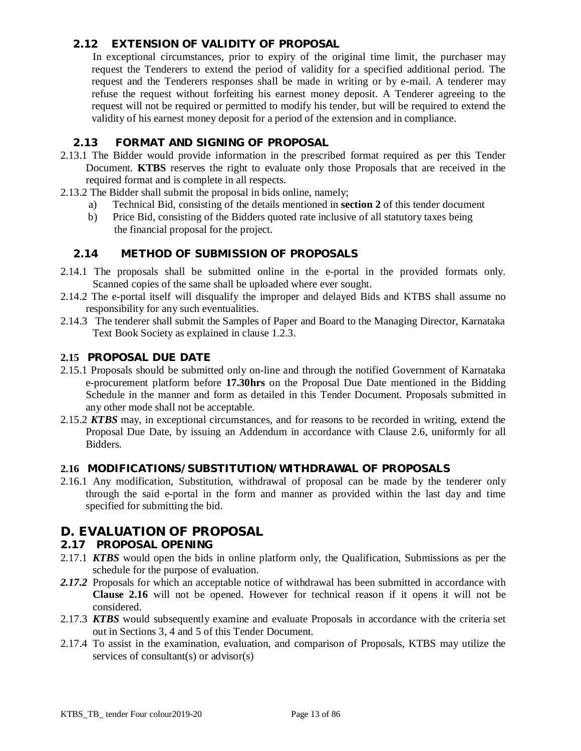## **2.12 EXTENSION OF VALIDITY OF PROPOSAL**

In exceptional circumstances, prior to expiry of the original time limit, the purchaser may request the Tenderers to extend the period of validity for a specified additional period. The request and the Tenderers responses shall be made in writing or by e-mail. A tenderer may refuse the request without forfeiting his earnest money deposit. A Tenderer agreeing to the request will not be required or permitted to modify his tender, but will be required to extend the validity of his earnest money deposit for a period of the extension and in compliance.

### **2.13 FORMAT AND SIGNING OF PROPOSAL**

- 2.13.1 The Bidder would provide information in the prescribed format required as per this Tender Document. **KTBS** reserves the right to evaluate only those Proposals that are received in the required format and is complete in all respects.
- 2.13.2 The Bidder shall submit the proposal in bids online, namely;
	- a) Technical Bid, consisting of the details mentioned in **section 2** of this tender document
	- b) Price Bid, consisting of the Bidders quoted rate inclusive of all statutory taxes being the financial proposal for the project.

#### **2.14 METHOD OF SUBMISSION OF PROPOSALS**

- 2.14.1 The proposals shall be submitted online in the e-portal in the provided formats only. Scanned copies of the same shall be uploaded where ever sought.
- 2.14.2 The e-portal itself will disqualify the improper and delayed Bids and KTBS shall assume no responsibility for any such eventualities.
- 2.14.3 The tenderer shall submit the Samples of Paper and Board to the Managing Director, Karnataka Text Book Society as explained in clause 1.2.3.

#### **2.15 PROPOSAL DUE DATE**

- 2.15.1 Proposals should be submitted only on-line and through the notified Government of Karnataka e-procurement platform before **17.30hrs** on the Proposal Due Date mentioned in the Bidding Schedule in the manner and form as detailed in this Tender Document. Proposals submitted in any other mode shall not be acceptable.
- 2.15.2 *KTBS* may, in exceptional circumstances, and for reasons to be recorded in writing, extend the Proposal Due Date, by issuing an Addendum in accordance with Clause 2.6, uniformly for all Bidders.

#### **2.16 MODIFICATIONS/SUBSTITUTION/WITHDRAWAL OF PROPOSALS**

2.16.1 Any modification, Substitution, withdrawal of proposal can be made by the tenderer only through the said e-portal in the form and manner as provided within the last day and time specified for submitting the bid.

## **D. EVALUATION OF PROPOSAL**

#### **2.17 PROPOSAL OPENING**

- 2.17.1 *KTBS* would open the bids in online platform only, the Qualification, Submissions as per the schedule for the purpose of evaluation.
- 2.17.2 Proposals for which an acceptable notice of withdrawal has been submitted in accordance with **Clause 2.16** will not be opened. However for technical reason if it opens it will not be considered.
- 2.17.3 *KTBS* would subsequently examine and evaluate Proposals in accordance with the criteria set out in Sections 3, 4 and 5 of this Tender Document.
- 2.17.4 To assist in the examination, evaluation, and comparison of Proposals, KTBS may utilize the services of consultant(s) or advisor(s)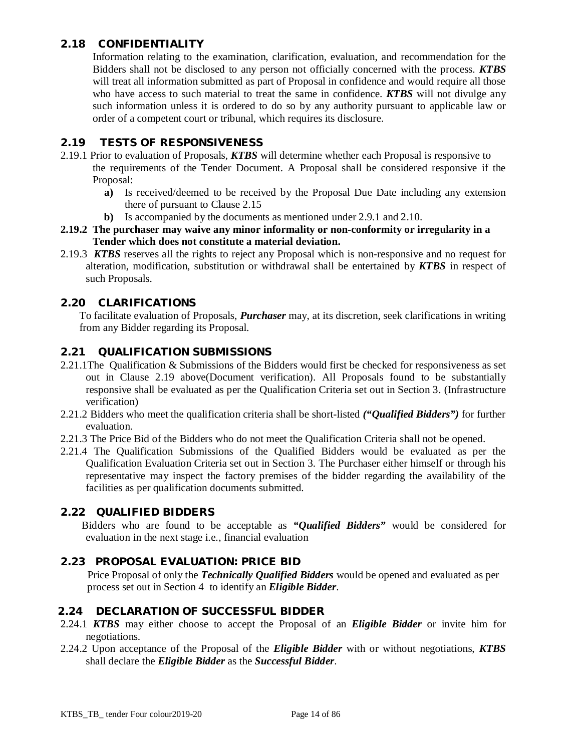## **2.18 CONFIDENTIALITY**

Information relating to the examination, clarification, evaluation, and recommendation for the Bidders shall not be disclosed to any person not officially concerned with the process. *KTBS* will treat all information submitted as part of Proposal in confidence and would require all those who have access to such material to treat the same in confidence. *KTBS* will not divulge any such information unless it is ordered to do so by any authority pursuant to applicable law or order of a competent court or tribunal, which requires its disclosure.

### **2.19 TESTS OF RESPONSIVENESS**

- 2.19.1 Prior to evaluation of Proposals, *KTBS* will determine whether each Proposal is responsive to the requirements of the Tender Document. A Proposal shall be considered responsive if the Proposal:
	- **a)** Is received/deemed to be received by the Proposal Due Date including any extension there of pursuant to Clause 2.15
	- **b)** Is accompanied by the documents as mentioned under 2.9.1 and 2.10.
- **2.19.2 The purchaser may waive any minor informality or non-conformity or irregularity in a Tender which does not constitute a material deviation.**
- 2.19.3 *KTBS* reserves all the rights to reject any Proposal which is non-responsive and no request for alteration, modification, substitution or withdrawal shall be entertained by *KTBS* in respect of such Proposals.

## **2.20 CLARIFICATIONS**

To facilitate evaluation of Proposals, *Purchaser* may, at its discretion, seek clarifications in writing from any Bidder regarding its Proposal.

#### **2.21 QUALIFICATION SUBMISSIONS**

- 2.21.1The Qualification & Submissions of the Bidders would first be checked for responsiveness as set out in Clause 2.19 above(Document verification). All Proposals found to be substantially responsive shall be evaluated as per the Qualification Criteria set out in Section 3. (Infrastructure verification)
- 2.21.2 Bidders who meet the qualification criteria shall be short-listed *("Qualified Bidders")* for further evaluation.
- 2.21.3 The Price Bid of the Bidders who do not meet the Qualification Criteria shall not be opened.
- 2.21.4 The Qualification Submissions of the Qualified Bidders would be evaluated as per the Qualification Evaluation Criteria set out in Section 3. The Purchaser either himself or through his representative may inspect the factory premises of the bidder regarding the availability of the facilities as per qualification documents submitted.

#### **2.22 QUALIFIED BIDDERS**

 Bidders who are found to be acceptable as *"Qualified Bidders"* would be considered for evaluation in the next stage i.e., financial evaluation

#### **2.23 PROPOSAL EVALUATION: PRICE BID**

 Price Proposal of only the *Technically Qualified Bidders* would be opened and evaluated as per process set out in Section 4 to identify an *Eligible Bidder*.

#### **2.24 DECLARATION OF SUCCESSFUL BIDDER**

- 2.24.1 *KTBS* may either choose to accept the Proposal of an *Eligible Bidder* or invite him for negotiations.
- 2.24.2 Upon acceptance of the Proposal of the *Eligible Bidder* with or without negotiations, *KTBS* shall declare the *Eligible Bidder* as the *Successful Bidder*.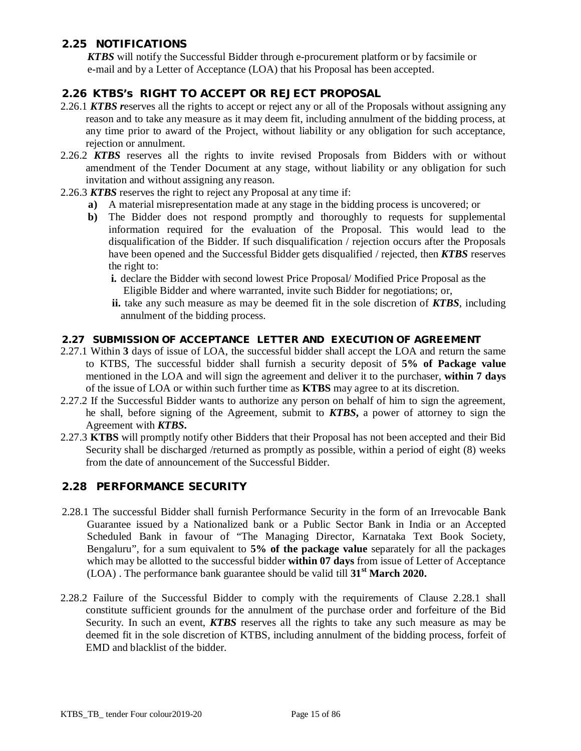## **2.25 NOTIFICATIONS**

 *KTBS* will notify the Successful Bidder through e-procurement platform or by facsimile or e-mail and by a Letter of Acceptance (LOA) that his Proposal has been accepted.

### **2.26 KTBS's RIGHT TO ACCEPT OR REJECT PROPOSAL**

- 2.26.1 *KTBS reserves all the rights to accept or reject any or all of the Proposals without assigning any* reason and to take any measure as it may deem fit, including annulment of the bidding process, at any time prior to award of the Project, without liability or any obligation for such acceptance, rejection or annulment.
- 2.26.2 *KTBS* reserves all the rights to invite revised Proposals from Bidders with or without amendment of the Tender Document at any stage, without liability or any obligation for such invitation and without assigning any reason.
- 2.26.3 *KTBS* reserves the right to reject any Proposal at any time if:
	- **a)** A material misrepresentation made at any stage in the bidding process is uncovered; or
	- **b)** The Bidder does not respond promptly and thoroughly to requests for supplemental information required for the evaluation of the Proposal. This would lead to the disqualification of the Bidder. If such disqualification / rejection occurs after the Proposals have been opened and the Successful Bidder gets disqualified / rejected, then *KTBS* reserves the right to:
		- **i.** declare the Bidder with second lowest Price Proposal/ Modified Price Proposal as the Eligible Bidder and where warranted, invite such Bidder for negotiations; or,
		- **ii.** take any such measure as may be deemed fit in the sole discretion of *KTBS*, including annulment of the bidding process.

#### **2.27 SUBMISSION OF ACCEPTANCE LETTER AND EXECUTION OF AGREEMENT**

- 2.27.1 Within **3** days of issue of LOA, the successful bidder shall accept the LOA and return the same to KTBS, The successful bidder shall furnish a security deposit of **5% of Package value** mentioned in the LOA and will sign the agreement and deliver it to the purchaser, **within 7 days** of the issue of LOA or within such further time as **KTBS** may agree to at its discretion.
- 2.27.2 If the Successful Bidder wants to authorize any person on behalf of him to sign the agreement, he shall, before signing of the Agreement, submit to *KTBS***,** a power of attorney to sign the Agreement with *KTBS***.**
- 2.27.3 **KTBS** will promptly notify other Bidders that their Proposal has not been accepted and their Bid Security shall be discharged /returned as promptly as possible, within a period of eight (8) weeks from the date of announcement of the Successful Bidder.

#### **2.28 PERFORMANCE SECURITY**

- 2.28.1 The successful Bidder shall furnish Performance Security in the form of an Irrevocable Bank Guarantee issued by a Nationalized bank or a Public Sector Bank in India or an Accepted Scheduled Bank in favour of "The Managing Director, Karnataka Text Book Society, Bengaluru", for a sum equivalent to **5% of the package value** separately for all the packages which may be allotted to the successful bidder **within 07 days** from issue of Letter of Acceptance (LOA) . The performance bank guarantee should be valid till **31 st March 2020.**
- 2.28.2 Failure of the Successful Bidder to comply with the requirements of Clause 2.28.1 shall constitute sufficient grounds for the annulment of the purchase order and forfeiture of the Bid Security. In such an event, *KTBS* reserves all the rights to take any such measure as may be deemed fit in the sole discretion of KTBS, including annulment of the bidding process, forfeit of EMD and blacklist of the bidder.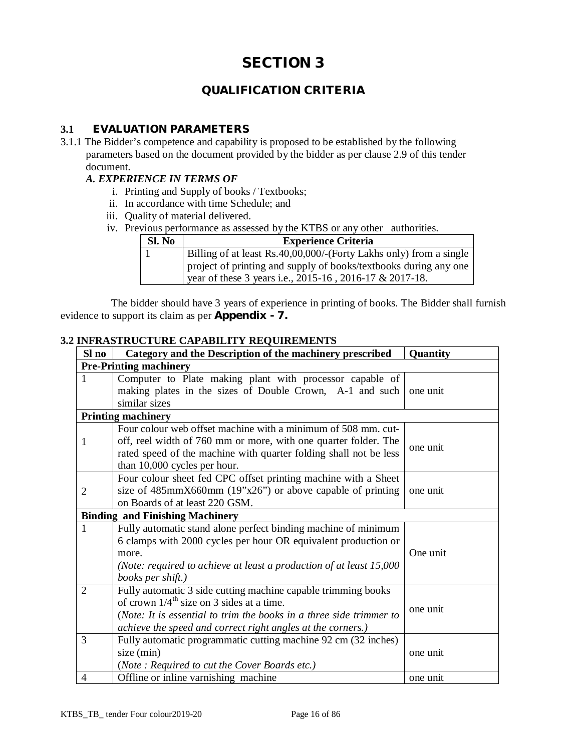## **QUALIFICATION CRITERIA**

## **3.1 EVALUATION PARAMETERS**

3.1.1 The Bidder's competence and capability is proposed to be established by the following parameters based on the document provided by the bidder as per clause 2.9 of this tender document.

#### *A. EXPERIENCE IN TERMS OF*

- i. Printing and Supply of books / Textbooks;
- ii. In accordance with time Schedule; and
- iii. Quality of material delivered.
- iv. Previous performance as assessed by the KTBS or any other authorities.

| Sl. No | <b>Experience Criteria</b>                                                                                                  |
|--------|-----------------------------------------------------------------------------------------------------------------------------|
|        | Billing of at least Rs.40,00,000/-(Forty Lakhs only) from a single                                                          |
|        | project of printing and supply of books/textbooks during any one<br>year of these 3 years i.e., 2015-16, 2016-17 & 2017-18. |

 The bidder should have 3 years of experience in printing of books. The Bidder shall furnish evidence to support its claim as per **Appendix - 7.**

#### **3.2 INFRASTRUCTURE CAPABILITY REQUIREMENTS**

| Sl no          | Category and the Description of the machinery prescribed                                                                                                                                                                                                       | <b>Quantity</b> |  |  |  |
|----------------|----------------------------------------------------------------------------------------------------------------------------------------------------------------------------------------------------------------------------------------------------------------|-----------------|--|--|--|
|                | <b>Pre-Printing machinery</b>                                                                                                                                                                                                                                  |                 |  |  |  |
| $\mathbf{1}$   | Computer to Plate making plant with processor capable of<br>making plates in the sizes of Double Crown, A-1 and such<br>similar sizes                                                                                                                          | one unit        |  |  |  |
|                | <b>Printing machinery</b>                                                                                                                                                                                                                                      |                 |  |  |  |
| 1              | Four colour web offset machine with a minimum of 508 mm. cut-<br>off, reel width of 760 mm or more, with one quarter folder. The<br>rated speed of the machine with quarter folding shall not be less<br>than 10,000 cycles per hour.                          | one unit        |  |  |  |
| $\overline{2}$ | Four colour sheet fed CPC offset printing machine with a Sheet<br>size of 485mmX660mm (19"x26") or above capable of printing<br>on Boards of at least 220 GSM.                                                                                                 | one unit        |  |  |  |
|                | <b>Binding and Finishing Machinery</b>                                                                                                                                                                                                                         |                 |  |  |  |
| $\mathbf{1}$   | Fully automatic stand alone perfect binding machine of minimum<br>6 clamps with 2000 cycles per hour OR equivalent production or<br>more.<br>(Note: required to achieve at least a production of at least $15,000$<br>books per shift.)                        | One unit        |  |  |  |
| $\overline{2}$ | Fully automatic 3 side cutting machine capable trimming books<br>of crown $1/4$ <sup>th</sup> size on 3 sides at a time.<br>(Note: It is essential to trim the books in a three side trimmer to<br>achieve the speed and correct right angles at the corners.) | one unit        |  |  |  |
| 3              | Fully automatic programmatic cutting machine 92 cm (32 inches)<br>size (min)<br>(Note: Required to cut the Cover Boards etc.)                                                                                                                                  | one unit        |  |  |  |
| 4              | Offline or inline varnishing machine                                                                                                                                                                                                                           | one unit        |  |  |  |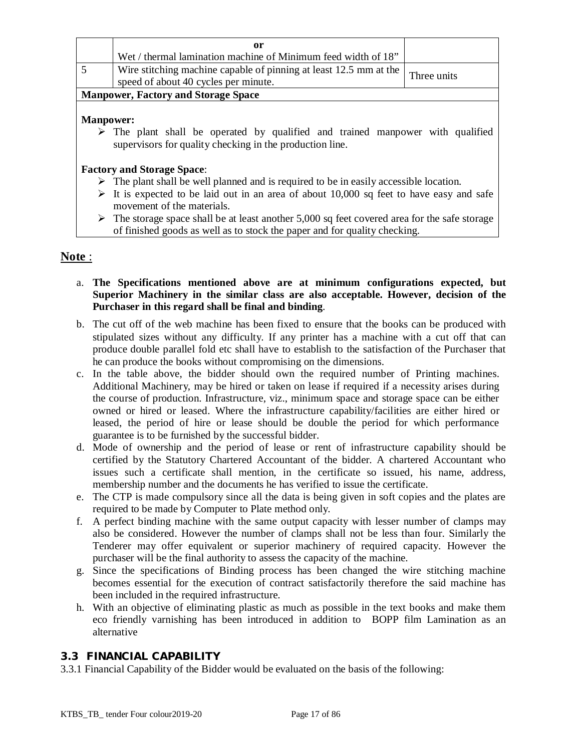| or<br>Wet / thermal lamination machine of Minimum feed width of 18"                                                           |  |  |  |
|-------------------------------------------------------------------------------------------------------------------------------|--|--|--|
| Wire stitching machine capable of pinning at least 12.5 mm at the $\vert$ Three units<br>speed of about 40 cycles per minute. |  |  |  |
| <b>Manpower, Factory and Storage Space</b>                                                                                    |  |  |  |

#### **Manpower:**

 $\triangleright$  The plant shall be operated by qualified and trained manpower with qualified supervisors for quality checking in the production line.

## **Factory and Storage Space**:

- $\triangleright$  The plant shall be well planned and is required to be in easily accessible location.
- $\triangleright$  It is expected to be laid out in an area of about 10,000 sq feet to have easy and safe movement of the materials.
- $\triangleright$  The storage space shall be at least another 5,000 sq feet covered area for the safe storage of finished goods as well as to stock the paper and for quality checking.

## **Note** :

- a. **The Specifications mentioned above are at minimum configurations expected, but Superior Machinery in the similar class are also acceptable. However, decision of the Purchaser in this regard shall be final and binding**.
- b. The cut off of the web machine has been fixed to ensure that the books can be produced with stipulated sizes without any difficulty. If any printer has a machine with a cut off that can produce double parallel fold etc shall have to establish to the satisfaction of the Purchaser that he can produce the books without compromising on the dimensions.
- c. In the table above, the bidder should own the required number of Printing machines. Additional Machinery, may be hired or taken on lease if required if a necessity arises during the course of production. Infrastructure, viz., minimum space and storage space can be either owned or hired or leased. Where the infrastructure capability/facilities are either hired or leased, the period of hire or lease should be double the period for which performance guarantee is to be furnished by the successful bidder.
- d. Mode of ownership and the period of lease or rent of infrastructure capability should be certified by the Statutory Chartered Accountant of the bidder. A chartered Accountant who issues such a certificate shall mention, in the certificate so issued, his name, address, membership number and the documents he has verified to issue the certificate.
- e. The CTP is made compulsory since all the data is being given in soft copies and the plates are required to be made by Computer to Plate method only.
- f. A perfect binding machine with the same output capacity with lesser number of clamps may also be considered. However the number of clamps shall not be less than four. Similarly the Tenderer may offer equivalent or superior machinery of required capacity. However the purchaser will be the final authority to assess the capacity of the machine.
- g. Since the specifications of Binding process has been changed the wire stitching machine becomes essential for the execution of contract satisfactorily therefore the said machine has been included in the required infrastructure.
- h. With an objective of eliminating plastic as much as possible in the text books and make them eco friendly varnishing has been introduced in addition to BOPP film Lamination as an alternative

## **3.3 FINANCIAL CAPABILITY**

3.3.1 Financial Capability of the Bidder would be evaluated on the basis of the following: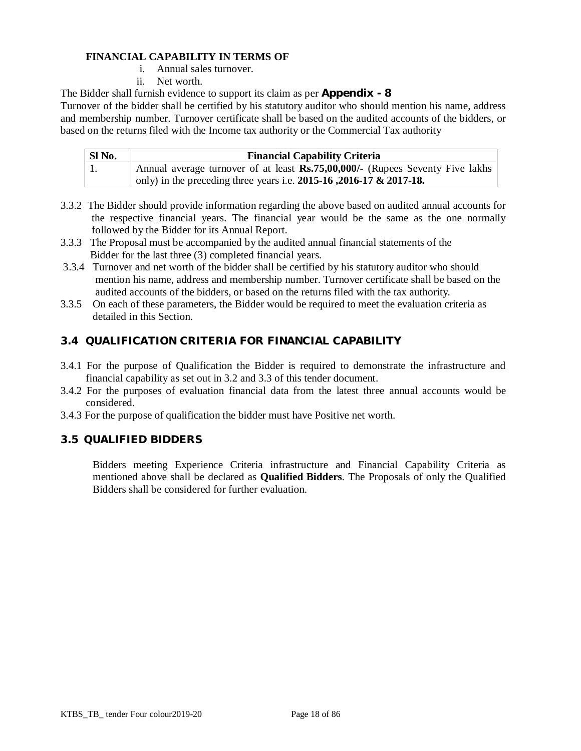### **FINANCIAL CAPABILITY IN TERMS OF**

- i. Annual sales turnover.
- ii. Net worth.

The Bidder shall furnish evidence to support its claim as per **Appendix - 8**

Turnover of the bidder shall be certified by his statutory auditor who should mention his name, address and membership number. Turnover certificate shall be based on the audited accounts of the bidders, or based on the returns filed with the Income tax authority or the Commercial Tax authority

| SI No. | <b>Financial Capability Criteria</b>                                          |
|--------|-------------------------------------------------------------------------------|
|        | Annual average turnover of at least Rs.75,00,000/- (Rupees Seventy Five lakhs |
|        | ' only) in the preceding three years i.e. $2015-16$ , $2016-17$ & $2017-18$ . |

- 3.3.2 The Bidder should provide information regarding the above based on audited annual accounts for the respective financial years. The financial year would be the same as the one normally followed by the Bidder for its Annual Report.
- 3.3.3 The Proposal must be accompanied by the audited annual financial statements of the Bidder for the last three (3) completed financial years.
- 3.3.4 Turnover and net worth of the bidder shall be certified by his statutory auditor who should mention his name, address and membership number. Turnover certificate shall be based on the audited accounts of the bidders, or based on the returns filed with the tax authority.
- 3.3.5 On each of these parameters, the Bidder would be required to meet the evaluation criteria as detailed in this Section.

## **3.4 QUALIFICATION CRITERIA FOR FINANCIAL CAPABILITY**

- 3.4.1 For the purpose of Qualification the Bidder is required to demonstrate the infrastructure and financial capability as set out in 3.2 and 3.3 of this tender document.
- 3.4.2 For the purposes of evaluation financial data from the latest three annual accounts would be considered.
- 3.4.3 For the purpose of qualification the bidder must have Positive net worth.

#### **3.5 QUALIFIED BIDDERS**

Bidders meeting Experience Criteria infrastructure and Financial Capability Criteria as mentioned above shall be declared as **Qualified Bidders**. The Proposals of only the Qualified Bidders shall be considered for further evaluation.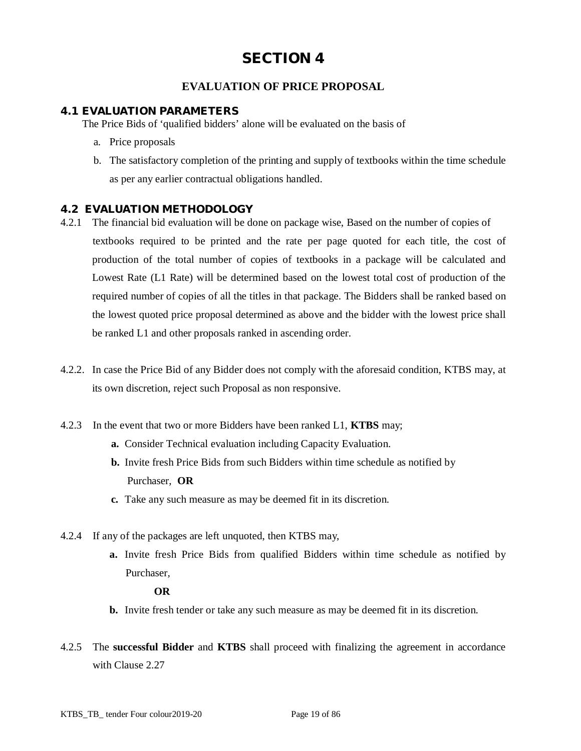## **EVALUATION OF PRICE PROPOSAL**

#### **4.1 EVALUATION PARAMETERS**

The Price Bids of 'qualified bidders' alone will be evaluated on the basis of

- a. Price proposals
- b. The satisfactory completion of the printing and supply of textbooks within the time schedule as per any earlier contractual obligations handled.

#### **4.2 EVALUATION METHODOLOGY**

- 4.2.1 The financial bid evaluation will be done on package wise, Based on the number of copies of textbooks required to be printed and the rate per page quoted for each title, the cost of production of the total number of copies of textbooks in a package will be calculated and Lowest Rate (L1 Rate) will be determined based on the lowest total cost of production of the required number of copies of all the titles in that package. The Bidders shall be ranked based on the lowest quoted price proposal determined as above and the bidder with the lowest price shall be ranked L1 and other proposals ranked in ascending order.
- 4.2.2. In case the Price Bid of any Bidder does not comply with the aforesaid condition, KTBS may, at its own discretion, reject such Proposal as non responsive.
- 4.2.3 In the event that two or more Bidders have been ranked L1, **KTBS** may;
	- **a.** Consider Technical evaluation including Capacity Evaluation.
	- **b.** Invite fresh Price Bids from such Bidders within time schedule as notified by Purchaser, **OR**
	- **c.** Take any such measure as may be deemed fit in its discretion.
- 4.2.4 If any of the packages are left unquoted, then KTBS may,
	- **a.** Invite fresh Price Bids from qualified Bidders within time schedule as notified by Purchaser,

 **OR**

- **b.** Invite fresh tender or take any such measure as may be deemed fit in its discretion.
- 4.2.5 The **successful Bidder** and **KTBS** shall proceed with finalizing the agreement in accordance with Clause 2.27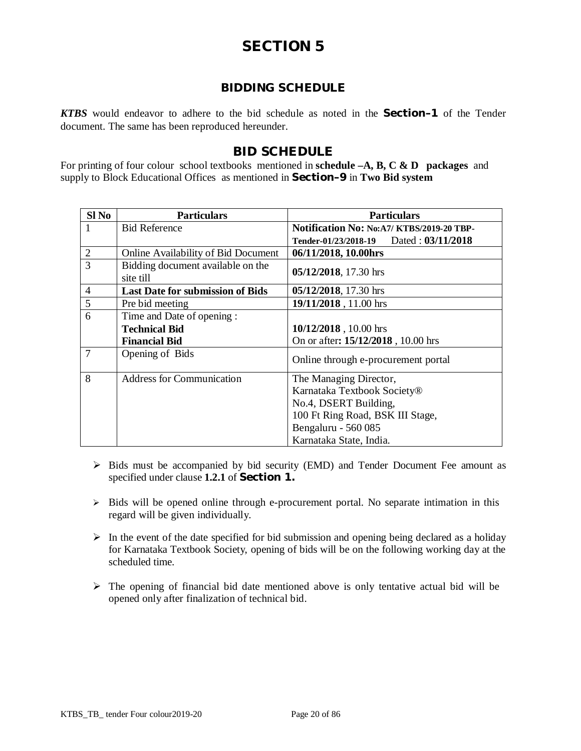## **BIDDING SCHEDULE**

*KTBS* would endeavor to adhere to the bid schedule as noted in the **Section–1** of the Tender document. The same has been reproduced hereunder.

## **BID SCHEDULE**

For printing of four colour school textbooks mentioned in **schedule –A, B, C & D packages** and supply to Block Educational Offices as mentioned in **Section–9** in **Two Bid system**

| $SI$ No        | <b>Particulars</b>                      | <b>Particulars</b>                         |
|----------------|-----------------------------------------|--------------------------------------------|
| 1              | <b>Bid Reference</b>                    | Notification No: No: A7/ KTBS/2019-20 TBP- |
|                |                                         | Tender-01/23/2018-19 Dated: 03/11/2018     |
| $\overline{2}$ | Online Availability of Bid Document     | 06/11/2018, 10.00hrs                       |
| 3              | Bidding document available on the       | 05/12/2018, 17.30 hrs                      |
|                | site till                               |                                            |
| $\overline{4}$ | <b>Last Date for submission of Bids</b> | 05/12/2018, 17.30 hrs                      |
| 5              | Pre bid meeting                         | 19/11/2018, 11.00 hrs                      |
| 6              | Time and Date of opening:               |                                            |
|                | <b>Technical Bid</b>                    | 10/12/2018, 10.00 hrs                      |
|                | <b>Financial Bid</b>                    | On or after: 15/12/2018, 10.00 hrs         |
| 7              | Opening of Bids                         | Online through e-procurement portal        |
| 8              | <b>Address for Communication</b>        | The Managing Director,                     |
|                |                                         | Karnataka Textbook Society®                |
|                |                                         | No.4, DSERT Building,                      |
|                |                                         | 100 Ft Ring Road, BSK III Stage,           |
|                |                                         | Bengaluru - 560 085                        |
|                |                                         | Karnataka State, India.                    |

- $\triangleright$  Bids must be accompanied by bid security (EMD) and Tender Document Fee amount as specified under clause **1.2.1** of **Section 1.**
- $\triangleright$  Bids will be opened online through e-procurement portal. No separate intimation in this regard will be given individually.
- $\triangleright$  In the event of the date specified for bid submission and opening being declared as a holiday for Karnataka Textbook Society, opening of bids will be on the following working day at the scheduled time.
- $\triangleright$  The opening of financial bid date mentioned above is only tentative actual bid will be opened only after finalization of technical bid.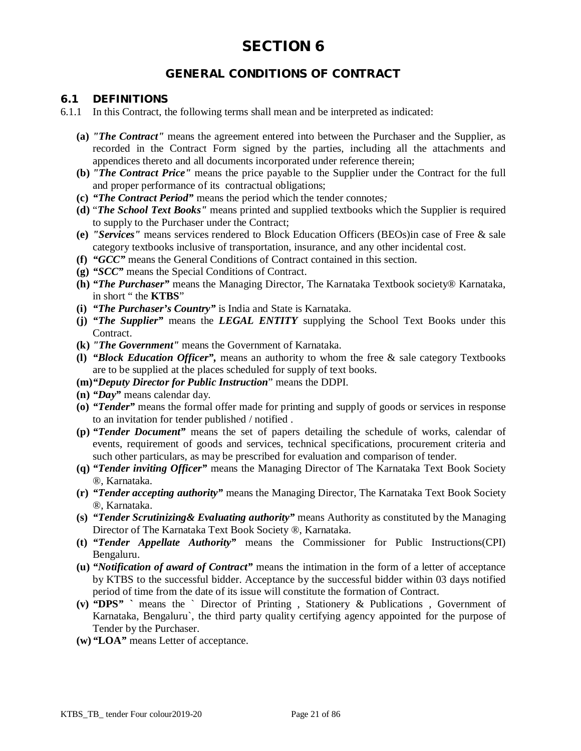## **GENERAL CONDITIONS OF CONTRACT**

#### **6.1 DEFINITIONS**

- 6.1.1 In this Contract, the following terms shall mean and be interpreted as indicated:
	- **(a)** *"The Contract"* means the agreement entered into between the Purchaser and the Supplier, as recorded in the Contract Form signed by the parties, including all the attachments and appendices thereto and all documents incorporated under reference therein;
	- **(b)** *"The Contract Price"* means the price payable to the Supplier under the Contract for the full and proper performance of its contractual obligations;
	- **(c)** *"The Contract Period"* means the period which the tender connotes*;*
	- **(d)** "*The School Text Books"* means printed and supplied textbooks which the Supplier is required to supply to the Purchaser under the Contract;
	- **(e)** *"Services"* means services rendered to Block Education Officers (BEOs)in case of Free & sale category textbooks inclusive of transportation, insurance, and any other incidental cost.
	- **(f)** *"GCC"* means the General Conditions of Contract contained in this section.
	- **(g)** *"SCC"* means the Special Conditions of Contract.
	- **(h)** *"The Purchaser"* means the Managing Director, The Karnataka Textbook society® Karnataka, in short " the **KTBS**"
	- **(i)** *"The Purchaser's Country"* is India and State is Karnataka.
	- **(j)** *"The Supplier"* means the *LEGAL ENTITY* supplying the School Text Books under this Contract.
	- **(k)** *"The Government"* means the Government of Karnataka.
	- **(l)** *"Block Education Officer",* means an authority to whom the free & sale category Textbooks are to be supplied at the places scheduled for supply of text books.
	- **(m)***"Deputy Director for Public Instruction*" means the DDPI.
	- **(n)** *"Day"* means calendar day.
	- **(o)** *"Tender"* means the formal offer made for printing and supply of goods or services in response to an invitation for tender published / notified .
	- **(p)** *"Tender Document"* means the set of papers detailing the schedule of works, calendar of events, requirement of goods and services, technical specifications, procurement criteria and such other particulars, as may be prescribed for evaluation and comparison of tender.
	- **(q)** *"Tender inviting Officer"* means the Managing Director of The Karnataka Text Book Society ®, Karnataka.
	- **(r)** *"Tender accepting authority"* means the Managing Director, The Karnataka Text Book Society ®, Karnataka.
	- **(s)** *"Tender Scrutinizing& Evaluating authority"* means Authority as constituted by the Managing Director of The Karnataka Text Book Society ®, Karnataka.
	- **(t)** *"Tender Appellate Authority"* means the Commissioner for Public Instructions(CPI) Bengaluru.
	- **(u)** *"Notification of award of Contract"* means the intimation in the form of a letter of acceptance by KTBS to the successful bidder. Acceptance by the successful bidder within 03 days notified period of time from the date of its issue will constitute the formation of Contract.
	- **(v)** *"***DPS***"* **`** means the ` Director of Printing , Stationery & Publications , Government of Karnataka, Bengaluru`, the third party quality certifying agency appointed for the purpose of Tender by the Purchaser.
	- **(w)** *"***LOA***"* means Letter of acceptance.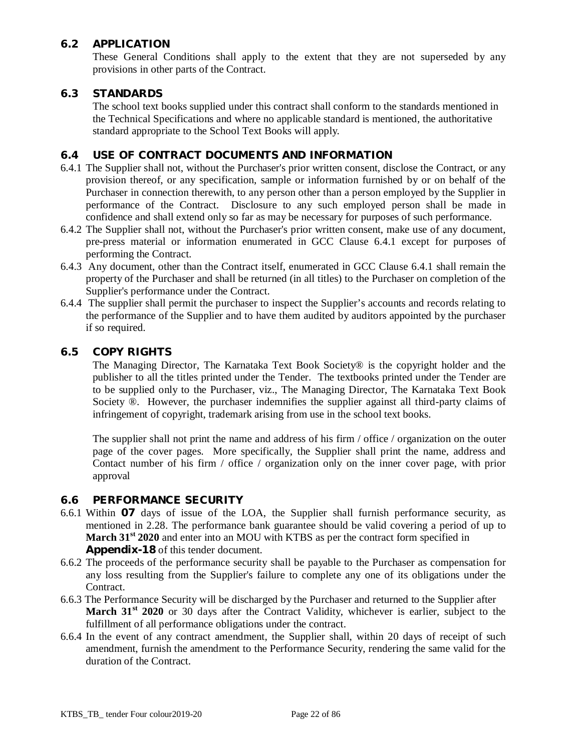## **6.2 APPLICATION**

These General Conditions shall apply to the extent that they are not superseded by any provisions in other parts of the Contract.

### **6.3 STANDARDS**

The school text books supplied under this contract shall conform to the standards mentioned in the Technical Specifications and where no applicable standard is mentioned, the authoritative standard appropriate to the School Text Books will apply.

## **6.4 USE OF CONTRACT DOCUMENTS AND INFORMATION**

- 6.4.1 The Supplier shall not, without the Purchaser's prior written consent, disclose the Contract, or any provision thereof, or any specification, sample or information furnished by or on behalf of the Purchaser in connection therewith, to any person other than a person employed by the Supplier in performance of the Contract. Disclosure to any such employed person shall be made in confidence and shall extend only so far as may be necessary for purposes of such performance.
- 6.4.2 The Supplier shall not, without the Purchaser's prior written consent, make use of any document, pre-press material or information enumerated in GCC Clause 6.4.1 except for purposes of performing the Contract.
- 6.4.3 Any document, other than the Contract itself, enumerated in GCC Clause 6.4.1 shall remain the property of the Purchaser and shall be returned (in all titles) to the Purchaser on completion of the Supplier's performance under the Contract.
- 6.4.4 The supplier shall permit the purchaser to inspect the Supplier's accounts and records relating to the performance of the Supplier and to have them audited by auditors appointed by the purchaser if so required.

#### **6.5 COPY RIGHTS**

The Managing Director, The Karnataka Text Book Society® is the copyright holder and the publisher to all the titles printed under the Tender. The textbooks printed under the Tender are to be supplied only to the Purchaser, viz., The Managing Director, The Karnataka Text Book Society ®. However, the purchaser indemnifies the supplier against all third-party claims of infringement of copyright, trademark arising from use in the school text books.

The supplier shall not print the name and address of his firm / office / organization on the outer page of the cover pages. More specifically, the Supplier shall print the name, address and Contact number of his firm / office / organization only on the inner cover page, with prior approval

#### **6.6 PERFORMANCE SECURITY**

- 6.6.1 Within **07** days of issue of the LOA, the Supplier shall furnish performance security, as mentioned in 2.28. The performance bank guarantee should be valid covering a period of up to **March 31st 2020** and enter into an MOU with KTBS as per the contract form specified in **Appendix-18** of this tender document.
- 6.6.2 The proceeds of the performance security shall be payable to the Purchaser as compensation for any loss resulting from the Supplier's failure to complete any one of its obligations under the Contract.
- 6.6.3 The Performance Security will be discharged by the Purchaser and returned to the Supplier after **March 31<sup>st</sup> 2020** or 30 days after the Contract Validity, whichever is earlier, subject to the fulfillment of all performance obligations under the contract.
- 6.6.4 In the event of any contract amendment, the Supplier shall, within 20 days of receipt of such amendment, furnish the amendment to the Performance Security, rendering the same valid for the duration of the Contract.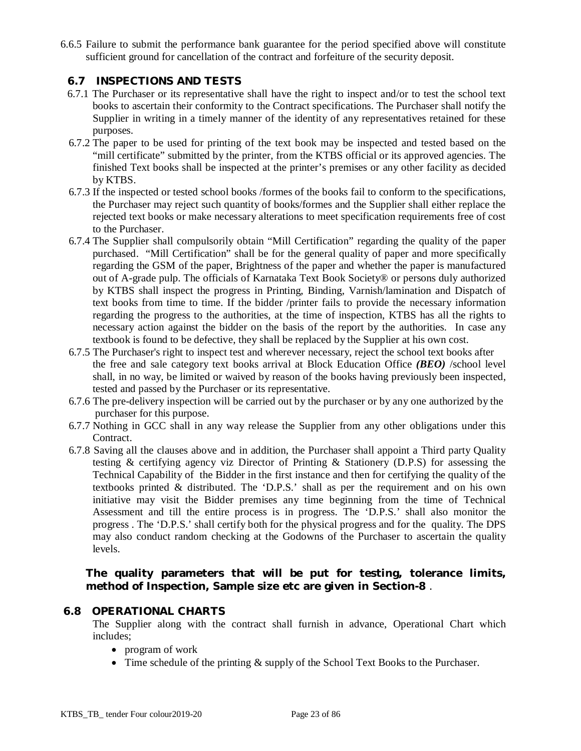6.6.5 Failure to submit the performance bank guarantee for the period specified above will constitute sufficient ground for cancellation of the contract and forfeiture of the security deposit.

## **6.7 INSPECTIONS AND TESTS**

- 6.7.1 The Purchaser or its representative shall have the right to inspect and/or to test the school text books to ascertain their conformity to the Contract specifications. The Purchaser shall notify the Supplier in writing in a timely manner of the identity of any representatives retained for these purposes.
- 6.7.2 The paper to be used for printing of the text book may be inspected and tested based on the "mill certificate" submitted by the printer, from the KTBS official or its approved agencies. The finished Text books shall be inspected at the printer's premises or any other facility as decided by KTBS.
- 6.7.3 If the inspected or tested school books /formes of the books fail to conform to the specifications, the Purchaser may reject such quantity of books/formes and the Supplier shall either replace the rejected text books or make necessary alterations to meet specification requirements free of cost to the Purchaser.
- 6.7.4 The Supplier shall compulsorily obtain "Mill Certification" regarding the quality of the paper purchased. "Mill Certification" shall be for the general quality of paper and more specifically regarding the GSM of the paper, Brightness of the paper and whether the paper is manufactured out of A-grade pulp. The officials of Karnataka Text Book Society® or persons duly authorized by KTBS shall inspect the progress in Printing, Binding, Varnish/lamination and Dispatch of text books from time to time. If the bidder /printer fails to provide the necessary information regarding the progress to the authorities, at the time of inspection, KTBS has all the rights to necessary action against the bidder on the basis of the report by the authorities. In case any textbook is found to be defective, they shall be replaced by the Supplier at his own cost.
- 6.7.5 The Purchaser's right to inspect test and wherever necessary, reject the school text books after the free and sale category text books arrival at Block Education Office *(BEO)* /school level shall, in no way, be limited or waived by reason of the books having previously been inspected, tested and passed by the Purchaser or its representative.
- 6.7.6 The pre-delivery inspection will be carried out by the purchaser or by any one authorized by the purchaser for this purpose.
- 6.7.7 Nothing in GCC shall in any way release the Supplier from any other obligations under this Contract.
- 6.7.8 Saving all the clauses above and in addition, the Purchaser shall appoint a Third party Quality testing & certifying agency viz Director of Printing & Stationery (D.P.S) for assessing the Technical Capability of the Bidder in the first instance and then for certifying the quality of the textbooks printed & distributed. The 'D.P.S.' shall as per the requirement and on his own initiative may visit the Bidder premises any time beginning from the time of Technical Assessment and till the entire process is in progress. The 'D.P.S.' shall also monitor the progress . The 'D.P.S.' shall certify both for the physical progress and for the quality. The DPS may also conduct random checking at the Godowns of the Purchaser to ascertain the quality levels.

**The quality parameters that will be put for testing, tolerance limits, method of Inspection, Sample size etc are given in Section-8** .

#### **6.8 OPERATIONAL CHARTS**

The Supplier along with the contract shall furnish in advance, Operational Chart which includes;

- program of work
- Time schedule of the printing  $&$  supply of the School Text Books to the Purchaser.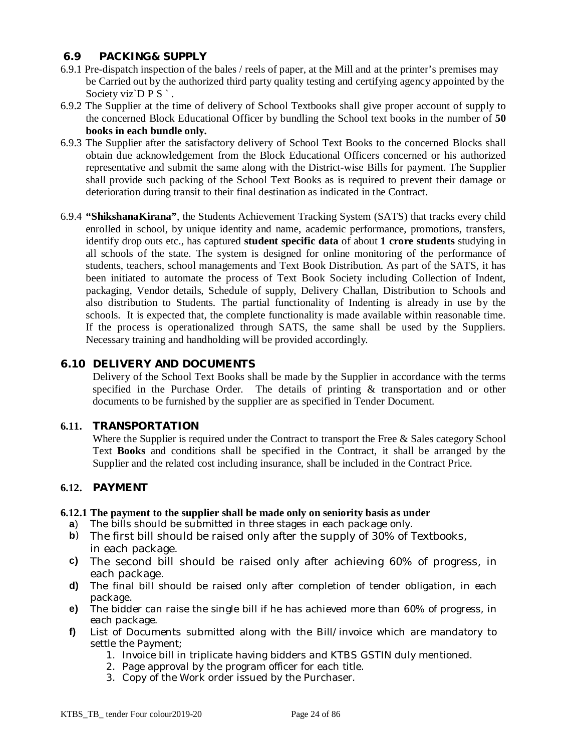#### **6.9 PACKING& SUPPLY**

- 6.9.1 Pre-dispatch inspection of the bales / reels of paper, at the Mill and at the printer's premises may be Carried out by the authorized third party quality testing and certifying agency appointed by the Society viz`D P S `.
- 6.9.2 The Supplier at the time of delivery of School Textbooks shall give proper account of supply to the concerned Block Educational Officer by bundling the School text books in the number of **50 books in each bundle only.**
- 6.9.3 The Supplier after the satisfactory delivery of School Text Books to the concerned Blocks shall obtain due acknowledgement from the Block Educational Officers concerned or his authorized representative and submit the same along with the District-wise Bills for payment. The Supplier shall provide such packing of the School Text Books as is required to prevent their damage or deterioration during transit to their final destination as indicated in the Contract.
- 6.9.4 **"ShikshanaKirana"**, the Students Achievement Tracking System (SATS) that tracks every child enrolled in school, by unique identity and name, academic performance, promotions, transfers, identify drop outs etc., has captured **student specific data** of about **1 crore students** studying in all schools of the state. The system is designed for online monitoring of the performance of students, teachers, school managements and Text Book Distribution. As part of the SATS, it has been initiated to automate the process of Text Book Society including Collection of Indent, packaging, Vendor details, Schedule of supply, Delivery Challan, Distribution to Schools and also distribution to Students. The partial functionality of Indenting is already in use by the schools. It is expected that, the complete functionality is made available within reasonable time. If the process is operationalized through SATS, the same shall be used by the Suppliers. Necessary training and handholding will be provided accordingly.

#### **6.10 DELIVERY AND DOCUMENTS**

Delivery of the School Text Books shall be made by the Supplier in accordance with the terms specified in the Purchase Order. The details of printing & transportation and or other documents to be furnished by the supplier are as specified in Tender Document.

#### **6.11. TRANSPORTATION**

Where the Supplier is required under the Contract to transport the Free & Sales category School Text **Books** and conditions shall be specified in the Contract, it shall be arranged by the Supplier and the related cost including insurance, shall be included in the Contract Price.

#### **6.12. PAYMENT**

#### **6.12.1 The payment to the supplier shall be made only on seniority basis as under**

- **a**) The bills should be submitted in three stages in each package only.
- **b**) The first bill should be raised only after the supply of 30% of Textbooks, in each package.
- **c)** The second bill should be raised only after achieving 60% of progress, in each package.
- **d)** The final bill should be raised only after completion of tender obligation, in each package.
- **e)** The bidder can raise the single bill if he has achieved more than 60% of progress, in each package.
- **f)** List of Documents submitted along with the Bill/invoice which are mandatory to settle the Payment;
	- 1. Invoice bill in triplicate having bidders and KTBS GSTIN duly mentioned.
	- 2. Page approval by the program officer for each title.
	- 3. Copy of the Work order issued by the Purchaser.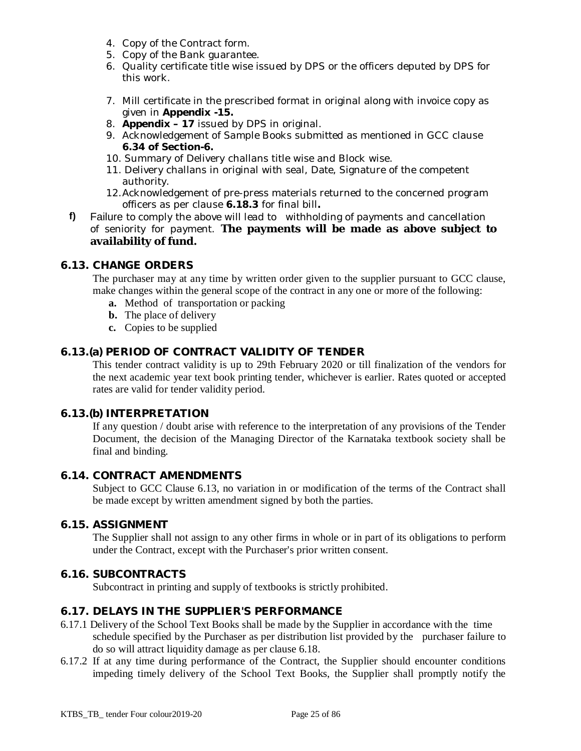- 4. Copy of the Contract form.
- 5. Copy of the Bank guarantee.
- 6. Quality certificate title wise issued by DPS or the officers deputed by DPS for this work.
- 7. Mill certificate in the prescribed format in original along with invoice copy as given in **Appendix -15.**
- 8. **Appendix – 17** issued by DPS in original.
- 9. Acknowledgement of Sample Books submitted as mentioned in GCC clause **6.34 of Section-6.**
- 10. Summary of Delivery challans title wise and Block wise.
- 11. Delivery challans in original with seal, Date, Signature of the competent authority.
- 12.Acknowledgement of pre-press materials returned to the concerned program officers as per clause **6.18.3** for final bill**.**
- **f)** Failure to comply the above will lead to withholding of payments and cancellation of seniority for payment. **The payments will be made as above subject to availability of fund.**

#### **6.13. CHANGE ORDERS**

The purchaser may at any time by written order given to the supplier pursuant to GCC clause, make changes within the general scope of the contract in any one or more of the following:

- **a.** Method of transportation or packing
- **b.** The place of delivery
- **c.** Copies to be supplied

## **6.13.(a) PERIOD OF CONTRACT VALIDITY OF TENDER**

This tender contract validity is up to 29th February 2020 or till finalization of the vendors for the next academic year text book printing tender, whichever is earlier. Rates quoted or accepted rates are valid for tender validity period.

#### **6.13.(b) INTERPRETATION**

If any question / doubt arise with reference to the interpretation of any provisions of the Tender Document, the decision of the Managing Director of the Karnataka textbook society shall be final and binding.

#### **6.14. CONTRACT AMENDMENTS**

Subject to GCC Clause 6.13, no variation in or modification of the terms of the Contract shall be made except by written amendment signed by both the parties.

#### **6.15. ASSIGNMENT**

The Supplier shall not assign to any other firms in whole or in part of its obligations to perform under the Contract, except with the Purchaser's prior written consent.

#### **6.16. SUBCONTRACTS**

Subcontract in printing and supply of textbooks is strictly prohibited.

#### **6.17. DELAYS IN THE SUPPLIER'S PERFORMANCE**

- 6.17.1 Delivery of the School Text Books shall be made by the Supplier in accordance with the time schedule specified by the Purchaser as per distribution list provided by the purchaser failure to do so will attract liquidity damage as per clause 6.18.
- 6.17.2 If at any time during performance of the Contract, the Supplier should encounter conditions impeding timely delivery of the School Text Books, the Supplier shall promptly notify the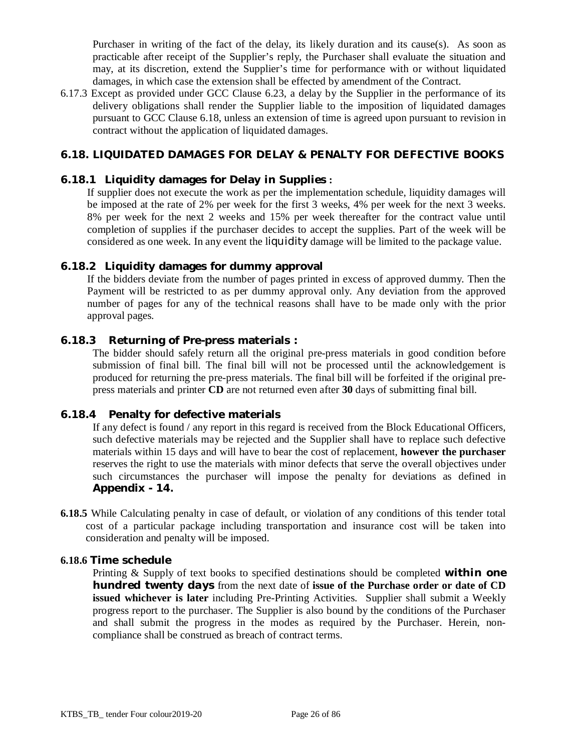Purchaser in writing of the fact of the delay, its likely duration and its cause(s). As soon as practicable after receipt of the Supplier's reply, the Purchaser shall evaluate the situation and may, at its discretion, extend the Supplier's time for performance with or without liquidated damages, in which case the extension shall be effected by amendment of the Contract.

6.17.3 Except as provided under GCC Clause 6.23, a delay by the Supplier in the performance of its delivery obligations shall render the Supplier liable to the imposition of liquidated damages pursuant to GCC Clause 6.18, unless an extension of time is agreed upon pursuant to revision in contract without the application of liquidated damages.

## **6.18. LIQUIDATED DAMAGES FOR DELAY & PENALTY FOR DEFECTIVE BOOKS**

#### **6.18.1 Liquidity damages for Delay in Supplies :**

If supplier does not execute the work as per the implementation schedule, liquidity damages will be imposed at the rate of 2% per week for the first 3 weeks, 4% per week for the next 3 weeks. 8% per week for the next 2 weeks and 15% per week thereafter for the contract value until completion of supplies if the purchaser decides to accept the supplies. Part of the week will be considered as one week. In any event the liquidity damage will be limited to the package value.

#### **6.18.2 Liquidity damages for dummy approval**

If the bidders deviate from the number of pages printed in excess of approved dummy. Then the Payment will be restricted to as per dummy approval only. Any deviation from the approved number of pages for any of the technical reasons shall have to be made only with the prior approval pages.

#### **6.18.3 Returning of Pre-press materials :**

The bidder should safely return all the original pre-press materials in good condition before submission of final bill. The final bill will not be processed until the acknowledgement is produced for returning the pre-press materials. The final bill will be forfeited if the original prepress materials and printer **CD** are not returned even after **30** days of submitting final bill.

#### **6.18.4 Penalty for defective materials**

If any defect is found / any report in this regard is received from the Block Educational Officers, such defective materials may be rejected and the Supplier shall have to replace such defective materials within 15 days and will have to bear the cost of replacement, **however the purchaser**  reserves the right to use the materials with minor defects that serve the overall objectives under such circumstances the purchaser will impose the penalty for deviations as defined in **Appendix - 14.**

**6.18.5** While Calculating penalty in case of default, or violation of any conditions of this tender total cost of a particular package including transportation and insurance cost will be taken into consideration and penalty will be imposed.

#### **6.18.6 Time schedule**

Printing & Supply of text books to specified destinations should be completed *within one hundred twenty days* from the next date of **issue of the Purchase order or date of CD issued whichever is later** including Pre-Printing Activities. Supplier shall submit a Weekly progress report to the purchaser. The Supplier is also bound by the conditions of the Purchaser and shall submit the progress in the modes as required by the Purchaser. Herein, noncompliance shall be construed as breach of contract terms.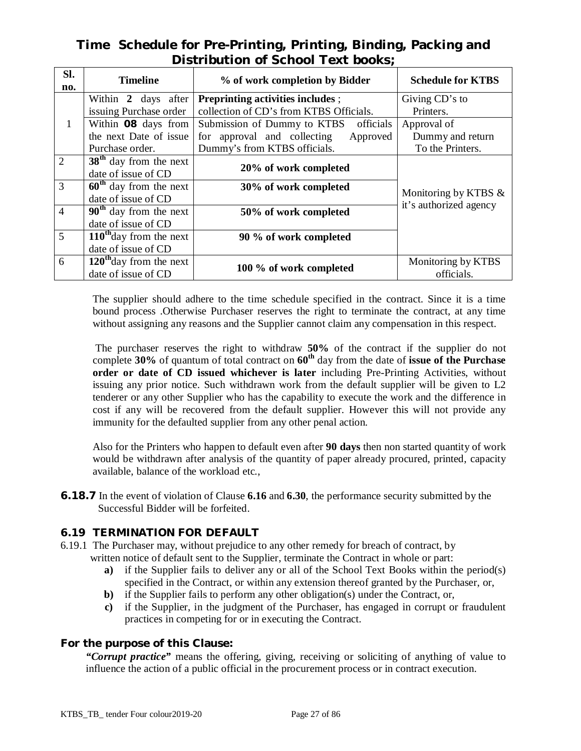## **Time Schedule for Pre-Printing, Printing, Binding, Packing and Distribution of School Text books;**

| SI.<br>no.     | <b>Timeline</b>                     | % of work completion by Bidder           | <b>Schedule for KTBS</b> |
|----------------|-------------------------------------|------------------------------------------|--------------------------|
|                | Within 2 days after                 | <b>Preprinting activities includes ;</b> | Giving CD's to           |
|                | issuing Purchase order              | collection of CD's from KTBS Officials.  | Printers.                |
| $\mathbf{1}$   | Within 08 days from                 | Submission of Dummy to KTBS officials    | Approval of              |
|                | the next Date of issue              | for approval and collecting<br>Approved  | Dummy and return         |
|                | Purchase order.                     | Dummy's from KTBS officials.             | To the Printers.         |
| $\overline{2}$ | $38th$ day from the next            |                                          |                          |
|                | date of issue of CD                 | 20% of work completed                    |                          |
| 3              | $60th$ day from the next            | 30% of work completed                    | Monitoring by KTBS $\&$  |
|                | date of issue of CD                 |                                          |                          |
| $\overline{4}$ | $90th$ day from the next            | 50% of work completed                    | it's authorized agency   |
|                | date of issue of CD                 |                                          |                          |
| 5              | $110^{\text{th}}$ day from the next | 90 % of work completed                   |                          |
|                | date of issue of CD                 |                                          |                          |
| 6              | $120th$ day from the next           |                                          | Monitoring by KTBS       |
|                | date of issue of CD                 | 100 % of work completed                  | officials.               |

The supplier should adhere to the time schedule specified in the contract. Since it is a time bound process .Otherwise Purchaser reserves the right to terminate the contract, at any time without assigning any reasons and the Supplier cannot claim any compensation in this respect.

The purchaser reserves the right to withdraw **50%** of the contract if the supplier do not complete **30%** of quantum of total contract on **60th** day from the date of **issue of the Purchase order or date of CD issued whichever is later** including Pre-Printing Activities, without issuing any prior notice. Such withdrawn work from the default supplier will be given to L2 tenderer or any other Supplier who has the capability to execute the work and the difference in cost if any will be recovered from the default supplier. However this will not provide any immunity for the defaulted supplier from any other penal action.

Also for the Printers who happen to default even after **90 days** then non started quantity of work would be withdrawn after analysis of the quantity of paper already procured, printed, capacity available, balance of the workload etc.,

**6.18.7** In the event of violation of Clause **6.16** and **6.30**, the performance security submitted by the Successful Bidder will be forfeited.

## **6.19 TERMINATION FOR DEFAULT**

- 6.19.1 The Purchaser may, without prejudice to any other remedy for breach of contract, by
	- written notice of default sent to the Supplier, terminate the Contract in whole or part:
		- **a)** if the Supplier fails to deliver any or all of the School Text Books within the period(s) specified in the Contract, or within any extension thereof granted by the Purchaser, or,
		- **b)** if the Supplier fails to perform any other obligation(s) under the Contract, or,
		- **c)** if the Supplier, in the judgment of the Purchaser, has engaged in corrupt or fraudulent practices in competing for or in executing the Contract.

## **For the purpose of this Clause:**

*"Corrupt practice"* means the offering, giving, receiving or soliciting of anything of value to influence the action of a public official in the procurement process or in contract execution.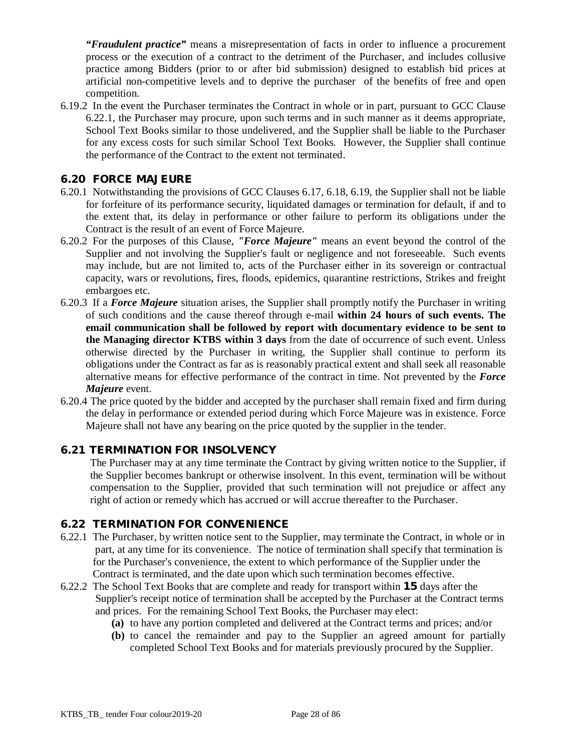*"Fraudulent practice"* means a misrepresentation of facts in order to influence a procurement process or the execution of a contract to the detriment of the Purchaser, and includes collusive practice among Bidders (prior to or after bid submission) designed to establish bid prices at artificial non-competitive levels and to deprive the purchaser of the benefits of free and open competition.

6.19.2 In the event the Purchaser terminates the Contract in whole or in part, pursuant to GCC Clause 6.22.1, the Purchaser may procure, upon such terms and in such manner as it deems appropriate, School Text Books similar to those undelivered, and the Supplier shall be liable to the Purchaser for any excess costs for such similar School Text Books. However, the Supplier shall continue the performance of the Contract to the extent not terminated.

#### **6.20 FORCE MAJEURE**

- 6.20.1 Notwithstanding the provisions of GCC Clauses 6.17, 6.18, 6.19, the Supplier shall not be liable for forfeiture of its performance security, liquidated damages or termination for default, if and to the extent that, its delay in performance or other failure to perform its obligations under the Contract is the result of an event of Force Majeure.
- 6.20.2 For the purposes of this Clause, *"Force Majeure"* means an event beyond the control of the Supplier and not involving the Supplier's fault or negligence and not foreseeable. Such events may include, but are not limited to, acts of the Purchaser either in its sovereign or contractual capacity, wars or revolutions, fires, floods, epidemics, quarantine restrictions, Strikes and freight embargoes etc.
- 6.20.3 If a *Force Majeure* situation arises, the Supplier shall promptly notify the Purchaser in writing of such conditions and the cause thereof through e-mail **within 24 hours of such events. The email communication shall be followed by report with documentary evidence to be sent to the Managing director KTBS within 3 days** from the date of occurrence of such event. Unless otherwise directed by the Purchaser in writing, the Supplier shall continue to perform its obligations under the Contract as far as is reasonably practical extent and shall seek all reasonable alternative means for effective performance of the contract in time. Not prevented by the *Force Majeure* event.
- 6.20.4 The price quoted by the bidder and accepted by the purchaser shall remain fixed and firm during the delay in performance or extended period during which Force Majeure was in existence. Force Majeure shall not have any bearing on the price quoted by the supplier in the tender.

#### **6.21 TERMINATION FOR INSOLVENCY**

The Purchaser may at any time terminate the Contract by giving written notice to the Supplier, if the Supplier becomes bankrupt or otherwise insolvent. In this event, termination will be without compensation to the Supplier, provided that such termination will not prejudice or affect any right of action or remedy which has accrued or will accrue thereafter to the Purchaser.

## **6.22 TERMINATION FOR CONVENIENCE**

- 6.22.1 The Purchaser, by written notice sent to the Supplier, may terminate the Contract, in whole or in part, at any time for its convenience. The notice of termination shall specify that termination is for the Purchaser's convenience, the extent to which performance of the Supplier under the Contract is terminated, and the date upon which such termination becomes effective.
- 6.22.2 The School Text Books that are complete and ready for transport within **15** days after the Supplier's receipt notice of termination shall be accepted by the Purchaser at the Contract terms and prices. For the remaining School Text Books, the Purchaser may elect:
	- **(a)** to have any portion completed and delivered at the Contract terms and prices; and/or
	- **(b)** to cancel the remainder and pay to the Supplier an agreed amount for partially completed School Text Books and for materials previously procured by the Supplier.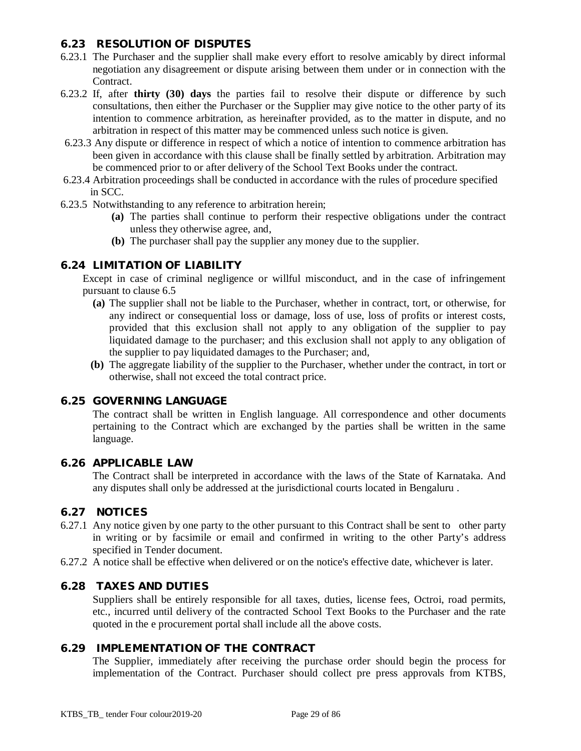### **6.23 RESOLUTION OF DISPUTES**

- 6.23.1 The Purchaser and the supplier shall make every effort to resolve amicably by direct informal negotiation any disagreement or dispute arising between them under or in connection with the Contract.
- 6.23.2 If, after **thirty (30) days** the parties fail to resolve their dispute or difference by such consultations, then either the Purchaser or the Supplier may give notice to the other party of its intention to commence arbitration, as hereinafter provided, as to the matter in dispute, and no arbitration in respect of this matter may be commenced unless such notice is given.
- 6.23.3 Any dispute or difference in respect of which a notice of intention to commence arbitration has been given in accordance with this clause shall be finally settled by arbitration. Arbitration may be commenced prior to or after delivery of the School Text Books under the contract.
- 6.23.4 Arbitration proceedings shall be conducted in accordance with the rules of procedure specified in SCC.
- 6.23.5 Notwithstanding to any reference to arbitration herein;
	- **(a)** The parties shall continue to perform their respective obligations under the contract unless they otherwise agree, and,
	- **(b)** The purchaser shall pay the supplier any money due to the supplier.

#### **6.24 LIMITATION OF LIABILITY**

Except in case of criminal negligence or willful misconduct, and in the case of infringement pursuant to clause 6.5

- **(a)** The supplier shall not be liable to the Purchaser, whether in contract, tort, or otherwise, for any indirect or consequential loss or damage, loss of use, loss of profits or interest costs, provided that this exclusion shall not apply to any obligation of the supplier to pay liquidated damage to the purchaser; and this exclusion shall not apply to any obligation of the supplier to pay liquidated damages to the Purchaser; and,
- **(b)** The aggregate liability of the supplier to the Purchaser, whether under the contract, in tort or otherwise, shall not exceed the total contract price.

#### **6.25 GOVERNING LANGUAGE**

The contract shall be written in English language. All correspondence and other documents pertaining to the Contract which are exchanged by the parties shall be written in the same language.

#### **6.26 APPLICABLE LAW**

The Contract shall be interpreted in accordance with the laws of the State of Karnataka. And any disputes shall only be addressed at the jurisdictional courts located in Bengaluru .

#### **6.27 NOTICES**

- 6.27.1 Any notice given by one party to the other pursuant to this Contract shall be sent to other party in writing or by facsimile or email and confirmed in writing to the other Party's address specified in Tender document.
- 6.27.2 A notice shall be effective when delivered or on the notice's effective date, whichever is later.

#### **6.28 TAXES AND DUTIES**

Suppliers shall be entirely responsible for all taxes, duties, license fees, Octroi, road permits, etc., incurred until delivery of the contracted School Text Books to the Purchaser and the rate quoted in the e procurement portal shall include all the above costs.

#### **6.29 IMPLEMENTATION OF THE CONTRACT**

The Supplier, immediately after receiving the purchase order should begin the process for implementation of the Contract. Purchaser should collect pre press approvals from KTBS,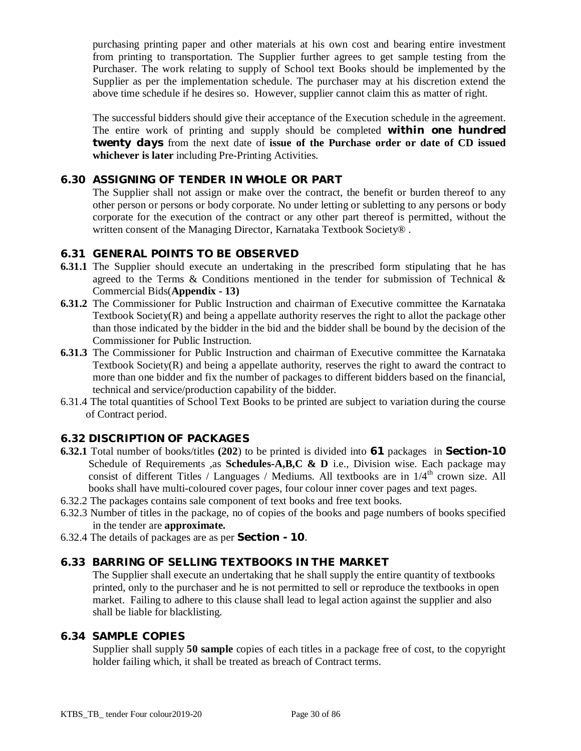purchasing printing paper and other materials at his own cost and bearing entire investment from printing to transportation. The Supplier further agrees to get sample testing from the Purchaser. The work relating to supply of School text Books should be implemented by the Supplier as per the implementation schedule. The purchaser may at his discretion extend the above time schedule if he desires so. However, supplier cannot claim this as matter of right.

The successful bidders should give their acceptance of the Execution schedule in the agreement. The entire work of printing and supply should be completed *within one hundred twenty days* from the next date of **issue of the Purchase order or date of CD issued whichever is later** including Pre-Printing Activities.

## **6.30 ASSIGNING OF TENDER IN WHOLE OR PART**

The Supplier shall not assign or make over the contract, the benefit or burden thereof to any other person or persons or body corporate. No under letting or subletting to any persons or body corporate for the execution of the contract or any other part thereof is permitted, without the written consent of the Managing Director, Karnataka Textbook Society®.

#### **6.31 GENERAL POINTS TO BE OBSERVED**

- **6.31.1** The Supplier should execute an undertaking in the prescribed form stipulating that he has agreed to the Terms & Conditions mentioned in the tender for submission of Technical  $\&$ Commercial Bids(**Appendix - 13)**
- **6.31.2** The Commissioner for Public Instruction and chairman of Executive committee the Karnataka Textbook Society(R) and being a appellate authority reserves the right to allot the package other than those indicated by the bidder in the bid and the bidder shall be bound by the decision of the Commissioner for Public Instruction.
- **6.31.3** The Commissioner for Public Instruction and chairman of Executive committee the Karnataka Textbook Society(R) and being a appellate authority, reserves the right to award the contract to more than one bidder and fix the number of packages to different bidders based on the financial, technical and service/production capability of the bidder.
- 6.31.4 The total quantities of School Text Books to be printed are subject to variation during the course of Contract period.

## **6.32 DISCRIPTION OF PACKAGES**

- **6.32.1** Total number of books/titles **(202**) to be printed is divided into **61** packages in **Section-10** Schedule of Requirements ,as **Schedules-A,B,C & D** i.e., Division wise. Each package may consist of different Titles / Languages / Mediums. All textbooks are in  $1/4<sup>th</sup>$  crown size. All books shall have multi-coloured cover pages, four colour inner cover pages and text pages.
- 6.32.2 The packages contains sale component of text books and free text books.
- 6.32.3 Number of titles in the package, no of copies of the books and page numbers of books specified in the tender are **approximate.**
- 6.32.4 The details of packages are as per **Section - 10**.

#### **6.33 BARRING OF SELLING TEXTBOOKS IN THE MARKET**

The Supplier shall execute an undertaking that he shall supply the entire quantity of textbooks printed, only to the purchaser and he is not permitted to sell or reproduce the textbooks in open market. Failing to adhere to this clause shall lead to legal action against the supplier and also shall be liable for blacklisting.

#### **6.34 SAMPLE COPIES**

Supplier shall supply **50 sample** copies of each titles in a package free of cost, to the copyright holder failing which, it shall be treated as breach of Contract terms.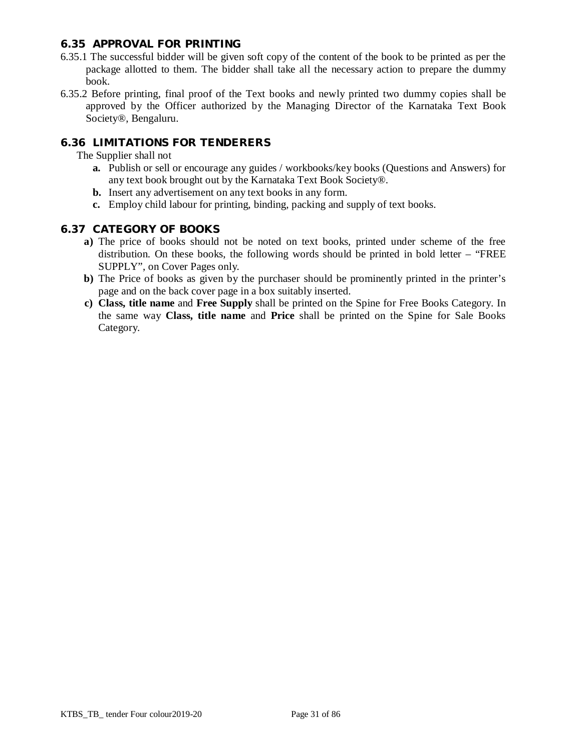#### **6.35 APPROVAL FOR PRINTING**

- 6.35.1 The successful bidder will be given soft copy of the content of the book to be printed as per the package allotted to them. The bidder shall take all the necessary action to prepare the dummy book.
- 6.35.2 Before printing, final proof of the Text books and newly printed two dummy copies shall be approved by the Officer authorized by the Managing Director of the Karnataka Text Book Society®, Bengaluru.

## **6.36 LIMITATIONS FOR TENDERERS**

The Supplier shall not

- **a.** Publish or sell or encourage any guides / workbooks/key books (Questions and Answers) for any text book brought out by the Karnataka Text Book Society®.
- **b.** Insert any advertisement on any text books in any form.
- **c.** Employ child labour for printing, binding, packing and supply of text books.

#### **6.37 CATEGORY OF BOOKS**

- **a)** The price of books should not be noted on text books, printed under scheme of the free distribution. On these books, the following words should be printed in bold letter – "FREE SUPPLY", on Cover Pages only.
- **b)** The Price of books as given by the purchaser should be prominently printed in the printer's page and on the back cover page in a box suitably inserted.
- **c) Class, title name** and **Free Supply** shall be printed on the Spine for Free Books Category. In the same way **Class, title name** and **Price** shall be printed on the Spine for Sale Books Category.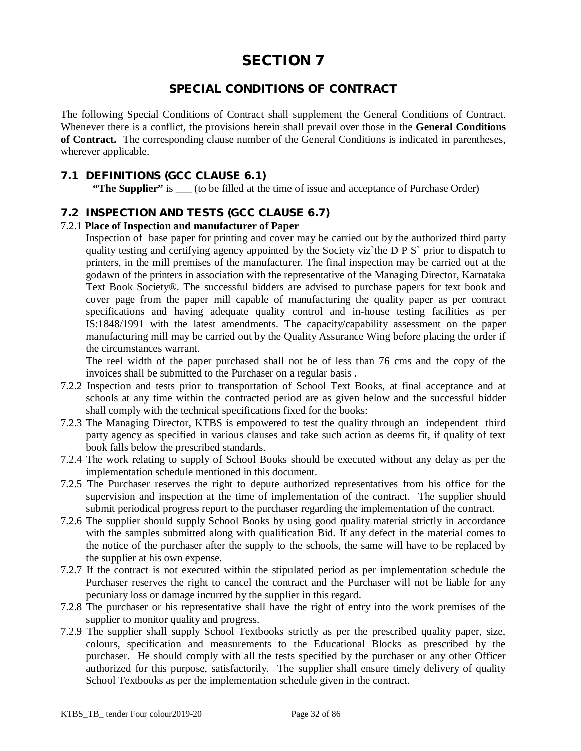## **SPECIAL CONDITIONS OF CONTRACT**

The following Special Conditions of Contract shall supplement the General Conditions of Contract. Whenever there is a conflict, the provisions herein shall prevail over those in the **General Conditions of Contract.** The corresponding clause number of the General Conditions is indicated in parentheses, wherever applicable.

#### **7.1 DEFINITIONS (GCC CLAUSE 6.1)**

**"The Supplier"** is (to be filled at the time of issue and acceptance of Purchase Order)

#### **7.2 INSPECTION AND TESTS (GCC CLAUSE 6.7)**

#### 7.2.1 **Place of Inspection and manufacturer of Paper**

Inspection of base paper for printing and cover may be carried out by the authorized third party quality testing and certifying agency appointed by the Society viz`the D P S` prior to dispatch to printers, in the mill premises of the manufacturer. The final inspection may be carried out at the godawn of the printers in association with the representative of the Managing Director, Karnataka Text Book Society®. The successful bidders are advised to purchase papers for text book and cover page from the paper mill capable of manufacturing the quality paper as per contract specifications and having adequate quality control and in-house testing facilities as per IS:1848/1991 with the latest amendments. The capacity/capability assessment on the paper manufacturing mill may be carried out by the Quality Assurance Wing before placing the order if the circumstances warrant.

The reel width of the paper purchased shall not be of less than 76 cms and the copy of the invoices shall be submitted to the Purchaser on a regular basis .

- 7.2.2 Inspection and tests prior to transportation of School Text Books, at final acceptance and at schools at any time within the contracted period are as given below and the successful bidder shall comply with the technical specifications fixed for the books:
- 7.2.3 The Managing Director, KTBS is empowered to test the quality through an independent third party agency as specified in various clauses and take such action as deems fit, if quality of text book falls below the prescribed standards.
- 7.2.4 The work relating to supply of School Books should be executed without any delay as per the implementation schedule mentioned in this document.
- 7.2.5 The Purchaser reserves the right to depute authorized representatives from his office for the supervision and inspection at the time of implementation of the contract. The supplier should submit periodical progress report to the purchaser regarding the implementation of the contract.
- 7.2.6 The supplier should supply School Books by using good quality material strictly in accordance with the samples submitted along with qualification Bid. If any defect in the material comes to the notice of the purchaser after the supply to the schools, the same will have to be replaced by the supplier at his own expense.
- 7.2.7 If the contract is not executed within the stipulated period as per implementation schedule the Purchaser reserves the right to cancel the contract and the Purchaser will not be liable for any pecuniary loss or damage incurred by the supplier in this regard.
- 7.2.8 The purchaser or his representative shall have the right of entry into the work premises of the supplier to monitor quality and progress.
- 7.2.9 The supplier shall supply School Textbooks strictly as per the prescribed quality paper, size, colours, specification and measurements to the Educational Blocks as prescribed by the purchaser. He should comply with all the tests specified by the purchaser or any other Officer authorized for this purpose, satisfactorily. The supplier shall ensure timely delivery of quality School Textbooks as per the implementation schedule given in the contract.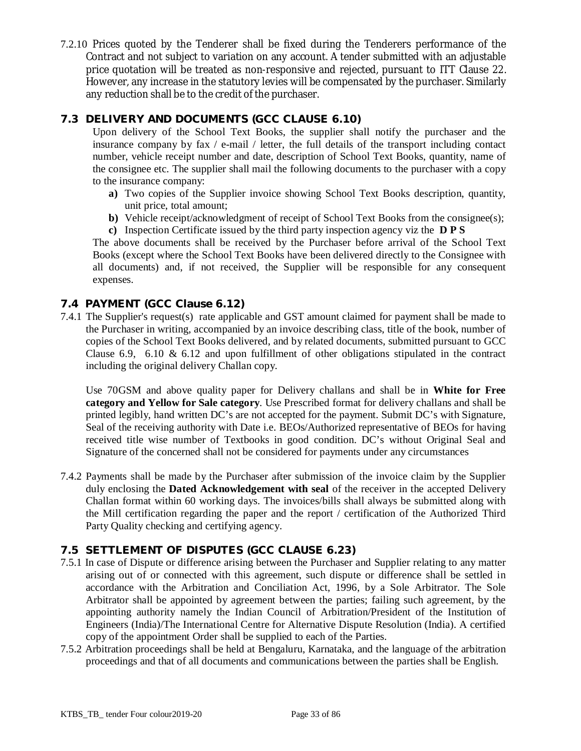7.2.10 Prices quoted by the Tenderer shall be fixed during the Tenderers performance of the Contract and not subject to variation on any account. A tender submitted with an adjustable price quotation will be treated as non-responsive and rejected, pursuant to ITT Clause 22. However, any increase in the statutory levies will be compensated by the purchaser. Similarly any reduction shall be to the credit of the purchaser.

## **7.3 DELIVERY AND DOCUMENTS (GCC CLAUSE 6.10)**

Upon delivery of the School Text Books, the supplier shall notify the purchaser and the insurance company by fax / e-mail / letter, the full details of the transport including contact number, vehicle receipt number and date, description of School Text Books, quantity, name of the consignee etc. The supplier shall mail the following documents to the purchaser with a copy to the insurance company:

- **a)** Two copies of the Supplier invoice showing School Text Books description, quantity, unit price, total amount;
- **b**) Vehicle receipt/acknowledgment of receipt of School Text Books from the consignee(s);
- **c)** Inspection Certificate issued by the third party inspection agency viz the **D P S**

The above documents shall be received by the Purchaser before arrival of the School Text Books (except where the School Text Books have been delivered directly to the Consignee with all documents) and, if not received, the Supplier will be responsible for any consequent expenses.

## **7.4 PAYMENT (GCC Clause 6.12)**

7.4.1 The Supplier's request(s) rate applicable and GST amount claimed for payment shall be made to the Purchaser in writing, accompanied by an invoice describing class, title of the book, number of copies of the School Text Books delivered, and by related documents, submitted pursuant to GCC Clause 6.9, 6.10  $\&$  6.12 and upon fulfillment of other obligations stipulated in the contract including the original delivery Challan copy.

Use 70GSM and above quality paper for Delivery challans and shall be in **White for Free category and Yellow for Sale category**. Use Prescribed format for delivery challans and shall be printed legibly, hand written DC's are not accepted for the payment. Submit DC's with Signature, Seal of the receiving authority with Date i.e. BEOs/Authorized representative of BEOs for having received title wise number of Textbooks in good condition. DC's without Original Seal and Signature of the concerned shall not be considered for payments under any circumstances

7.4.2 Payments shall be made by the Purchaser after submission of the invoice claim by the Supplier duly enclosing the **Dated Acknowledgement with seal** of the receiver in the accepted Delivery Challan format within 60 working days. The invoices/bills shall always be submitted along with the Mill certification regarding the paper and the report / certification of the Authorized Third Party Quality checking and certifying agency.

## **7.5 SETTLEMENT OF DISPUTES (GCC CLAUSE 6.23)**

- 7.5.1 In case of Dispute or difference arising between the Purchaser and Supplier relating to any matter arising out of or connected with this agreement, such dispute or difference shall be settled in accordance with the Arbitration and Conciliation Act, 1996, by a Sole Arbitrator. The Sole Arbitrator shall be appointed by agreement between the parties; failing such agreement, by the appointing authority namely the Indian Council of Arbitration/President of the Institution of Engineers (India)/The International Centre for Alternative Dispute Resolution (India). A certified copy of the appointment Order shall be supplied to each of the Parties.
- 7.5.2 Arbitration proceedings shall be held at Bengaluru, Karnataka, and the language of the arbitration proceedings and that of all documents and communications between the parties shall be English.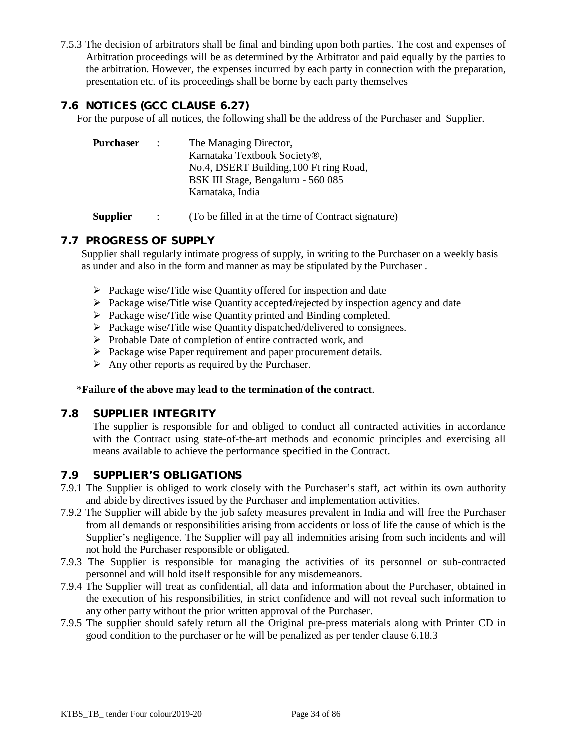7.5.3 The decision of arbitrators shall be final and binding upon both parties. The cost and expenses of Arbitration proceedings will be as determined by the Arbitrator and paid equally by the parties to the arbitration. However, the expenses incurred by each party in connection with the preparation, presentation etc. of its proceedings shall be borne by each party themselves

## **7.6 NOTICES (GCC CLAUSE 6.27)**

For the purpose of all notices, the following shall be the address of the Purchaser and Supplier.

| <b>Purchaser</b> | $\sim 1000$ | The Managing Director,                  |  |
|------------------|-------------|-----------------------------------------|--|
|                  |             | Karnataka Textbook Society®,            |  |
|                  |             | No.4, DSERT Building, 100 Ft ring Road, |  |
|                  |             | BSK III Stage, Bengaluru - 560 085      |  |
|                  |             | Karnataka, India                        |  |
|                  |             |                                         |  |

**Supplier** : (To be filled in at the time of Contract signature)

## **7.7 PROGRESS OF SUPPLY**

Supplier shall regularly intimate progress of supply, in writing to the Purchaser on a weekly basis as under and also in the form and manner as may be stipulated by the Purchaser .

- $\triangleright$  Package wise/Title wise Quantity offered for inspection and date
- $\triangleright$  Package wise/Title wise Quantity accepted/rejected by inspection agency and date
- $\triangleright$  Package wise/Title wise Quantity printed and Binding completed.
- $\triangleright$  Package wise/Title wise Quantity dispatched/delivered to consignees.
- $\triangleright$  Probable Date of completion of entire contracted work, and
- $\triangleright$  Package wise Paper requirement and paper procurement details.
- $\triangleright$  Any other reports as required by the Purchaser.

#### \***Failure of the above may lead to the termination of the contract**.

#### **7.8 SUPPLIER INTEGRITY**

The supplier is responsible for and obliged to conduct all contracted activities in accordance with the Contract using state-of-the-art methods and economic principles and exercising all means available to achieve the performance specified in the Contract.

#### **7.9 SUPPLIER'S OBLIGATIONS**

- 7.9.1 The Supplier is obliged to work closely with the Purchaser's staff, act within its own authority and abide by directives issued by the Purchaser and implementation activities.
- 7.9.2 The Supplier will abide by the job safety measures prevalent in India and will free the Purchaser from all demands or responsibilities arising from accidents or loss of life the cause of which is the Supplier's negligence. The Supplier will pay all indemnities arising from such incidents and will not hold the Purchaser responsible or obligated.
- 7.9.3 The Supplier is responsible for managing the activities of its personnel or sub-contracted personnel and will hold itself responsible for any misdemeanors.
- 7.9.4 The Supplier will treat as confidential, all data and information about the Purchaser, obtained in the execution of his responsibilities, in strict confidence and will not reveal such information to any other party without the prior written approval of the Purchaser.
- 7.9.5 The supplier should safely return all the Original pre-press materials along with Printer CD in good condition to the purchaser or he will be penalized as per tender clause 6.18.3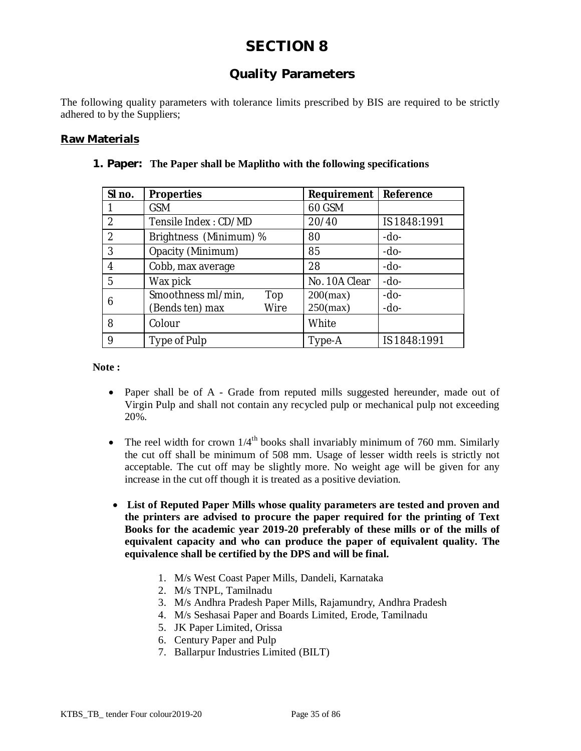## **Quality Parameters**

The following quality parameters with tolerance limits prescribed by BIS are required to be strictly adhered to by the Suppliers;

#### **Raw Materials**

| SI no.         | <b>Properties</b>         | Requirement   | Reference    |
|----------------|---------------------------|---------------|--------------|
|                | <b>GSM</b>                | 60 GSM        |              |
| $\overline{2}$ | Tensile Index: CD/MD      | 20/40         | IS 1848:1991 |
| $\overline{2}$ | Brightness (Minimum) %    | 80            | $-do-$       |
| 3              | Opacity (Minimum)         | 85            | $-do-$       |
| 4              | Cobb, max average         | 28            | $-do-$       |
| 5              | Wax pick                  | No. 10A Clear | -do-         |
| 6              | Smoothness ml/min,<br>Top | $200$ (max)   | $-do-$       |
|                | (Bends ten) max<br>Wire   | $250$ (max)   | -do-         |
| 8              | Colour                    | White         |              |
| 9              | Type of Pulp              | Type-A        | IS 1848:1991 |

#### **1. Paper: The Paper shall be Maplitho with the following specifications**

**Note :**

- Paper shall be of A Grade from reputed mills suggested hereunder, made out of Virgin Pulp and shall not contain any recycled pulp or mechanical pulp not exceeding 20%.
- The reel width for crown  $1/4^{\text{th}}$  books shall invariably minimum of 760 mm. Similarly the cut off shall be minimum of 508 mm. Usage of lesser width reels is strictly not acceptable. The cut off may be slightly more. No weight age will be given for any increase in the cut off though it is treated as a positive deviation.
- **List of Reputed Paper Mills whose quality parameters are tested and proven and the printers are advised to procure the paper required for the printing of Text Books for the academic year 2019-20 preferably of these mills or of the mills of equivalent capacity and who can produce the paper of equivalent quality. The equivalence shall be certified by the DPS and will be final.**
	- 1. M/s West Coast Paper Mills, Dandeli, Karnataka
	- 2. M/s TNPL, Tamilnadu
	- 3. M/s Andhra Pradesh Paper Mills, Rajamundry, Andhra Pradesh
	- 4. M/s Seshasai Paper and Boards Limited, Erode, Tamilnadu
	- 5. JK Paper Limited, Orissa
	- 6. Century Paper and Pulp
	- 7. Ballarpur Industries Limited (BILT)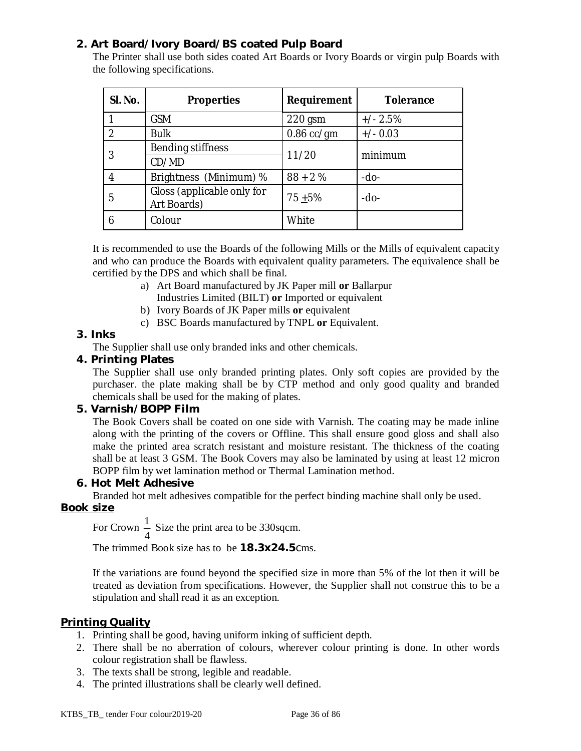## **2. Art Board/Ivory Board/BS coated Pulp Board**

The Printer shall use both sides coated Art Boards or Ivory Boards or virgin pulp Boards with the following specifications.

| SI. No.       | <b>Properties</b>                         | <b>Requirement</b> | <b>Tolerance</b> |  |
|---------------|-------------------------------------------|--------------------|------------------|--|
|               | <b>GSM</b>                                | $220$ gsm          | $+/- 2.5%$       |  |
| $\mathcal{P}$ | <b>Bulk</b>                               | $0.86$ cc/gm       | $+/- 0.03$       |  |
|               | Bending stiffness                         |                    | minimum          |  |
|               | CD/MD                                     | 11/20              |                  |  |
|               | Brightness (Minimum) %                    | $88 + 2%$          | $-do-$           |  |
| 5             | Gloss (applicable only for<br>Art Boards) | $75 + 5%$          | -do-             |  |
| 6             | Colour                                    | White              |                  |  |

It is recommended to use the Boards of the following Mills or the Mills of equivalent capacity and who can produce the Boards with equivalent quality parameters. The equivalence shall be certified by the DPS and which shall be final.

- a) Art Board manufactured by JK Paper mill **or** Ballarpur Industries Limited (BILT) **or** Imported or equivalent
- b) Ivory Boards of JK Paper mills **or** equivalent
- c) BSC Boards manufactured by TNPL **or** Equivalent.

## **3. Inks**

The Supplier shall use only branded inks and other chemicals.

## **4. Printing Plates**

The Supplier shall use only branded printing plates. Only soft copies are provided by the purchaser. the plate making shall be by CTP method and only good quality and branded chemicals shall be used for the making of plates.

#### **5. Varnish/BOPP Film**

The Book Covers shall be coated on one side with Varnish. The coating may be made inline along with the printing of the covers or Offline. This shall ensure good gloss and shall also make the printed area scratch resistant and moisture resistant. The thickness of the coating shall be at least 3 GSM. The Book Covers may also be laminated by using at least 12 micron BOPP film by wet lamination method or Thermal Lamination method.

#### **6. Hot Melt Adhesive**

Branded hot melt adhesives compatible for the perfect binding machine shall only be used.

## **Book size**

For Crown 4  $\frac{1}{1}$  Size the print area to be 330 sqcm.

The trimmed Book size has to be **18.3x24.5**cms.

If the variations are found beyond the specified size in more than 5% of the lot then it will be treated as deviation from specifications. However, the Supplier shall not construe this to be a stipulation and shall read it as an exception.

## **Printing Quality**

- 1. Printing shall be good, having uniform inking of sufficient depth.
- 2. There shall be no aberration of colours, wherever colour printing is done. In other words colour registration shall be flawless.
- 3. The texts shall be strong, legible and readable.
- 4. The printed illustrations shall be clearly well defined.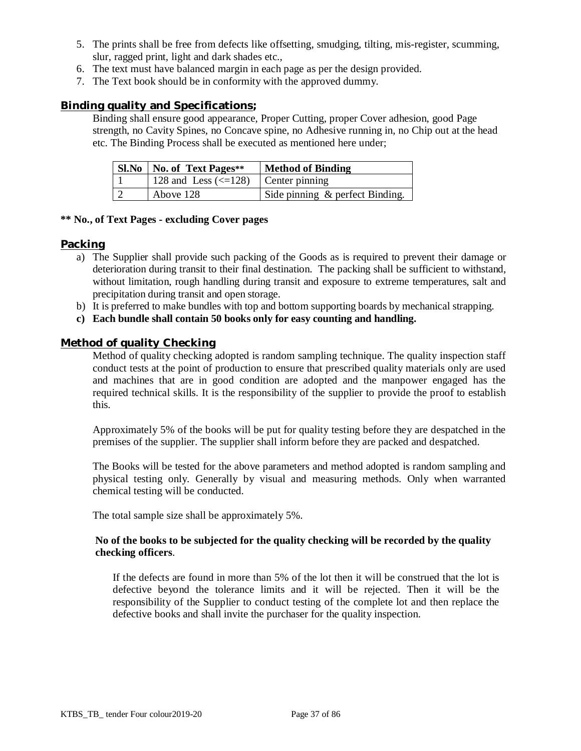- 5. The prints shall be free from defects like offsetting, smudging, tilting, mis-register, scumming, slur, ragged print, light and dark shades etc.,
- 6. The text must have balanced margin in each page as per the design provided.
- 7. The Text book should be in conformity with the approved dummy.

## **Binding quality and Specifications;**

Binding shall ensure good appearance, Proper Cutting, proper Cover adhesion, good Page strength, no Cavity Spines, no Concave spine, no Adhesive running in, no Chip out at the head etc. The Binding Process shall be executed as mentioned here under;

| <b>SI.No</b>   <b>No.</b> of Text Pages**           | <b>Method of Binding</b>           |  |  |  |  |
|-----------------------------------------------------|------------------------------------|--|--|--|--|
| 128 and Less $\left(\leq 128\right)$ Center pinning |                                    |  |  |  |  |
| Above 128                                           | Side pinning $\&$ perfect Binding. |  |  |  |  |

#### **\*\* No., of Text Pages - excluding Cover pages**

#### **Packing**

- a) The Supplier shall provide such packing of the Goods as is required to prevent their damage or deterioration during transit to their final destination. The packing shall be sufficient to withstand, without limitation, rough handling during transit and exposure to extreme temperatures, salt and precipitation during transit and open storage.
- b) It is preferred to make bundles with top and bottom supporting boards by mechanical strapping.
- **c) Each bundle shall contain 50 books only for easy counting and handling.**

### **Method of quality Checking**

Method of quality checking adopted is random sampling technique. The quality inspection staff conduct tests at the point of production to ensure that prescribed quality materials only are used and machines that are in good condition are adopted and the manpower engaged has the required technical skills. It is the responsibility of the supplier to provide the proof to establish this.

Approximately 5% of the books will be put for quality testing before they are despatched in the premises of the supplier. The supplier shall inform before they are packed and despatched.

The Books will be tested for the above parameters and method adopted is random sampling and physical testing only. Generally by visual and measuring methods. Only when warranted chemical testing will be conducted.

The total sample size shall be approximately 5%.

### **No of the books to be subjected for the quality checking will be recorded by the quality checking officers**.

If the defects are found in more than 5% of the lot then it will be construed that the lot is defective beyond the tolerance limits and it will be rejected. Then it will be the responsibility of the Supplier to conduct testing of the complete lot and then replace the defective books and shall invite the purchaser for the quality inspection.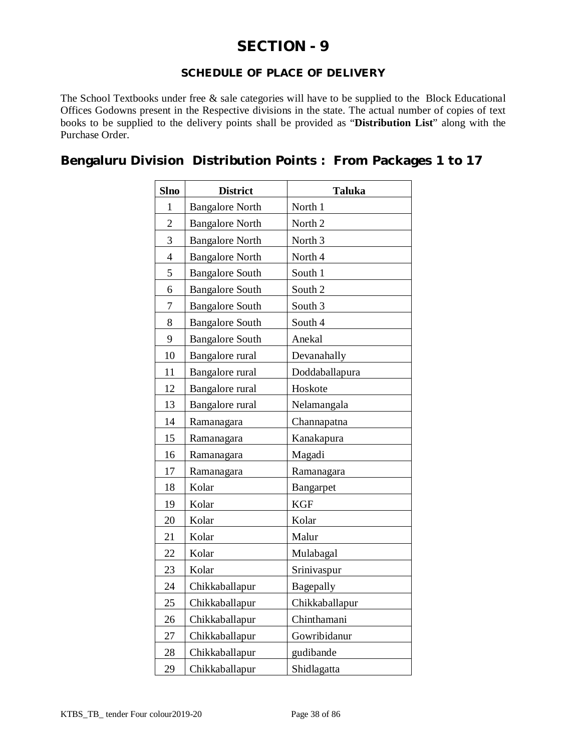# **SECTION - 9**

# **SCHEDULE OF PLACE OF DELIVERY**

The School Textbooks under free & sale categories will have to be supplied to the Block Educational Offices Godowns present in the Respective divisions in the state. The actual number of copies of text books to be supplied to the delivery points shall be provided as "**Distribution List**" along with the Purchase Order.

**Bengaluru Division Distribution Points : From Packages 1 to 17** 

| <b>Slno</b>    | <b>District</b>           | <b>Taluka</b>      |  |  |  |  |
|----------------|---------------------------|--------------------|--|--|--|--|
| 1              | <b>Bangalore North</b>    | North 1            |  |  |  |  |
| $\overline{2}$ | <b>Bangalore North</b>    | North <sub>2</sub> |  |  |  |  |
| 3              | <b>Bangalore North</b>    | North <sub>3</sub> |  |  |  |  |
| $\overline{4}$ | <b>Bangalore North</b>    | North 4            |  |  |  |  |
| 5              | <b>Bangalore South</b>    | South 1            |  |  |  |  |
| 6              | <b>Bangalore South</b>    | South 2            |  |  |  |  |
| 7              | <b>Bangalore South</b>    | South <sub>3</sub> |  |  |  |  |
| 8              | <b>Bangalore South</b>    | South 4            |  |  |  |  |
| 9              | <b>Bangalore South</b>    | Anekal             |  |  |  |  |
| 10             | Bangalore rural           | Devanahally        |  |  |  |  |
| 11             | Bangalore rural           | Doddaballapura     |  |  |  |  |
| 12             | Bangalore rural           | Hoskote            |  |  |  |  |
| 13             | Bangalore rural           | Nelamangala        |  |  |  |  |
| 14             | Ramanagara<br>Channapatna |                    |  |  |  |  |
| 15             | Ramanagara                | Kanakapura         |  |  |  |  |
| 16             | Ramanagara                | Magadi             |  |  |  |  |
| 17             | Ramanagara                | Ramanagara         |  |  |  |  |
| 18             | Kolar                     | Bangarpet          |  |  |  |  |
| 19             | Kolar                     | <b>KGF</b>         |  |  |  |  |
| 20             | Kolar                     | Kolar              |  |  |  |  |
| 21             | Kolar                     | Malur              |  |  |  |  |
| 22             | Kolar                     | Mulabagal          |  |  |  |  |
| 23             | Kolar                     | Srinivaspur        |  |  |  |  |
| 24             | Chikkaballapur            | Bagepally          |  |  |  |  |
| 25             | Chikkaballapur            | Chikkaballapur     |  |  |  |  |
| 26             | Chikkaballapur            | Chinthamani        |  |  |  |  |
| 27             | Chikkaballapur            | Gowribidanur       |  |  |  |  |
| 28             | Chikkaballapur            | gudibande          |  |  |  |  |
| 29             | Chikkaballapur            | Shidlagatta        |  |  |  |  |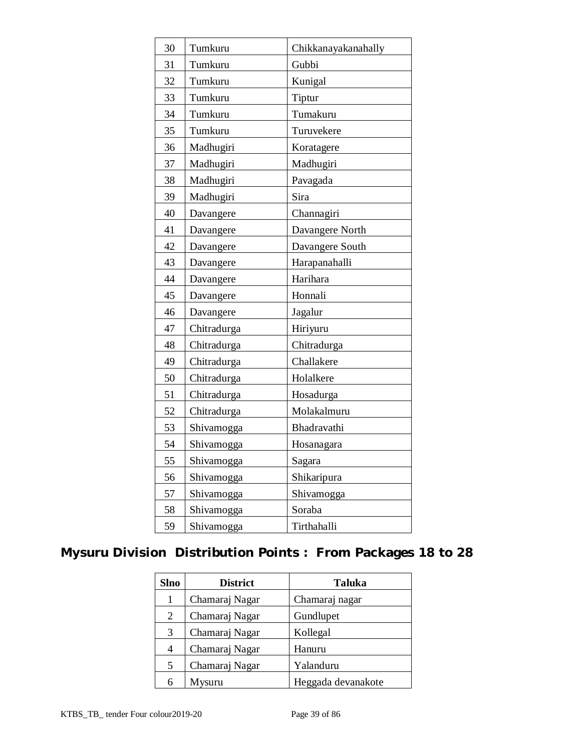| 30 | Tumkuru<br>Chikkanayakanahally |                 |  |  |  |  |  |
|----|--------------------------------|-----------------|--|--|--|--|--|
| 31 | Tumkuru                        | Gubbi           |  |  |  |  |  |
| 32 | Tumkuru                        | Kunigal         |  |  |  |  |  |
| 33 | Tumkuru                        | Tiptur          |  |  |  |  |  |
| 34 | Tumkuru                        | Tumakuru        |  |  |  |  |  |
| 35 | Tumkuru                        | Turuvekere      |  |  |  |  |  |
| 36 | Madhugiri                      | Koratagere      |  |  |  |  |  |
| 37 | Madhugiri                      | Madhugiri       |  |  |  |  |  |
| 38 | Madhugiri                      | Pavagada        |  |  |  |  |  |
| 39 | Madhugiri                      | Sira            |  |  |  |  |  |
| 40 | Davangere                      | Channagiri      |  |  |  |  |  |
| 41 | Davangere                      | Davangere North |  |  |  |  |  |
| 42 | Davangere                      | Davangere South |  |  |  |  |  |
| 43 | Davangere                      | Harapanahalli   |  |  |  |  |  |
| 44 | Davangere                      | Harihara        |  |  |  |  |  |
| 45 | Davangere                      | Honnali         |  |  |  |  |  |
| 46 | Davangere                      | Jagalur         |  |  |  |  |  |
| 47 | Chitradurga                    | Hiriyuru        |  |  |  |  |  |
| 48 | Chitradurga                    | Chitradurga     |  |  |  |  |  |
| 49 | Chitradurga                    | Challakere      |  |  |  |  |  |
| 50 | Chitradurga                    | Holalkere       |  |  |  |  |  |
| 51 | Chitradurga                    | Hosadurga       |  |  |  |  |  |
| 52 | Chitradurga                    | Molakalmuru     |  |  |  |  |  |
| 53 | Shivamogga                     | Bhadravathi     |  |  |  |  |  |
| 54 | Shivamogga                     | Hosanagara      |  |  |  |  |  |
| 55 | Shivamogga                     | Sagara          |  |  |  |  |  |
| 56 | Shivamogga                     | Shikaripura     |  |  |  |  |  |
| 57 | Shivamogga                     | Shivamogga      |  |  |  |  |  |
| 58 | Shivamogga                     | Soraba          |  |  |  |  |  |
| 59 | Shivamogga                     | Tirthahalli     |  |  |  |  |  |

# **Mysuru Division Distribution Points : From Packages 18 to 28**

| <b>Slno</b> | <b>District</b><br><b>Taluka</b> |                    |  |  |  |  |  |
|-------------|----------------------------------|--------------------|--|--|--|--|--|
| 1           | Chamaraj Nagar                   | Chamaraj nagar     |  |  |  |  |  |
| 2           | Chamaraj Nagar<br>Gundlupet      |                    |  |  |  |  |  |
| 3           | Chamaraj Nagar<br>Kollegal       |                    |  |  |  |  |  |
| 4           | Chamaraj Nagar<br>Hanuru         |                    |  |  |  |  |  |
| 5           | Chamaraj Nagar                   | Yalanduru          |  |  |  |  |  |
| 6           | Mysuru                           | Heggada devanakote |  |  |  |  |  |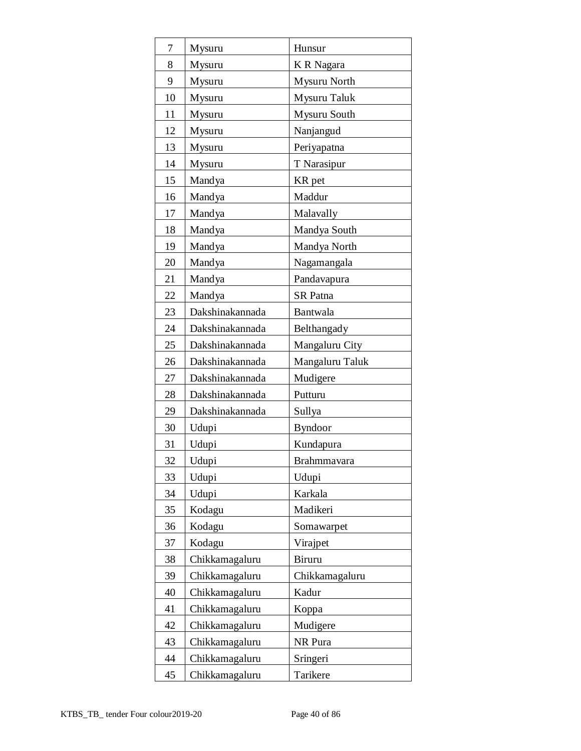| 7  | Mysuru          | Hunsur          |  |  |  |  |  |
|----|-----------------|-----------------|--|--|--|--|--|
| 8  | Mysuru          | K R Nagara      |  |  |  |  |  |
| 9  | Mysuru          | Mysuru North    |  |  |  |  |  |
| 10 | Mysuru          | Mysuru Taluk    |  |  |  |  |  |
| 11 | Mysuru          | Mysuru South    |  |  |  |  |  |
| 12 | Mysuru          | Nanjangud       |  |  |  |  |  |
| 13 | Mysuru          | Periyapatna     |  |  |  |  |  |
| 14 | Mysuru          | T Narasipur     |  |  |  |  |  |
| 15 | Mandya          | KR pet          |  |  |  |  |  |
| 16 | Mandya          | Maddur          |  |  |  |  |  |
| 17 | Mandya          | Malavally       |  |  |  |  |  |
| 18 | Mandya          | Mandya South    |  |  |  |  |  |
| 19 | Mandya          | Mandya North    |  |  |  |  |  |
| 20 | Mandya          | Nagamangala     |  |  |  |  |  |
| 21 | Mandya          | Pandavapura     |  |  |  |  |  |
| 22 | Mandya          | <b>SR</b> Patna |  |  |  |  |  |
| 23 | Dakshinakannada | Bantwala        |  |  |  |  |  |
| 24 | Dakshinakannada | Belthangady     |  |  |  |  |  |
| 25 | Dakshinakannada | Mangaluru City  |  |  |  |  |  |
| 26 | Dakshinakannada | Mangaluru Taluk |  |  |  |  |  |
| 27 | Dakshinakannada | Mudigere        |  |  |  |  |  |
| 28 | Dakshinakannada | Putturu         |  |  |  |  |  |
| 29 | Dakshinakannada | Sullya          |  |  |  |  |  |
| 30 | Udupi           | <b>Byndoor</b>  |  |  |  |  |  |
| 31 | Udupi           | Kundapura       |  |  |  |  |  |
| 32 | Udupi           | Brahmmayara     |  |  |  |  |  |
| 33 | Udupi           | Udupi           |  |  |  |  |  |
| 34 | Udupi           | Karkala         |  |  |  |  |  |
| 35 | Kodagu          | Madikeri        |  |  |  |  |  |
| 36 | Kodagu          | Somawarpet      |  |  |  |  |  |
| 37 | Kodagu          | Virajpet        |  |  |  |  |  |
| 38 | Chikkamagaluru  | Biruru          |  |  |  |  |  |
| 39 | Chikkamagaluru  | Chikkamagaluru  |  |  |  |  |  |
| 40 | Chikkamagaluru  | Kadur           |  |  |  |  |  |
| 41 | Chikkamagaluru  | Koppa           |  |  |  |  |  |
| 42 | Chikkamagaluru  | Mudigere        |  |  |  |  |  |
| 43 | Chikkamagaluru  | NR Pura         |  |  |  |  |  |
| 44 | Chikkamagaluru  | Sringeri        |  |  |  |  |  |
| 45 | Chikkamagaluru  | Tarikere        |  |  |  |  |  |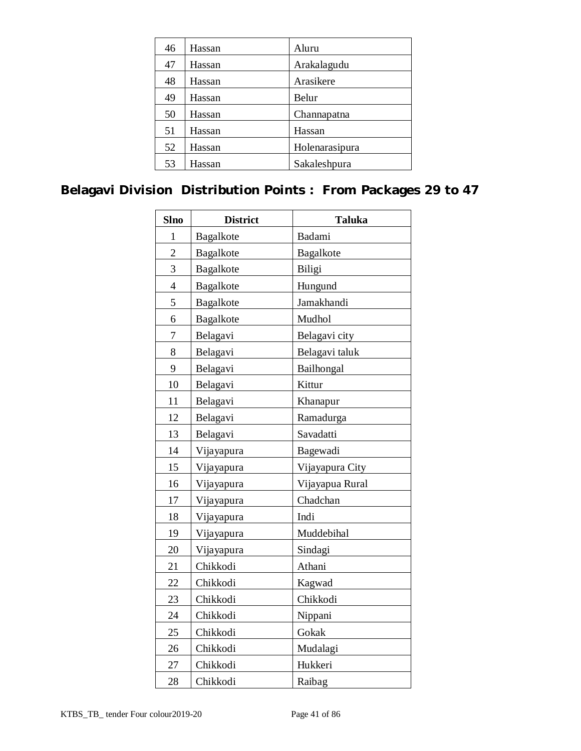| 46 | Hassan | Aluru          |  |  |  |
|----|--------|----------------|--|--|--|
| 47 | Hassan | Arakalagudu    |  |  |  |
| 48 | Hassan | Arasikere      |  |  |  |
| 49 | Hassan | Belur          |  |  |  |
| 50 | Hassan | Channapatna    |  |  |  |
| 51 | Hassan | Hassan         |  |  |  |
| 52 | Hassan | Holenarasipura |  |  |  |
| 53 | Hassan | Sakaleshpura   |  |  |  |
|    |        |                |  |  |  |

# **Belagavi Division Distribution Points : From Packages 29 to 47**

| <b>Slno</b>    | <b>District</b><br><b>Taluka</b> |                 |  |  |  |  |
|----------------|----------------------------------|-----------------|--|--|--|--|
| $\mathbf{1}$   | Bagalkote                        | Badami          |  |  |  |  |
| $\overline{2}$ | Bagalkote                        | Bagalkote       |  |  |  |  |
| 3              | Bagalkote                        | Biligi          |  |  |  |  |
| $\overline{4}$ | Bagalkote                        | Hungund         |  |  |  |  |
| 5              | Bagalkote                        | Jamakhandi      |  |  |  |  |
| 6              | Bagalkote                        | Mudhol          |  |  |  |  |
| $\overline{7}$ | Belagavi                         | Belagavi city   |  |  |  |  |
| 8              | Belagavi                         | Belagavi taluk  |  |  |  |  |
| 9              | Belagavi                         | Bailhongal      |  |  |  |  |
| 10             | Belagavi                         | Kittur          |  |  |  |  |
| 11             | Belagavi                         | Khanapur        |  |  |  |  |
| 12             | Belagavi                         | Ramadurga       |  |  |  |  |
| 13             | Belagavi                         | Savadatti       |  |  |  |  |
| 14             | Vijayapura                       | Bagewadi        |  |  |  |  |
| 15             | Vijayapura                       | Vijayapura City |  |  |  |  |
| 16             | Vijayapura                       | Vijayapua Rural |  |  |  |  |
| 17             | Vijayapura                       | Chadchan        |  |  |  |  |
| 18             | Vijayapura                       | Indi            |  |  |  |  |
| 19             | Vijayapura                       | Muddebihal      |  |  |  |  |
| 20             | Vijayapura                       | Sindagi         |  |  |  |  |
| 21             | Chikkodi                         | Athani          |  |  |  |  |
| 22             | Chikkodi                         | Kagwad          |  |  |  |  |
| 23             | Chikkodi                         | Chikkodi        |  |  |  |  |
| 24             | Chikkodi                         | Nippani         |  |  |  |  |
| 25             | Chikkodi                         | Gokak           |  |  |  |  |
| 26             | Chikkodi                         | Mudalagi        |  |  |  |  |
| 27             | Chikkodi                         | Hukkeri         |  |  |  |  |
| 28             | Chikkodi                         | Raibag          |  |  |  |  |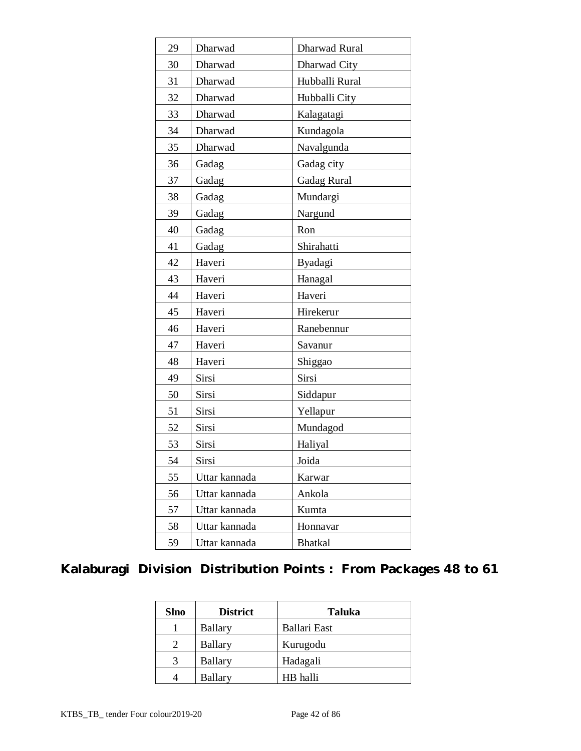| 29 | Dharwad       | Dharwad Rural      |  |  |  |  |
|----|---------------|--------------------|--|--|--|--|
| 30 | Dharwad       | Dharwad City       |  |  |  |  |
| 31 | Dharwad       | Hubballi Rural     |  |  |  |  |
| 32 | Dharwad       | Hubballi City      |  |  |  |  |
| 33 | Dharwad       | Kalagatagi         |  |  |  |  |
| 34 | Dharwad       | Kundagola          |  |  |  |  |
| 35 | Dharwad       | Navalgunda         |  |  |  |  |
| 36 | Gadag         | Gadag city         |  |  |  |  |
| 37 | Gadag         | <b>Gadag Rural</b> |  |  |  |  |
| 38 | Gadag         | Mundargi           |  |  |  |  |
| 39 | Gadag         | Nargund            |  |  |  |  |
| 40 | Gadag         | Ron                |  |  |  |  |
| 41 | Gadag         | Shirahatti         |  |  |  |  |
| 42 | Haveri        | Byadagi            |  |  |  |  |
| 43 | Haveri        | Hanagal            |  |  |  |  |
| 44 | Haveri        | Haveri             |  |  |  |  |
| 45 | Haveri        | Hirekerur          |  |  |  |  |
| 46 | Haveri        | Ranebennur         |  |  |  |  |
| 47 | Haveri        | Savanur            |  |  |  |  |
| 48 | Haveri        | Shiggao            |  |  |  |  |
| 49 | Sirsi         | Sirsi              |  |  |  |  |
| 50 | Sirsi         | Siddapur           |  |  |  |  |
| 51 | Sirsi         | Yellapur           |  |  |  |  |
| 52 | Sirsi         | Mundagod           |  |  |  |  |
| 53 | Sirsi         | Haliyal            |  |  |  |  |
| 54 | Sirsi         | Joida              |  |  |  |  |
| 55 | Uttar kannada | Karwar             |  |  |  |  |
| 56 | Uttar kannada | Ankola             |  |  |  |  |
| 57 | Uttar kannada | Kumta              |  |  |  |  |
| 58 | Uttar kannada | Honnavar           |  |  |  |  |
| 59 | Uttar kannada | <b>Bhatkal</b>     |  |  |  |  |

# **Kalaburagi Division Distribution Points : From Packages 48 to 61**

| <b>Slno</b> | <b>District</b> | <b>Taluka</b> |  |  |
|-------------|-----------------|---------------|--|--|
|             | Ballary         | Ballari East  |  |  |
|             | Ballary         | Kurugodu      |  |  |
|             | Ballary         | Hadagali      |  |  |
|             | <b>Ballary</b>  | HB halli      |  |  |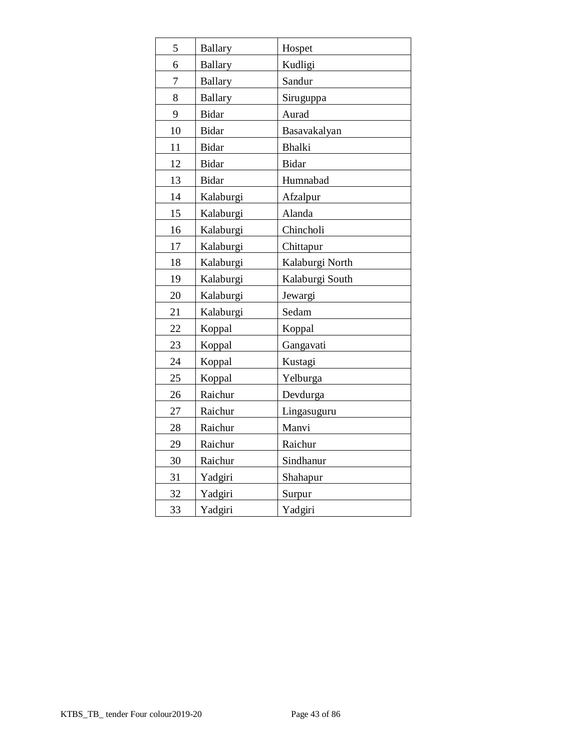| 5  | <b>Ballary</b> | Hospet          |
|----|----------------|-----------------|
| 6  | <b>Ballary</b> | Kudligi         |
| 7  | <b>Ballary</b> | Sandur          |
| 8  | <b>Ballary</b> | Siruguppa       |
| 9  | <b>Bidar</b>   | Aurad           |
| 10 | <b>Bidar</b>   | Basavakalyan    |
| 11 | <b>Bidar</b>   | <b>Bhalki</b>   |
| 12 | <b>Bidar</b>   | <b>Bidar</b>    |
| 13 | <b>Bidar</b>   | Humnabad        |
| 14 | Kalaburgi      | Afzalpur        |
| 15 | Kalaburgi      | Alanda          |
| 16 | Kalaburgi      | Chincholi       |
| 17 | Kalaburgi      | Chittapur       |
| 18 | Kalaburgi      | Kalaburgi North |
| 19 | Kalaburgi      | Kalaburgi South |
| 20 | Kalaburgi      | Jewargi         |
| 21 | Kalaburgi      | Sedam           |
| 22 | Koppal         | Koppal          |
| 23 | Koppal         | Gangavati       |
| 24 | Koppal         | Kustagi         |
| 25 | Koppal         | Yelburga        |
| 26 | Raichur        | Devdurga        |
| 27 | Raichur        | Lingasuguru     |
| 28 | Raichur        | Manvi           |
| 29 | Raichur        | Raichur         |
| 30 | Raichur        | Sindhanur       |
| 31 | Yadgiri        | Shahapur        |
| 32 | Yadgiri        | Surpur          |
| 33 | Yadgiri        | Yadgiri         |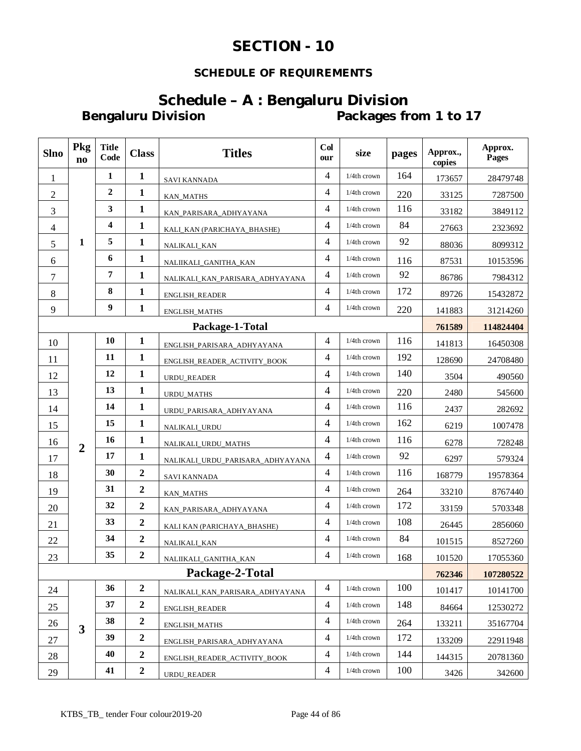# **SECTION - 10**

# **SCHEDULE OF REQUIREMENTS**

# **Schedule - A** : Bengaluru Division<br>Packages fr Packages from 1 to 17

| <b>Slno</b>    | Pkg<br>$\mathbf{n}\mathbf{o}$ | <b>Title</b><br>Code | <b>Class</b>     | <b>Titles</b>                    | Co <sub>l</sub><br>our | size           | pages | Approx.,<br>copies | Approx.<br>Pages |
|----------------|-------------------------------|----------------------|------------------|----------------------------------|------------------------|----------------|-------|--------------------|------------------|
| $\mathbf{1}$   |                               | 1                    | $\mathbf{1}$     | <b>SAVI KANNADA</b>              | $\overline{4}$         | 1/4th crown    | 164   | 173657             | 28479748         |
| $\mathbf{2}$   |                               | $\overline{2}$       | $\mathbf{1}$     | <b>KAN_MATHS</b>                 | 4                      | 1/4th crown    | 220   | 33125              | 7287500          |
| 3              |                               | 3                    | $\mathbf{1}$     | KAN_PARISARA_ADHYAYANA           | 4                      | 1/4th crown    | 116   | 33182              | 3849112          |
| $\overline{4}$ |                               | 4                    | $\mathbf{1}$     | KALI_KAN (PARICHAYA_BHASHE)      | 4                      | 1/4th crown    | 84    | 27663              | 2323692          |
| 5              | 1                             | 5                    | $\mathbf{1}$     | NALIKALI_KAN                     | 4                      | 1/4th crown    | 92    | 88036              | 8099312          |
| 6              |                               | 6                    | $\mathbf{1}$     | NALIIKALI_GANITHA_KAN            | 4                      | $1/4th$ crown  | 116   | 87531              | 10153596         |
| $\tau$         |                               | 7                    | $\mathbf{1}$     | NALIKALI_KAN_PARISARA_ADHYAYANA  | $\overline{4}$         | 1/4th crown    | 92    | 86786              | 7984312          |
| $\,8\,$        |                               | 8                    | $\mathbf{1}$     | ENGLISH_READER                   | $\overline{4}$         | 1/4th crown    | 172   | 89726              | 15432872         |
| 9              |                               | 9                    | $\mathbf{1}$     | ENGLISH_MATHS                    | $\overline{4}$         | 1/4th crown    | 220   | 141883             | 31214260         |
|                |                               |                      |                  | Package-1-Total                  |                        |                |       | 761589             | 114824404        |
| 10             |                               | 10                   | $\mathbf{1}$     | ENGLISH_PARISARA_ADHYAYANA       | 4                      | 1/4th crown    | 116   | 141813             | 16450308         |
| 11             |                               | 11                   | $\mathbf{1}$     | ENGLISH_READER_ACTIVITY_BOOK     | $\overline{4}$         | 1/4th crown    | 192   | 128690             | 24708480         |
| 12             |                               | 12                   | $\mathbf{1}$     | URDU_READER                      | $\overline{4}$         | 1/4th crown    | 140   | 3504               | 490560           |
| 13             |                               | 13                   | $\mathbf{1}$     | <b>URDU_MATHS</b>                | $\overline{4}$         | 1/4th crown    | 220   | 2480               | 545600           |
| 14             |                               | 14                   | $\mathbf{1}$     | URDU_PARISARA_ADHYAYANA          | $\overline{4}$         | 1/4th crown    | 116   | 2437               | 282692           |
| 15             |                               | 15                   | $\mathbf{1}$     | NALIKALI_URDU                    | $\overline{4}$         | $1/4$ th crown | 162   | 6219               | 1007478          |
| 16             | $\overline{2}$                | 16                   | $\mathbf{1}$     | NALIKALI_URDU_MATHS              | 4                      | 1/4th crown    | 116   | 6278               | 728248           |
| 17             |                               | 17                   | $\mathbf{1}$     | NALIKALI_URDU_PARISARA_ADHYAYANA | $\overline{4}$         | 1/4th crown    | 92    | 6297               | 579324           |
| 18             |                               | 30                   | $\boldsymbol{2}$ | SAVI KANNADA                     | $\overline{4}$         | 1/4th crown    | 116   | 168779             | 19578364         |
| 19             |                               | 31                   | $\overline{2}$   | KAN_MATHS                        | 4                      | 1/4th crown    | 264   | 33210              | 8767440          |
| 20             |                               | 32                   | $\boldsymbol{2}$ | KAN_PARISARA_ADHYAYANA           | 4                      | 1/4th crown    | 172   | 33159              | 5703348          |
| 21             |                               | 33                   | $\overline{2}$   | KALI KAN (PARICHAYA_BHASHE)      | $\overline{4}$         | 1/4th crown    | 108   | 26445              | 2856060          |
| 22             |                               | 34                   | $\overline{2}$   | NALIKALI_KAN                     | 4                      | 1/4th crown    | 84    | 101515             | 8527260          |
| 23             |                               | 35                   | $\boldsymbol{2}$ | NALIIKALI_GANITHA_KAN            | 4                      | 1/4th crown    | 168   | 101520             | 17055360         |
|                |                               |                      |                  | Package-2-Total                  |                        |                |       | 762346             | 107280522        |
| 24             |                               | 36                   | $\boldsymbol{2}$ | NALIKALI_KAN_PARISARA_ADHYAYANA  | 4                      | 1/4th crown    | 100   | 101417             | 10141700         |
| 25             |                               | 37                   | $\boldsymbol{2}$ | ENGLISH_READER                   | 4                      | 1/4th crown    | 148   | 84664              | 12530272         |
| 26             | $\overline{\mathbf{3}}$       | 38                   | $\boldsymbol{2}$ | <b>ENGLISH_MATHS</b>             | $\overline{4}$         | 1/4th crown    | 264   | 133211             | 35167704         |
| 27             |                               | 39                   | $\mathbf 2$      | ENGLISH_PARISARA_ADHYAYANA       | $\overline{4}$         | $1/4$ th crown | 172   | 133209             | 22911948         |
| 28             |                               | 40                   | $\boldsymbol{2}$ | ENGLISH_READER_ACTIVITY_BOOK     | 4                      | $1/4$ th crown | 144   | 144315             | 20781360         |
| 29             |                               | 41                   | $\boldsymbol{2}$ | <b>URDU READER</b>               | 4                      | 1/4th crown    | 100   | 3426               | 342600           |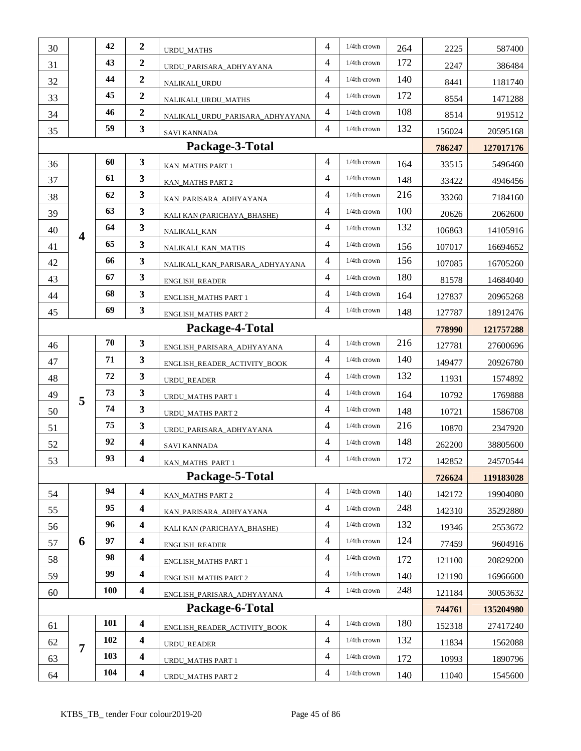| 30 |                         | 42         | $\overline{2}$          | URDU_MATHS                       | 4              | $1/4$ th crown    | 264 | 2225   | 587400    |
|----|-------------------------|------------|-------------------------|----------------------------------|----------------|-------------------|-----|--------|-----------|
| 31 |                         | 43         | $\boldsymbol{2}$        | URDU_PARISARA_ADHYAYANA          | $\overline{4}$ | 1/4th crown       | 172 | 2247   | 386484    |
| 32 |                         | 44         | $\boldsymbol{2}$        | NALIKALI_URDU                    | 4              | $1/4th$ crown     | 140 | 8441   | 1181740   |
| 33 |                         | 45         | $\boldsymbol{2}$        | NALIKALI_URDU_MATHS              | 4              | 1/4th crown       | 172 | 8554   | 1471288   |
| 34 |                         | 46         | $\boldsymbol{2}$        | NALIKALI_URDU_PARISARA_ADHYAYANA | $\overline{4}$ | 1/4th crown       | 108 | 8514   | 919512    |
| 35 |                         | 59         | $\mathbf{3}$            | <b>SAVI KANNADA</b>              | $\overline{4}$ | 1/4th crown       | 132 | 156024 | 20595168  |
|    |                         |            |                         | Package-3-Total                  |                |                   |     | 786247 | 127017176 |
| 36 |                         | 60         | 3                       | KAN_MATHS PART 1                 | 4              | 1/4th crown       | 164 | 33515  | 5496460   |
| 37 |                         | 61         | 3                       | KAN_MATHS PART 2                 | $\overline{4}$ | 1/4th crown       | 148 | 33422  | 4946456   |
| 38 |                         | 62         | $\mathbf{3}$            | KAN_PARISARA_ADHYAYANA           | $\overline{4}$ | 1/4th crown       | 216 | 33260  | 7184160   |
| 39 |                         | 63         | $\overline{\mathbf{3}}$ | KALI KAN (PARICHAYA_BHASHE)      | $\overline{4}$ | 1/4th crown       | 100 | 20626  | 2062600   |
| 40 | $\overline{\mathbf{4}}$ | 64         | 3                       | NALIKALI_KAN                     | $\overline{4}$ | $1/4th$ crown     | 132 | 106863 | 14105916  |
| 41 |                         | 65         | 3                       | NALIKALI_KAN_MATHS               | $\overline{4}$ | 1/4th crown       | 156 | 107017 | 16694652  |
| 42 |                         | 66         | 3                       | NALIKALI_KAN_PARISARA_ADHYAYANA  | 4              | 1/4th crown       | 156 | 107085 | 16705260  |
| 43 |                         | 67         | $\mathbf{3}$            | ENGLISH_READER                   | $\overline{4}$ | 1/4th crown       | 180 | 81578  | 14684040  |
| 44 |                         | 68         | 3                       | ENGLISH_MATHS PART 1             | $\overline{4}$ | 1/4th crown       | 164 | 127837 | 20965268  |
| 45 |                         | 69         | $\mathbf{3}$            | ENGLISH_MATHS PART 2             | $\overline{4}$ | 1/4th crown       | 148 | 127787 | 18912476  |
|    |                         |            |                         | Package-4-Total                  |                |                   |     | 778990 | 121757288 |
| 46 |                         | 70         | 3                       | ENGLISH_PARISARA_ADHYAYANA       | 4              | 1/4th crown       | 216 | 127781 | 27600696  |
| 47 |                         | 71         | $\mathbf{3}$            | ENGLISH_READER_ACTIVITY_BOOK     | $\overline{4}$ | 1/4th crown       | 140 | 149477 | 20926780  |
| 48 |                         | 72         | 3                       | URDU_READER                      | $\overline{4}$ | $1/4\rm th$ crown | 132 | 11931  | 1574892   |
| 49 | 5                       | 73         | 3                       | <b>URDU_MATHS PART 1</b>         | $\overline{4}$ | 1/4th crown       | 164 | 10792  | 1769888   |
| 50 |                         | 74         | 3                       | URDU_MATHS PART 2                | $\overline{4}$ | 1/4th crown       | 148 | 10721  | 1586708   |
| 51 |                         | 75         | $\mathbf{3}$            | URDU_PARISARA_ADHYAYANA          | $\overline{4}$ | 1/4th crown       | 216 | 10870  | 2347920   |
| 52 |                         | 92         | $\overline{\mathbf{4}}$ | SAVI KANNADA                     | 4              | 1/4th crown       | 148 | 262200 | 38805600  |
| 53 |                         | 93         | 4                       | KAN_MATHS PART 1                 | $\overline{4}$ | 1/4th crown       | 172 | 142852 | 24570544  |
|    |                         |            |                         | Package-5-Total                  |                |                   |     | 726624 | 119183028 |
| 54 |                         | 94         | $\boldsymbol{4}$        | KAN_MATHS PART 2                 | $\overline{4}$ | 1/4th crown       | 140 | 142172 | 19904080  |
| 55 |                         | 95         | 4                       | KAN_PARISARA_ADHYAYANA           | 4              | 1/4th crown       | 248 | 142310 | 35292880  |
| 56 |                         | 96         | 4                       | KALI KAN (PARICHAYA_BHASHE)      | 4              | 1/4th crown       | 132 | 19346  | 2553672   |
| 57 | 6                       | 97         | $\overline{\mathbf{4}}$ | <b>ENGLISH_READER</b>            | $\overline{4}$ | 1/4th crown       | 124 | 77459  | 9604916   |
| 58 |                         | 98         | $\overline{\mathbf{4}}$ | <b>ENGLISH MATHS PART 1</b>      | $\overline{4}$ | 1/4th crown       | 172 | 121100 | 20829200  |
| 59 |                         | 99         | $\overline{\mathbf{4}}$ | ENGLISH_MATHS PART 2             | $\overline{4}$ | 1/4th crown       | 140 | 121190 | 16966600  |
| 60 |                         | <b>100</b> | 4                       | ENGLISH_PARISARA_ADHYAYANA       | 4              | 1/4th crown       | 248 | 121184 | 30053632  |
|    |                         |            |                         | Package-6-Total                  |                |                   |     | 744761 | 135204980 |
| 61 |                         | 101        | 4                       | ENGLISH_READER_ACTIVITY_BOOK     | 4              | 1/4th crown       | 180 | 152318 | 27417240  |
| 62 | $\overline{7}$          | 102        | $\boldsymbol{4}$        | URDU_READER                      | $\overline{4}$ | 1/4th crown       | 132 | 11834  | 1562088   |
| 63 |                         | 103        | $\boldsymbol{4}$        | <b>URDU_MATHS PART 1</b>         | $\overline{4}$ | $1/4\rm th$ crown | 172 | 10993  | 1890796   |
|    |                         | 104        | $\overline{\mathbf{4}}$ |                                  | $\overline{4}$ | 1/4th crown       | 140 | 11040  | 1545600   |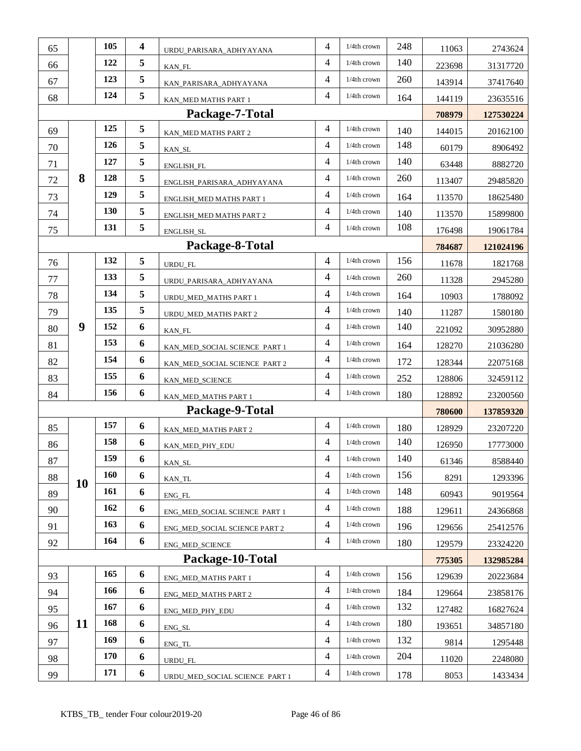| 65 |    | 105 | 4 | URDU_PARISARA_ADHYAYANA        | $\overline{4}$ | 1/4th crown    | 248 | 11063  | 2743624   |
|----|----|-----|---|--------------------------------|----------------|----------------|-----|--------|-----------|
| 66 |    | 122 | 5 | KAN_FL                         | 4              | 1/4th crown    | 140 | 223698 | 31317720  |
| 67 |    | 123 | 5 | KAN_PARISARA_ADHYAYANA         | 4              | 1/4th crown    | 260 | 143914 | 37417640  |
| 68 |    | 124 | 5 | KAN_MED MATHS PART 1           | 4              | 1/4th crown    | 164 | 144119 | 23635516  |
|    |    |     |   | Package-7-Total                |                |                |     | 708979 | 127530224 |
| 69 |    | 125 | 5 | KAN_MED MATHS PART 2           | 4              | 1/4th crown    | 140 | 144015 | 20162100  |
| 70 |    | 126 | 5 | KAN_SL                         | 4              | 1/4th crown    | 148 | 60179  | 8906492   |
| 71 |    | 127 | 5 | ENGLISH_FL                     | 4              | 1/4th crown    | 140 | 63448  | 8882720   |
| 72 | 8  | 128 | 5 | ENGLISH_PARISARA_ADHYAYANA     | 4              | $1/4th$ crown  | 260 | 113407 | 29485820  |
| 73 |    | 129 | 5 | ENGLISH_MED MATHS PART 1       | 4              | 1/4th crown    | 164 | 113570 | 18625480  |
| 74 |    | 130 | 5 | ENGLISH_MED MATHS PART 2       | 4              | $1/4th$ crown  | 140 | 113570 | 15899800  |
| 75 |    | 131 | 5 | ENGLISH_SL                     | 4              | 1/4th crown    | 108 | 176498 | 19061784  |
|    |    |     |   | Package-8-Total                |                |                |     | 784687 | 121024196 |
| 76 |    | 132 | 5 | URDU_FL                        | 4              | 1/4th crown    | 156 | 11678  | 1821768   |
| 77 |    | 133 | 5 | URDU_PARISARA_ADHYAYANA        | 4              | 1/4th crown    | 260 | 11328  | 2945280   |
| 78 |    | 134 | 5 | URDU_MED_MATHS PART 1          | 4              | 1/4th crown    | 164 | 10903  | 1788092   |
| 79 |    | 135 | 5 | URDU_MED_MATHS PART 2          | 4              | 1/4th crown    | 140 | 11287  | 1580180   |
| 80 | 9  | 152 | 6 | KAN_FL                         | 4              | 1/4th crown    | 140 | 221092 | 30952880  |
| 81 |    | 153 | 6 | KAN_MED_SOCIAL SCIENCE PART 1  | 4              | $1/4th$ crown  | 164 | 128270 | 21036280  |
| 82 |    | 154 | 6 | KAN_MED_SOCIAL SCIENCE PART 2  | $\overline{4}$ | 1/4th crown    | 172 | 128344 | 22075168  |
| 83 |    | 155 | 6 | KAN_MED_SCIENCE                | 4              | $1/4th$ crown  | 252 | 128806 | 32459112  |
| 84 |    | 156 | 6 | KAN_MED_MATHS PART 1           | 4              | 1/4th crown    | 180 | 128892 | 23200560  |
|    |    |     |   | Package-9-Total                |                |                |     | 780600 | 137859320 |
| 85 |    | 157 | 6 | KAN_MED_MATHS PART 2           | 4              | 1/4th crown    | 180 | 128929 | 23207220  |
| 86 |    | 158 | 6 | KAN_MED_PHY_EDU                | 4              | $1/4th$ crown  | 140 | 126950 | 17773000  |
| 87 |    | 159 | 6 | KAN_SL                         | 4              | 1/4th crown    | 140 | 61346  | 8588440   |
| 88 |    | 160 | 6 | KAN_TL                         | 4              | $1/4$ th crown | 156 | 8291   | 1293396   |
| 89 | 10 | 161 | 6 | $ENG_FL$                       | 4              | 1/4th crown    | 148 | 60943  | 9019564   |
| 90 |    | 162 | 6 | ENG_MED_SOCIAL SCIENCE PART 1  | 4              | 1/4th crown    | 188 | 129611 | 24366868  |
| 91 |    | 163 | 6 | ENG_MED_SOCIAL SCIENCE PART 2  | $\overline{4}$ | 1/4th crown    | 196 | 129656 | 25412576  |
| 92 |    | 164 | 6 | <b>ENG_MED_SCIENCE</b>         | 4              | 1/4th crown    | 180 | 129579 | 23324220  |
|    |    |     |   | Package-10-Total               |                |                |     | 775305 | 132985284 |
| 93 |    | 165 | 6 | ENG MED MATHS PART 1           | 4              | 1/4th crown    | 156 | 129639 | 20223684  |
| 94 |    | 166 | 6 | ENG_MED_MATHS PART 2           | $\overline{4}$ | 1/4th crown    | 184 | 129664 | 23858176  |
| 95 |    | 167 | 6 | ENG_MED_PHY_EDU                | $\overline{4}$ | 1/4th crown    | 132 | 127482 | 16827624  |
| 96 | 11 | 168 | 6 | ENG_SL                         | 4              | 1/4th crown    | 180 | 193651 | 34857180  |
| 97 |    | 169 | 6 | ENG_TL                         | 4              | 1/4th crown    | 132 | 9814   | 1295448   |
| 98 |    | 170 | 6 | URDU FL                        | $\overline{4}$ | 1/4th crown    | 204 | 11020  | 2248080   |
| 99 |    | 171 | 6 | URDU_MED_SOCIAL SCIENCE PART 1 | 4              | 1/4th crown    | 178 | 8053   | 1433434   |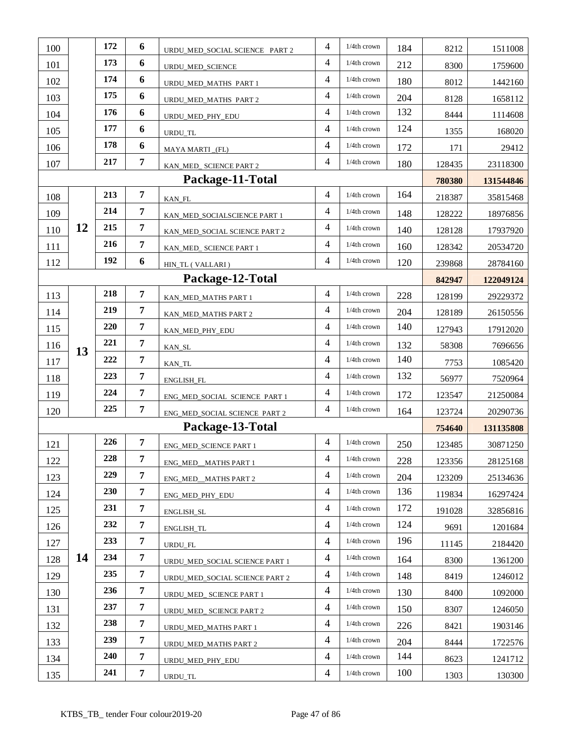| 100 |    | 172 | 6              | URDU_MED_SOCIAL SCIENCE PART 2 | 4              | 1/4th crown    | 184 | 8212   | 1511008   |
|-----|----|-----|----------------|--------------------------------|----------------|----------------|-----|--------|-----------|
| 101 |    | 173 | 6              | URDU MED SCIENCE               | $\overline{4}$ | 1/4th crown    | 212 | 8300   | 1759600   |
| 102 |    | 174 | 6              | URDU_MED_MATHS PART 1          | $\overline{4}$ | 1/4th crown    | 180 | 8012   | 1442160   |
| 103 |    | 175 | 6              | URDU_MED_MATHS PART 2          | 4              | 1/4th crown    | 204 | 8128   | 1658112   |
| 104 |    | 176 | 6              | URDU_MED_PHY_EDU               | $\overline{4}$ | 1/4th crown    | 132 | 8444   | 1114608   |
| 105 |    | 177 | 6              | <b>URDU TL</b>                 | $\overline{4}$ | 1/4th crown    | 124 | 1355   | 168020    |
| 106 |    | 178 | 6              | MAYA MARTI_(FL)                | $\overline{4}$ | 1/4th crown    | 172 | 171    | 29412     |
| 107 |    | 217 | $\overline{7}$ | KAN_MED_ SCIENCE PART 2        | $\overline{4}$ | 1/4th crown    | 180 | 128435 | 23118300  |
|     |    |     |                | Package-11-Total               |                |                |     | 780380 | 131544846 |
| 108 |    | 213 | $\overline{7}$ | KAN_FL                         | $\overline{4}$ | 1/4th crown    | 164 | 218387 | 35815468  |
| 109 |    | 214 | $\overline{7}$ | KAN_MED_SOCIALSCIENCE PART 1   | $\overline{4}$ | 1/4th crown    | 148 | 128222 | 18976856  |
| 110 | 12 | 215 | $\overline{7}$ | KAN_MED_SOCIAL SCIENCE PART 2  | $\overline{4}$ | 1/4th crown    | 140 | 128128 | 17937920  |
| 111 |    | 216 | $\overline{7}$ | KAN_MED_ SCIENCE PART 1        | $\overline{4}$ | 1/4th crown    | 160 | 128342 | 20534720  |
| 112 |    | 192 | 6              | HIN_TL (VALLARI)               | $\overline{4}$ | 1/4th crown    | 120 | 239868 | 28784160  |
|     |    |     |                | Package-12-Total               |                |                |     | 842947 | 122049124 |
| 113 |    | 218 | $\overline{7}$ | KAN_MED_MATHS PART 1           | $\overline{4}$ | 1/4th crown    | 228 | 128199 | 29229372  |
| 114 |    | 219 | $\overline{7}$ | KAN_MED_MATHS PART 2           | $\overline{4}$ | 1/4th crown    | 204 | 128189 | 26150556  |
| 115 |    | 220 | $\overline{7}$ | KAN_MED_PHY_EDU                | $\overline{4}$ | 1/4th crown    | 140 | 127943 | 17912020  |
| 116 | 13 | 221 | 7              | KAN_SL                         | $\overline{4}$ | 1/4th crown    | 132 | 58308  | 7696656   |
| 117 |    | 222 | $\overline{7}$ | KAN_TL                         | $\overline{4}$ | 1/4th crown    | 140 | 7753   | 1085420   |
| 118 |    | 223 | $\overline{7}$ | ENGLISH_FL                     | $\overline{4}$ | 1/4th crown    | 132 | 56977  | 7520964   |
| 119 |    | 224 | $\overline{7}$ | ENG_MED_SOCIAL SCIENCE PART 1  | $\overline{4}$ | 1/4th crown    | 172 | 123547 | 21250084  |
| 120 |    | 225 | 7              | ENG_MED_SOCIAL SCIENCE PART 2  | 4              | 1/4th crown    | 164 | 123724 | 20290736  |
|     |    |     |                | Package-13-Total               |                |                |     | 754640 | 131135808 |
| 121 |    | 226 | 7              | ENG_MED_SCIENCE PART 1         | 4              | 1/4th crown    | 250 | 123485 | 30871250  |
| 122 |    | 228 | 7              | ENG_MED__MATHS PART 1          | $\overline{4}$ | 1/4th crown    | 228 | 123356 | 28125168  |
| 123 |    | 229 | 7              | ENG MED MATHS PART 2           | $\overline{4}$ | 1/4th crown    | 204 | 123209 | 25134636  |
| 124 |    | 230 | $\overline{7}$ | ENG MED PHY EDU                | $\overline{4}$ | 1/4th crown    | 136 | 119834 | 16297424  |
| 125 |    | 231 | 7              | ENGLISH_SL                     | $\overline{4}$ | $1/4th$ crown  | 172 | 191028 | 32856816  |
| 126 |    | 232 | $\overline{7}$ | ENGLISH_TL                     | 4              | $1/4$ th crown | 124 | 9691   | 1201684   |
| 127 |    | 233 | 7              | URDU_FL                        | $\overline{4}$ | 1/4th crown    | 196 | 11145  | 2184420   |
| 128 | 14 | 234 | $\overline{7}$ | URDU_MED_SOCIAL SCIENCE PART 1 | 4              | 1/4th crown    | 164 | 8300   | 1361200   |
| 129 |    | 235 | 7              | URDU_MED_SOCIAL SCIENCE PART 2 | 4              | 1/4th crown    | 148 | 8419   | 1246012   |
| 130 |    | 236 | 7              | URDU_MED_ SCIENCE PART 1       | 4              | 1/4th crown    | 130 | 8400   | 1092000   |
| 131 |    | 237 | 7              | URDU_MED_ SCIENCE PART 2       | 4              | 1/4th crown    | 150 | 8307   | 1246050   |
| 132 |    | 238 | 7              | URDU_MED_MATHS PART 1          | $\overline{4}$ | 1/4th crown    | 226 | 8421   | 1903146   |
| 133 |    | 239 | $\overline{7}$ | URDU_MED_MATHS PART 2          | $\overline{4}$ | 1/4th crown    | 204 | 8444   | 1722576   |
| 134 |    | 240 | 7              | URDU_MED_PHY_EDU               | $\overline{4}$ | $1/4$ th crown | 144 | 8623   | 1241712   |
| 135 |    | 241 | 7              | URDU_TL                        | 4              | 1/4th crown    | 100 | 1303   | 130300    |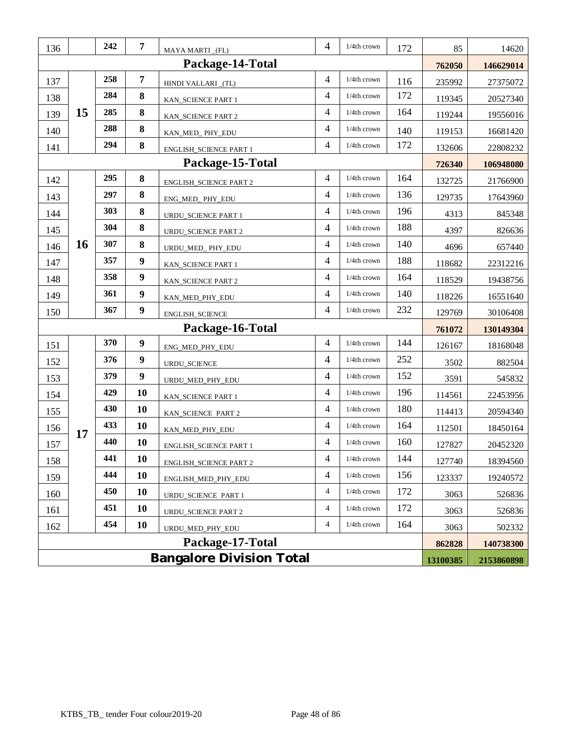| 136                                         |           | 242 | $\overline{7}$   | MAYA MARTI_(FL)               | 4              | 1/4th crown    | 172 | 85     | 14620      |
|---------------------------------------------|-----------|-----|------------------|-------------------------------|----------------|----------------|-----|--------|------------|
|                                             |           |     |                  | Package-14-Total              |                |                |     | 762050 | 146629014  |
| 137                                         |           | 258 | $\overline{7}$   | HINDI VALLARI_(TL)            | 4              | 1/4th crown    | 116 | 235992 | 27375072   |
| 138                                         |           | 284 | 8                | KAN_SCIENCE PART 1            | 4              | 1/4th crown    | 172 | 119345 | 20527340   |
| 139                                         | 15        | 285 | $\bf 8$          | KAN_SCIENCE PART 2            | 4              | 1/4th crown    | 164 | 119244 | 19556016   |
| 140                                         |           | 288 | 8                | KAN_MED_PHY_EDU               | 4              | 1/4th crown    | 140 | 119153 | 16681420   |
| 141                                         |           | 294 | 8                | ENGLISH_SCIENCE PART 1        | 4              | 1/4th crown    | 172 | 132606 | 22808232   |
|                                             |           |     |                  | Package-15-Total              |                |                |     | 726340 | 106948080  |
| 142                                         |           | 295 | 8                | <b>ENGLISH_SCIENCE PART 2</b> | 4              | 1/4th crown    | 164 | 132725 | 21766900   |
| 143                                         |           | 297 | 8                | ENG_MED_PHY_EDU               | 4              | 1/4th crown    | 136 | 129735 | 17643960   |
| 144                                         |           | 303 | 8                | URDU_SCIENCE PART 1           | $\overline{4}$ | 1/4th crown    | 196 | 4313   | 845348     |
| 145                                         |           | 304 | $\bf 8$          | <b>URDU_SCIENCE PART 2</b>    | $\overline{4}$ | 1/4th crown    | 188 | 4397   | 826636     |
| 146                                         | <b>16</b> | 307 | 8                | URDU_MED_ PHY_EDU             | 4              | 1/4th crown    | 140 | 4696   | 657440     |
| 147                                         |           | 357 | $\boldsymbol{9}$ | KAN_SCIENCE PART 1            | 4              | $1/4th$ crown  | 188 | 118682 | 22312216   |
| 148                                         |           | 358 | $\boldsymbol{9}$ | KAN_SCIENCE PART 2            | 4              | 1/4th crown    | 164 | 118529 | 19438756   |
| 149                                         |           | 361 | $\boldsymbol{9}$ | KAN_MED_PHY_EDU               | $\overline{4}$ | 1/4th crown    | 140 | 118226 | 16551640   |
| 150                                         |           | 367 | $\boldsymbol{9}$ | ENGLISH_SCIENCE               | $\overline{4}$ | 1/4th crown    | 232 | 129769 | 30106408   |
|                                             |           |     |                  | Package-16-Total              |                |                |     | 761072 | 130149304  |
| 151                                         |           | 370 | $\boldsymbol{9}$ | ENG_MED_PHY_EDU               | $\overline{4}$ | 1/4th crown    | 144 | 126167 | 18168048   |
| 152                                         |           | 376 | $\boldsymbol{9}$ | URDU_SCIENCE                  | $\overline{4}$ | 1/4th crown    | 252 | 3502   | 882504     |
| 153                                         |           | 379 | $\boldsymbol{9}$ | URDU_MED_PHY_EDU              | $\overline{4}$ | 1/4th crown    | 152 | 3591   | 545832     |
| 154                                         |           | 429 | 10               | KAN_SCIENCE PART 1            | 4              | $1/4$ th crown | 196 | 114561 | 22453956   |
| 155                                         |           | 430 | 10               | KAN_SCIENCE PART 2            | 4              | 1/4th crown    | 180 | 114413 | 20594340   |
| 156                                         | 17        | 433 | 10               | KAN_MED_PHY_EDU               | $\overline{4}$ | 1/4th crown    | 164 | 112501 | 18450164   |
| 157                                         |           | 440 | 10               | ENGLISH_SCIENCE PART 1        | 4              | 1/4th crown    | 160 | 127827 | 20452320   |
| 158                                         |           | 441 | 10               | <b>ENGLISH_SCIENCE PART 2</b> | $\overline{4}$ | 1/4th crown    | 144 | 127740 | 18394560   |
| 159                                         |           | 444 | 10               | ENGLISH_MED_PHY_EDU           | 4              | $1/4$ th crown | 156 | 123337 | 19240572   |
| 160                                         |           | 450 | 10               | URDU_SCIENCE PART 1           | 4              | 1/4th crown    | 172 | 3063   | 526836     |
| 161                                         |           | 451 | 10               | <b>URDU_SCIENCE PART 2</b>    | 4              | 1/4th crown    | 172 | 3063   | 526836     |
| 162                                         |           | 454 | 10               | URDU_MED_PHY_EDU              | 4              | 1/4th crown    | 164 | 3063   | 502332     |
|                                             |           |     |                  | Package-17-Total              |                |                |     | 862828 | 140738300  |
| <b>Bangalore Division Total</b><br>13100385 |           |     |                  |                               |                |                |     |        | 2153860898 |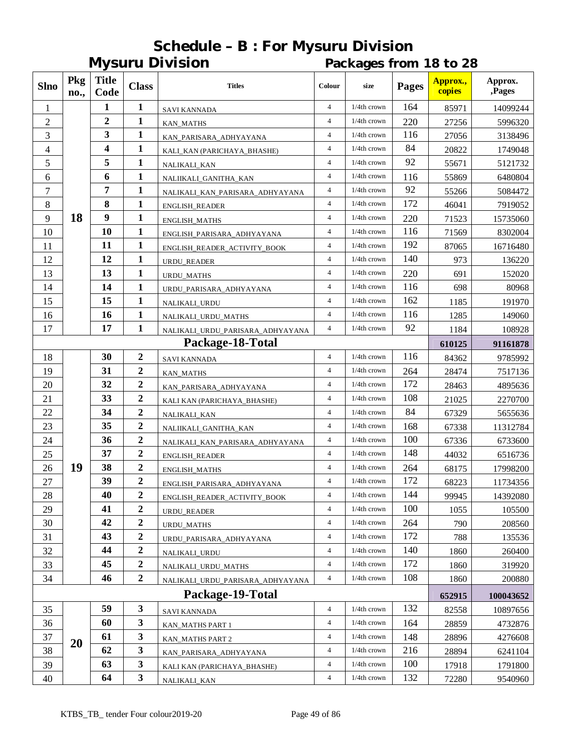|                |             |                      |                         | <b>Mysuru Division</b>           |                | Packages from 18 to 28 |              |                    |                   |  |  |
|----------------|-------------|----------------------|-------------------------|----------------------------------|----------------|------------------------|--------------|--------------------|-------------------|--|--|
| <b>Slno</b>    | Pkg<br>no., | <b>Title</b><br>Code | <b>Class</b>            | <b>Titles</b>                    | Colour         | size                   | <b>Pages</b> | Approx.,<br>copies | Approx.<br>,Pages |  |  |
| 1              |             | 1                    | $\mathbf{1}$            | <b>SAVI KANNADA</b>              | $\overline{4}$ | $1/4$ th crown         | 164          | 85971              | 14099244          |  |  |
| $\overline{2}$ |             | 2                    | 1                       | <b>KAN_MATHS</b>                 | $\overline{4}$ | $1/4$ th crown         | 220          | 27256              | 5996320           |  |  |
| 3              |             | 3                    | $\mathbf{1}$            | KAN_PARISARA_ADHYAYANA           | $\overline{4}$ | $1/4$ th crown         | 116          | 27056              | 3138496           |  |  |
| 4              |             | 4                    | $\mathbf{1}$            | KALI_KAN (PARICHAYA_BHASHE)      | $\overline{4}$ | $1/4$ th crown         | 84           | 20822              | 1749048           |  |  |
| 5              |             | 5                    | $\mathbf{1}$            | NALIKALI_KAN                     | $\overline{4}$ | $1/4$ th crown         | 92           | 55671              | 5121732           |  |  |
| 6              |             | 6                    | 1                       | NALIIKALI_GANITHA_KAN            | $\overline{4}$ | $1/4$ th crown         | 116          | 55869              | 6480804           |  |  |
| 7              |             | 7                    | 1                       | NALIKALI_KAN_PARISARA_ADHYAYANA  | $\overline{4}$ | $1/4$ th crown         | 92           | 55266              | 5084472           |  |  |
| 8              |             | 8                    | $\mathbf{1}$            | ENGLISH_READER                   | $\overline{4}$ | $1/4$ th crown         | 172          | 46041              | 7919052           |  |  |
| 9              | 18          | 9                    | 1                       | <b>ENGLISH_MATHS</b>             | $\overline{4}$ | $1/4$ th crown         | 220          | 71523              | 15735060          |  |  |
| 10             |             | 10                   | $\mathbf{1}$            | ENGLISH_PARISARA_ADHYAYANA       | $\overline{4}$ | $1/4$ th crown         | 116          | 71569              | 8302004           |  |  |
| 11             |             | 11                   | $\mathbf{1}$            | ENGLISH_READER_ACTIVITY_BOOK     | $\overline{4}$ | $1/4$ th crown         | 192          | 87065              | 16716480          |  |  |
| 12             |             | 12                   | 1                       | URDU_READER                      | $\overline{4}$ | $1/4$ th crown         | 140          | 973                | 136220            |  |  |
| 13             |             | 13                   | 1                       | URDU_MATHS                       | $\overline{4}$ | $1/4$ th crown         | 220          | 691                | 152020            |  |  |
| 14             |             | 14                   | 1                       | URDU PARISARA ADHYAYANA          | $\overline{4}$ | $1/4$ th crown         | 116          | 698                | 80968             |  |  |
| 15             |             | 15                   | $\mathbf{1}$            | NALIKALI_URDU                    | $\overline{4}$ | $1/4$ th crown         | 162          | 1185               | 191970            |  |  |
| 16             |             | 16                   | 1                       | NALIKALI_URDU_MATHS              | $\overline{4}$ | $1/4$ th crown         | 116          | 1285               | 149060            |  |  |
| 17             |             | 17                   | $\mathbf{1}$            | NALIKALI_URDU_PARISARA_ADHYAYANA | $\overline{4}$ | $1/4$ th crown         | 92           | 1184               | 108928            |  |  |
|                |             |                      |                         | Package-18-Total                 |                |                        |              | 610125             | 91161878          |  |  |
| 18             |             | 30                   | $\boldsymbol{2}$        | <b>SAVI KANNADA</b>              | $\overline{4}$ | $1/4$ th crown         | 116          | 84362              | 9785992           |  |  |
| 19             |             | 31                   | $\overline{\mathbf{2}}$ | <b>KAN_MATHS</b>                 | $\overline{4}$ | $1/4$ th crown         | 264          | 28474              | 7517136           |  |  |
| 20             |             | 32                   | 2                       | KAN_PARISARA_ADHYAYANA           | $\overline{4}$ | $1/4$ th crown         | 172          | 28463              | 4895636           |  |  |
| 21             |             | 33                   | 2                       | KALI KAN (PARICHAYA_BHASHE)      | $\overline{4}$ | $1/4$ th crown         | 108          | 21025              | 2270700           |  |  |
| 22             |             | 34                   | $\boldsymbol{2}$        | NALIKALI_KAN                     | $\overline{4}$ | $1/4$ th crown         | 84           | 67329              | 5655636           |  |  |
| 23             |             | 35                   | 2                       | NALIIKALI_GANITHA_KAN            | $\overline{4}$ | $1/4$ th crown         | 168          | 67338              | 11312784          |  |  |
| 24             |             | 36                   | 2                       | NALIKALI_KAN_PARISARA_ADHYAYANA  | 4              | $1/4$ th crown         | 100          | 67336              | 6733600           |  |  |
| 25             |             | 37                   | $\overline{c}$          | ENGLISH_READER                   | $\overline{4}$ | $1/4$ th crown         | 148          | 44032              | 6516736           |  |  |
| 26             | 19          | 38                   | 2                       | ENGLISH_MATHS                    | $\overline{4}$ | $1/4$ th crown         | 264          | 68175              | 17998200          |  |  |
| $27\,$         |             | 39                   | 2                       | ENGLISH_PARISARA_ADHYAYANA       | 4              | $1/4$ th crown         | 172          | 68223              | 11734356          |  |  |
| 28             |             | 40                   | 2                       | ENGLISH_READER_ACTIVITY_BOOK     | $\overline{4}$ | $1/4$ th crown         | 144          | 99945              | 14392080          |  |  |
| 29             |             | 41                   | $\boldsymbol{2}$        | URDU_READER                      | 4              | $1/4$ th crown         | 100          | 1055               | 105500            |  |  |
| 30             |             | 42                   | $\mathbf 2$             | <b>URDU_MATHS</b>                | $\overline{4}$ | $1/4$ th crown         | 264          | 790                | 208560            |  |  |
| 31             |             | 43                   | 2                       | URDU_PARISARA_ADHYAYANA          | $\overline{4}$ | $1/4$ th crown         | 172          | 788                | 135536            |  |  |
| 32             |             | 44                   | $\mathbf 2$             | NALIKALI_URDU                    | $\overline{4}$ | 1/4th crown            | 140          | 1860               | 260400            |  |  |
| 33             |             | 45                   | $\boldsymbol{2}$        | NALIKALI_URDU_MATHS              | $\overline{4}$ | $1/4$ th crown         | 172          | 1860               | 319920            |  |  |
| 34             |             | 46                   | $\overline{2}$          | NALIKALI_URDU_PARISARA_ADHYAYANA | $\overline{4}$ | $1/4$ th crown         | 108          | 1860               | 200880            |  |  |
|                |             |                      |                         | Package-19-Total                 |                |                        |              | 652915             | 100043652         |  |  |
| 35             |             | 59                   | 3                       | <b>SAVI KANNADA</b>              | $\overline{4}$ | $1/4$ th crown         | 132          | 82558              | 10897656          |  |  |
| 36             |             | 60                   | 3                       | KAN_MATHS PART 1                 | 4              | 1/4th crown            | 164          | 28859              | 4732876           |  |  |
| 37             |             | 61                   | 3                       | <b>KAN_MATHS PART 2</b>          | $\overline{4}$ | $1/4$ th crown         | 148          | 28896              | 4276608           |  |  |
| 38             | <b>20</b>   | 62                   | 3                       | KAN_PARISARA_ADHYAYANA           | $\overline{4}$ | $1/4$ th crown         | 216          | 28894              | 6241104           |  |  |
| 39             |             | 63                   | 3                       | KALI KAN (PARICHAYA_BHASHE)      | $\overline{4}$ | $1/4$ th crown         | 100          | 17918              | 1791800           |  |  |
| 40             |             | 64                   | $\mathbf{3}$            | NALIKALI_KAN                     | $\overline{4}$ | $1/4$ th crown         | 132          | 72280              | 9540960           |  |  |

# **Schedule – B : For Mysuru Division**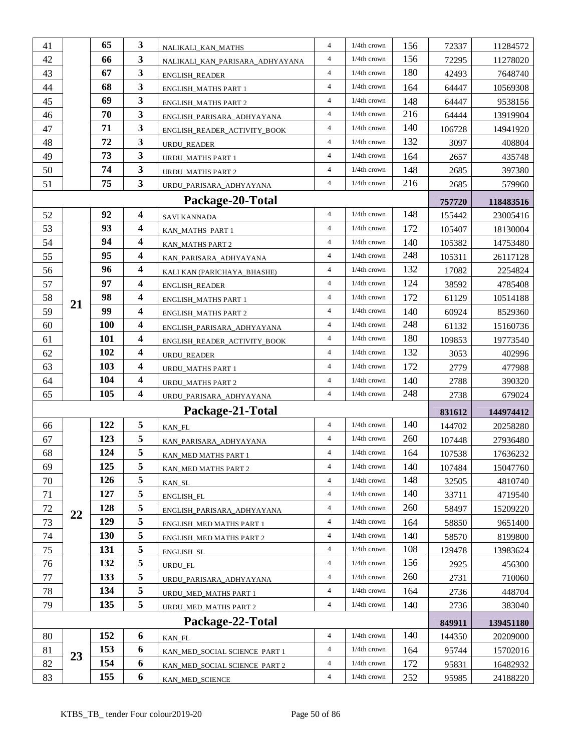| 41 |    | 65         | 3                       | NALIKALI_KAN_MATHS                             | $\overline{4}$ | $1/4$ th crown | 156 | 72337  | 11284572  |
|----|----|------------|-------------------------|------------------------------------------------|----------------|----------------|-----|--------|-----------|
| 42 |    | 66         | 3                       | NALIKALI_KAN_PARISARA_ADHYAYANA                | 4              | $1/4$ th crown | 156 | 72295  | 11278020  |
| 43 |    | 67         | 3                       | <b>ENGLISH_READER</b>                          | $\overline{4}$ | $1/4$ th crown | 180 | 42493  | 7648740   |
| 44 |    | 68         | 3                       | ENGLISH_MATHS PART 1                           | $\overline{4}$ | $1/4$ th crown | 164 | 64447  | 10569308  |
| 45 |    | 69         | 3                       | <b>ENGLISH_MATHS PART 2</b>                    | $\overline{4}$ | $1/4$ th crown | 148 | 64447  | 9538156   |
| 46 |    | 70         | 3                       | ENGLISH_PARISARA_ADHYAYANA                     | $\overline{4}$ | 1/4th crown    | 216 | 64444  | 13919904  |
| 47 |    | 71         | 3                       | ENGLISH_READER_ACTIVITY_BOOK                   | $\overline{4}$ | $1/4$ th crown | 140 | 106728 | 14941920  |
| 48 |    | 72         | 3                       | URDU_READER                                    | $\overline{4}$ | $1/4$ th crown | 132 | 3097   | 408804    |
| 49 |    | 73         | 3                       | URDU_MATHS PART 1                              | $\overline{4}$ | $1/4$ th crown | 164 | 2657   | 435748    |
| 50 |    | 74         | 3                       | <b>URDU MATHS PART 2</b>                       | $\overline{4}$ | $1/4$ th crown | 148 | 2685   | 397380    |
| 51 |    | 75         | 3                       | URDU_PARISARA_ADHYAYANA                        | $\overline{4}$ | $1/4$ th crown | 216 | 2685   | 579960    |
|    |    |            |                         | Package-20-Total                               |                |                |     | 757720 | 118483516 |
| 52 |    | 92         | $\overline{\mathbf{4}}$ | <b>SAVI KANNADA</b>                            | $\overline{4}$ | 1/4th crown    | 148 | 155442 | 23005416  |
| 53 |    | 93         | 4                       | KAN_MATHS PART 1                               | $\overline{4}$ | 1/4th crown    | 172 | 105407 | 18130004  |
| 54 |    | 94         | $\overline{\mathbf{4}}$ | KAN_MATHS PART 2                               | $\overline{4}$ | $1/4$ th crown | 140 | 105382 | 14753480  |
| 55 |    | 95         | 4                       | KAN_PARISARA_ADHYAYANA                         | $\overline{4}$ | $1/4$ th crown | 248 | 105311 | 26117128  |
| 56 |    | 96         | 4                       | KALI KAN (PARICHAYA_BHASHE)                    | $\overline{4}$ | $1/4$ th crown | 132 | 17082  | 2254824   |
| 57 |    | 97         | 4                       | <b>ENGLISH READER</b>                          | $\overline{4}$ | $1/4$ th crown | 124 | 38592  | 4785408   |
| 58 |    | 98         | 4                       | ENGLISH_MATHS PART 1                           | $\overline{4}$ | $1/4$ th crown | 172 | 61129  | 10514188  |
| 59 | 21 | 99         | $\overline{\mathbf{4}}$ | <b>ENGLISH_MATHS PART 2</b>                    | $\overline{4}$ | $1/4$ th crown | 140 | 60924  | 8529360   |
| 60 |    | <b>100</b> | 4                       | ENGLISH_PARISARA_ADHYAYANA                     | $\overline{4}$ | $1/4$ th crown | 248 | 61132  | 15160736  |
| 61 |    | 101        | 4                       | ENGLISH_READER_ACTIVITY_BOOK                   | $\overline{4}$ | $1/4$ th crown | 180 | 109853 | 19773540  |
| 62 |    | 102        | $\overline{\mathbf{4}}$ | URDU_READER                                    | $\overline{4}$ | 1/4th crown    | 132 | 3053   | 402996    |
| 63 |    | 103        | 4                       | URDU_MATHS PART 1                              | $\overline{4}$ | $1/4$ th crown | 172 | 2779   | 477988    |
| 64 |    | 104        | 4                       | <b>URDU_MATHS PART 2</b>                       | $\overline{4}$ | $1/4$ th crown | 140 | 2788   | 390320    |
| 65 |    | 105        | 4                       | URDU_PARISARA_ADHYAYANA                        | $\overline{4}$ | $1/4$ th crown | 248 | 2738   | 679024    |
|    |    |            |                         | Package-21-Total                               |                |                |     | 831612 | 144974412 |
| 66 |    | 122        | 5                       | KAN_FL                                         | $\overline{4}$ | 1/4th crown    | 140 | 144702 | 20258280  |
| 67 |    | 123        | 5                       | KAN PARISARA ADHYAYANA                         | $\overline{4}$ | $1/4$ th crown | 260 | 107448 | 27936480  |
| 68 |    | 124        | 5                       |                                                | $\overline{4}$ | $1/4$ th crown | 164 | 107538 | 17636232  |
| 69 |    | 125        | 5                       | KAN_MED MATHS PART 1                           | $\overline{4}$ | $1/4$ th crown | 140 | 107484 | 15047760  |
| 70 |    | 126        | 5                       | KAN_MED MATHS PART 2                           | $\overline{4}$ | $1/4$ th crown | 148 | 32505  | 4810740   |
| 71 |    | 127        | 5                       | KAN_SL                                         | $\overline{4}$ | $1/4$ th crown | 140 | 33711  | 4719540   |
| 72 |    | 128        | 5                       | ENGLISH_FL                                     | $\overline{4}$ | $1/4$ th crown | 260 | 58497  | 15209220  |
| 73 | 22 | 129        | 5                       | ENGLISH_PARISARA_ADHYAYANA                     | $\overline{4}$ | $1/4$ th crown | 164 | 58850  | 9651400   |
| 74 |    | 130        | 5                       | ENGLISH_MED MATHS PART 1                       | $\overline{4}$ | $1/4$ th crown | 140 | 58570  | 8199800   |
| 75 |    | 131        | $\sqrt{5}$              | ENGLISH_MED MATHS PART 2<br>ENGLISH SL         | $\overline{4}$ | $1/4$ th crown | 108 | 129478 | 13983624  |
| 76 |    | 132        | 5                       | URDU_FL                                        | $\overline{4}$ | $1/4$ th crown | 156 | 2925   | 456300    |
| 77 |    | 133        | 5                       |                                                | $\overline{4}$ | $1/4$ th crown | 260 | 2731   | 710060    |
| 78 |    | 134        | 5                       | URDU_PARISARA_ADHYAYANA                        | $\overline{4}$ | $1/4$ th crown | 164 | 2736   | 448704    |
| 79 |    | 135        | 5                       | URDU_MED_MATHS PART 1<br>URDU_MED_MATHS PART 2 | $\overline{4}$ | $1/4$ th crown | 140 | 2736   | 383040    |
|    |    |            |                         | Package-22-Total                               |                |                |     |        |           |
|    |    | 152        |                         |                                                | $\overline{4}$ | $1/4$ th crown | 140 | 849911 | 139451180 |
| 80 |    |            | 6                       | KAN_FL                                         | $\overline{4}$ | 1/4th crown    |     | 144350 | 20209000  |
| 81 | 23 | 153        | 6                       | KAN_MED_SOCIAL SCIENCE PART 1                  |                |                | 164 | 95744  | 15702016  |
| 82 |    | 154<br>155 | 6<br>6                  | KAN_MED_SOCIAL SCIENCE PART 2                  | $\overline{4}$ | $1/4$ th crown | 172 | 95831  | 16482932  |
| 83 |    |            |                         | KAN_MED_SCIENCE                                | 4              | 1/4th crown    | 252 | 95985  | 24188220  |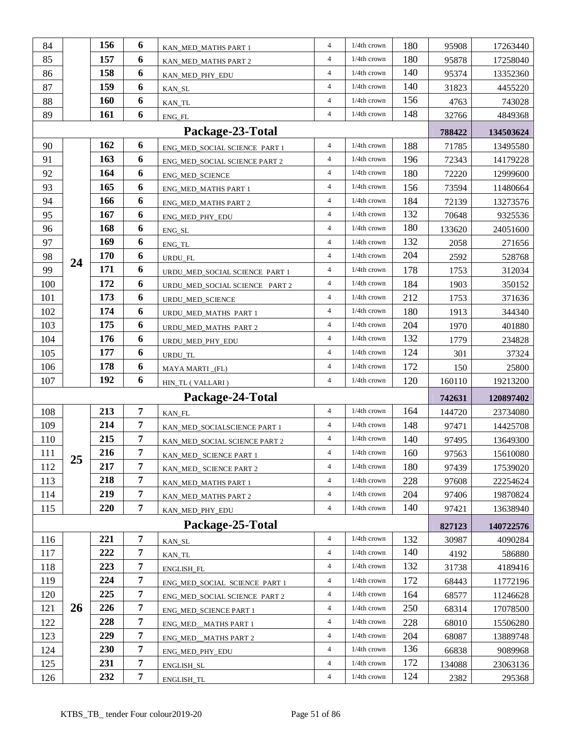| 84         |    | 156        | 6                   |                                              | $\overline{4}$                   | $1/4$ th crown                   | 180        |                |                      |
|------------|----|------------|---------------------|----------------------------------------------|----------------------------------|----------------------------------|------------|----------------|----------------------|
|            |    | 157        | 6                   | KAN_MED_MATHS PART 1                         | $\overline{4}$                   | 1/4th crown                      |            | 95908          | 17263440             |
| 85         |    | 158        | 6                   | KAN_MED_MATHS PART 2                         | 4                                | $1/4$ th crown                   | 180<br>140 | 95878          | 17258040             |
| 86         |    | 159        |                     | KAN_MED_PHY_EDU                              | $\overline{4}$                   |                                  | 140        | 95374          | 13352360             |
| 87         |    |            | 6                   | KAN_SL                                       |                                  | $1/4$ th crown                   |            | 31823          | 4455220              |
| 88         |    | 160        | 6                   | KAN_TL                                       | $\overline{\mathcal{L}}$         | $1/4$ th crown                   | 156        | 4763           | 743028               |
| 89         |    | 161        | 6                   | ENG_FL                                       | $\overline{4}$                   | $1/4$ th crown                   | 148        | 32766          | 4849368              |
|            |    |            |                     | Package-23-Total                             |                                  |                                  |            | 788422         | 134503624            |
| 90         |    | 162        | 6                   | ENG MED SOCIAL SCIENCE PART 1                | $\overline{4}$                   | $1/4$ th crown                   | 188        | 71785          | 13495580             |
| 91         |    | 163        | 6                   | ENG_MED_SOCIAL SCIENCE PART 2                | $\overline{4}$                   | 1/4th crown                      | 196        | 72343          | 14179228             |
| 92         |    | 164        | 6                   | ENG_MED_SCIENCE                              | $\overline{4}$                   | $1/4$ th crown                   | 180        | 72220          | 12999600             |
| 93         |    | 165        | 6                   | <b>ENG_MED_MATHS PART 1</b>                  | $\overline{4}$                   | $1/4$ th crown                   | 156        | 73594          | 11480664             |
| 94         |    | 166        | 6                   | ENG_MED_MATHS PART 2                         | $\overline{4}$                   | $1/4$ th crown                   | 184        | 72139          | 13273576             |
| 95         |    | 167        | 6                   | ENG_MED_PHY_EDU                              | $\overline{4}$                   | $1/4$ th crown                   | 132        | 70648          | 9325536              |
| 96         |    | 168        | 6                   | ENG_SL                                       | $\overline{4}$                   | 1/4th crown                      | 180        | 133620         | 24051600             |
| 97         |    | 169        | 6                   | ENG_TL                                       | $\overline{4}$                   | $1/4$ th crown                   | 132        | 2058           | 271656               |
| 98         | 24 | 170        | 6                   | URDU FL                                      | $\overline{4}$                   | $1/4$ th crown                   | 204        | 2592           | 528768               |
| 99         |    | 171        | 6                   | URDU_MED_SOCIAL SCIENCE PART 1               | $\overline{4}$                   | $1/4$ th crown                   | 178        | 1753           | 312034               |
| 100        |    | 172        | 6                   | URDU MED SOCIAL SCIENCE PART 2               | 4                                | $1/4$ th crown                   | 184        | 1903           | 350152               |
| 101        |    | 173        | 6                   | URDU_MED_SCIENCE                             | $\overline{4}$                   | $1/4$ th crown                   | 212        | 1753           | 371636               |
| 102        |    | 174        | 6                   | URDU_MED_MATHS PART 1                        | 4                                | $1/4$ th crown                   | 180        | 1913           | 344340               |
| 103        |    | 175        | 6                   | URDU_MED_MATHS PART 2                        | $\overline{4}$                   | $1/4$ th crown                   | 204        | 1970           | 401880               |
| 104        |    | 176        | 6                   | URDU_MED_PHY_EDU                             | $\overline{4}$                   | $1/4$ th crown                   | 132        | 1779           | 234828               |
| 105        |    | 177        | 6                   | URDU_TL                                      | $\overline{4}$                   | $1/4$ th crown                   | 124        | 301            | 37324                |
| 106        |    | 178        | 6                   | MAYA MARTI_(FL)                              | $\overline{4}$                   | $1/4$ th crown                   | 172        | 150            | 25800                |
| 107        |    | 192        | 6                   | HIN_TL (VALLARI)                             | $\overline{4}$                   | 1/4th crown                      | 120        | 160110         | 19213200             |
|            |    |            |                     | Package-24-Total                             |                                  |                                  |            | 742631         | 120897402            |
|            |    |            |                     | KAN_FL                                       |                                  | $1/4$ th crown                   | 164        |                |                      |
|            |    | 213        | 7                   |                                              | $\overline{4}$                   |                                  |            |                |                      |
| 108<br>109 |    | 214        | $\overline{7}$      |                                              | $\overline{\mathcal{A}}$         | $1/4$ th crown                   |            | 144720         | 23734080             |
| 110        |    | 215        | $\overline{7}$      | KAN_MED_SOCIALSCIENCE PART 1                 | $\overline{4}$                   | 1/4th crown                      | 148<br>140 | 97471          | 14425708             |
|            |    | 216        | 7                   | KAN_MED_SOCIAL SCIENCE PART 2                | $\overline{4}$                   | $1/4$ th crown                   |            | 97495          | 13649300<br>15610080 |
| 111        | 25 | 217        | 7                   | KAN_MED_ SCIENCE PART 1                      | $\overline{4}$                   | $1/4$ th crown                   | 160<br>180 | 97563          |                      |
| 112<br>113 |    | 218        | 7                   | KAN_MED_ SCIENCE PART 2                      | $\overline{4}$                   | $1/4$ th crown                   | 228        | 97439<br>97608 | 17539020<br>22254624 |
| 114        |    | 219        | 7                   | KAN_MED_MATHS PART 1<br>KAN MED MATHS PART 2 | 4                                | $1/4$ th crown                   | 204        | 97406          | 19870824             |
| 115        |    | 220        | 7                   |                                              | $\overline{4}$                   | $1/4$ th crown                   | 140        | 97421          | 13638940             |
|            |    |            |                     | KAN_MED_PHY_EDU                              |                                  |                                  |            |                |                      |
|            |    |            |                     | Package-25-Total                             | 4                                | $1/4$ th crown                   |            | 827123         | 140722576            |
| 116        |    | 221        | 7                   | KAN_SL                                       | $\overline{4}$                   | $1/4$ th crown                   | 132        | 30987          | 4090284              |
| 117        |    | 222        | $\overline{7}$      | KAN_TL                                       | 4                                | $1/4$ th crown                   | 140        | 4192           | 586880               |
| 118        |    | 223        | 7                   | ENGLISH_FL                                   | $\overline{4}$                   | $1/4$ th crown                   | 132        | 31738          | 4189416              |
| 119        |    | 224        | $\overline{7}$      | ENG_MED_SOCIAL SCIENCE PART 1                | $\overline{4}$                   | $1/4$ th crown                   | 172        | 68443          | 11772196             |
| 120        |    | 225        | $\overline{7}$      | ENG_MED_SOCIAL SCIENCE PART 2                | 4                                | $1/4$ th crown                   | 164        | 68577          | 11246628             |
| 121        | 26 | 226        | 7                   | ENG_MED_SCIENCE PART 1                       | $\overline{4}$                   | $1/4$ th crown                   | 250        | 68314          | 17078500             |
| 122        |    | 228        | 7                   | ENG_MED__MATHS PART 1                        |                                  | $1/4$ th crown                   | 228        | 68010          | 15506280             |
| 123        |    | 229        | $\overline{7}$      | ENG_MED_MATHS PART 2                         | $\overline{4}$                   |                                  | 204        | 68087          | 13889748             |
| 124        |    | 230        | 7                   | ENG_MED_PHY_EDU                              | $\overline{4}$                   | $1/4$ th crown                   | 136        | 66838          | 9089968              |
| 125<br>126 |    | 231<br>232 | 7<br>$\overline{7}$ | ENGLISH_SL<br>ENGLISH_TL                     | $\overline{4}$<br>$\overline{4}$ | $1/4$ th crown<br>$1/4$ th crown | 172<br>124 | 134088<br>2382 | 23063136<br>295368   |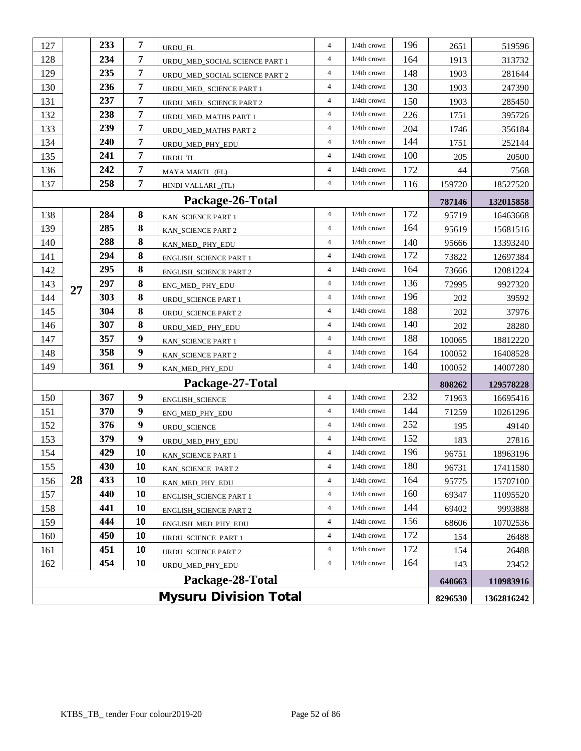| 127                                     |    | 233 | $\overline{7}$   | URDU_FL                        | $\overline{4}$           | $1/4$ th crown | 196 | 2651   | 519596     |
|-----------------------------------------|----|-----|------------------|--------------------------------|--------------------------|----------------|-----|--------|------------|
| 128                                     |    | 234 | $\overline{7}$   | URDU_MED_SOCIAL SCIENCE PART 1 | 4                        | $1/4$ th crown | 164 | 1913   | 313732     |
| 129                                     |    | 235 | $\overline{7}$   | URDU_MED_SOCIAL SCIENCE PART 2 | 4                        | 1/4th crown    | 148 | 1903   | 281644     |
| 130                                     |    | 236 | $\overline{7}$   | URDU_MED_ SCIENCE PART 1       | $\overline{4}$           | $1/4$ th crown | 130 | 1903   | 247390     |
| 131                                     |    | 237 | $\overline{7}$   | URDU_MED_ SCIENCE PART 2       | 4                        | $1/4$ th crown | 150 | 1903   | 285450     |
| 132                                     |    | 238 | 7                | URDU_MED_MATHS PART 1          | $\overline{\mathcal{A}}$ | $1/4$ th crown | 226 | 1751   | 395726     |
| 133                                     |    | 239 | 7                | URDU_MED_MATHS PART 2          | 4                        | $1/4th$ crown  | 204 | 1746   | 356184     |
| 134                                     |    | 240 | $\overline{7}$   | URDU_MED_PHY_EDU               | $\overline{4}$           | $1/4$ th crown | 144 | 1751   | 252144     |
| 135                                     |    | 241 | 7                | URDU_TL                        | 4                        | $1/4$ th crown | 100 | 205    | 20500      |
| 136                                     |    | 242 | $\overline{7}$   | MAYA MARTI_(FL)                | 4                        | $1/4$ th crown | 172 | 44     | 7568       |
| 137                                     |    | 258 | $\overline{7}$   | HINDI VALLARI_(TL)             | $\overline{4}$           | 1/4th crown    | 116 | 159720 | 18527520   |
|                                         |    |     |                  | Package-26-Total               |                          |                |     | 787146 | 132015858  |
| 138                                     |    | 284 | $\bf{8}$         | KAN_SCIENCE PART 1             | $\overline{\mathcal{L}}$ | 1/4th crown    | 172 | 95719  | 16463668   |
| 139                                     |    | 285 | 8                | KAN_SCIENCE PART 2             | $\overline{4}$           | $1/4$ th crown | 164 | 95619  | 15681516   |
| 140                                     |    | 288 | 8                | KAN_MED_PHY_EDU                | 4                        | $1/4$ th crown | 140 | 95666  | 13393240   |
| 141                                     |    | 294 | 8                | <b>ENGLISH_SCIENCE PART 1</b>  | $\overline{4}$           | $1/4$ th crown | 172 | 73822  | 12697384   |
| 142                                     |    | 295 | $\bf{8}$         | <b>ENGLISH_SCIENCE PART 2</b>  | 4                        | $1/4$ th crown | 164 | 73666  | 12081224   |
| 143                                     | 27 | 297 | $\bf{8}$         | ENG_MED_PHY_EDU                | 4                        | $1/4$ th crown | 136 | 72995  | 9927320    |
| 144                                     |    | 303 | $\bf{8}$         | URDU_SCIENCE PART 1            | $\overline{4}$           | $1/4$ th crown | 196 | 202    | 39592      |
| 145                                     |    | 304 | $\bf{8}$         | URDU_SCIENCE PART 2            | $\overline{4}$           | $1/4$ th crown | 188 | 202    | 37976      |
| 146                                     |    | 307 | 8                | URDU_MED_PHY_EDU               | $\overline{4}$           | $1/4$ th crown | 140 | 202    | 28280      |
| 147                                     |    | 357 | 9                | KAN_SCIENCE PART 1             | $\overline{4}$           | $1/4$ th crown | 188 | 100065 | 18812220   |
| 148                                     |    | 358 | $\boldsymbol{9}$ | KAN_SCIENCE PART 2             | $\overline{4}$           | $1/4$ th crown | 164 | 100052 | 16408528   |
| 149                                     |    | 361 | $\boldsymbol{9}$ | KAN_MED_PHY_EDU                | 4                        | $1/4$ th crown | 140 | 100052 | 14007280   |
|                                         |    |     |                  | Package-27-Total               |                          |                |     | 808262 | 129578228  |
| 150                                     |    | 367 | $\boldsymbol{9}$ | ENGLISH_SCIENCE                | 4                        | 1/4th crown    | 232 | 71963  | 16695416   |
| 151                                     |    | 370 | $\boldsymbol{9}$ | ENG_MED_PHY_EDU                | 4                        | $1/4$ th crown | 144 | 71259  | 10261296   |
| 152                                     |    | 376 | $\boldsymbol{9}$ | URDU_SCIENCE                   | $\overline{4}$           | $1/4$ th crown | 252 | 195    | 49140      |
| 153                                     |    | 379 | $\boldsymbol{9}$ | URDU_MED_PHY_EDU               | $\overline{4}$           | $1/4$ th crown | 152 | 183    | 27816      |
| 154                                     |    | 429 | 10               | KAN_SCIENCE PART 1             | 4                        | $1/4$ th crown | 196 | 96751  | 18963196   |
| 155                                     |    | 430 | 10               | KAN_SCIENCE PART 2             | 4                        | $1/4$ th crown | 180 | 96731  | 17411580   |
| 156                                     | 28 | 433 | 10               | KAN_MED_PHY_EDU                | 4                        | 1/4th crown    | 164 | 95775  | 15707100   |
| 157                                     |    | 440 | <b>10</b>        | ENGLISH_SCIENCE PART 1         | 4                        | $1/4$ th crown | 160 | 69347  | 11095520   |
| 158                                     |    | 441 | 10               | <b>ENGLISH_SCIENCE PART 2</b>  | 4                        | 1/4th crown    | 144 | 69402  | 9993888    |
| 159                                     |    | 444 | 10               | ENGLISH_MED_PHY_EDU            | $\overline{4}$           | $1/4$ th crown | 156 | 68606  | 10702536   |
| 160                                     |    | 450 | 10               | <b>URDU_SCIENCE PART 1</b>     | $\overline{4}$           | $1/4$ th crown | 172 | 154    | 26488      |
| 161                                     |    | 451 | 10               | URDU_SCIENCE PART 2            | 4                        | $1/4$ th crown | 172 | 154    | 26488      |
| 162                                     |    | 454 | 10               | URDU_MED_PHY_EDU               | 4                        | $1/4$ th crown | 164 | 143    | 23452      |
|                                         |    |     |                  | Package-28-Total               |                          |                |     | 640663 | 110983916  |
| <b>Mysuru Division Total</b><br>8296530 |    |     |                  |                                |                          |                |     |        | 1362816242 |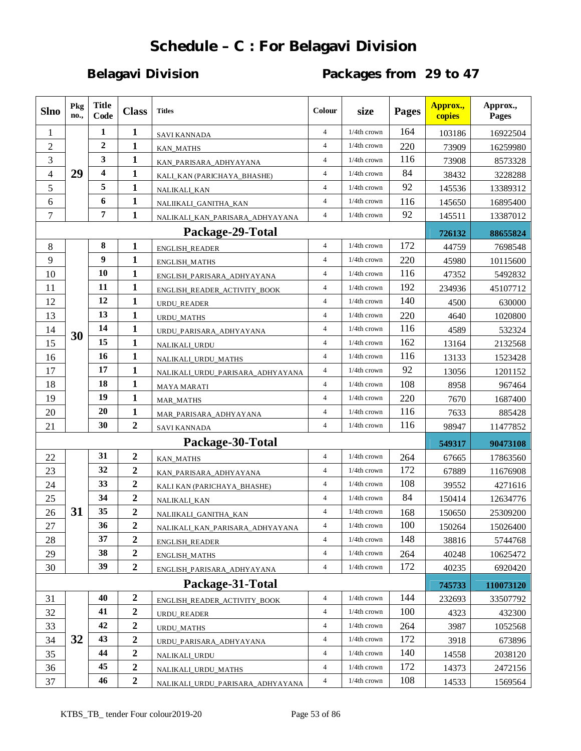# **Schedule – C : For Belagavi Division**

# **Belagavi Division Packages from 29 to 47**

| <b>Slno</b>    | Pkg<br>no., | <b>Title</b><br>Code | <b>Class</b>     | <b>Titles</b>                    | Colour         | size           | <b>Pages</b> | Approx.,<br>copies | Approx.,<br>Pages |
|----------------|-------------|----------------------|------------------|----------------------------------|----------------|----------------|--------------|--------------------|-------------------|
| 1              |             | 1                    | 1                | <b>SAVI KANNADA</b>              | $\overline{4}$ | 1/4th crown    | 164          | 103186             | 16922504          |
| $\overline{2}$ |             | $\boldsymbol{2}$     | $\mathbf{1}$     | <b>KAN MATHS</b>                 | $\overline{4}$ | $1/4$ th crown | 220          | 73909              | 16259980          |
| 3              |             | 3                    | 1                | KAN_PARISARA_ADHYAYANA           | $\overline{4}$ | 1/4th crown    | 116          | 73908              | 8573328           |
| $\overline{4}$ | 29          | 4                    | $\mathbf{1}$     | KALI_KAN (PARICHAYA_BHASHE)      | $\overline{4}$ | 1/4th crown    | 84           | 38432              | 3228288           |
| 5              |             | 5                    | $\mathbf{1}$     | NALIKALI_KAN                     | $\overline{4}$ | 1/4th crown    | 92           | 145536             | 13389312          |
| 6              |             | 6                    | 1                | NALIIKALI_GANITHA_KAN            | $\overline{4}$ | $1/4$ th crown | 116          | 145650             | 16895400          |
| $\tau$         |             | 7                    | 1                | NALIKALI_KAN_PARISARA_ADHYAYANA  | $\overline{4}$ | $1/4$ th crown | 92           | 145511             | 13387012          |
|                |             |                      |                  | Package-29-Total                 |                |                |              | 726132             | 88655824          |
| 8              |             | 8                    | 1                | <b>ENGLISH_READER</b>            | $\overline{4}$ | 1/4th crown    | 172          | 44759              | 7698548           |
| 9              |             | 9                    | 1                | ENGLISH_MATHS                    | $\overline{4}$ | $1/4$ th crown | 220          | 45980              | 10115600          |
| 10             |             | 10                   | 1                | ENGLISH_PARISARA_ADHYAYANA       | $\overline{4}$ | $1/4$ th crown | 116          | 47352              | 5492832           |
| 11             |             | 11                   | $\mathbf{1}$     | ENGLISH_READER_ACTIVITY_BOOK     | $\overline{4}$ | 1/4th crown    | 192          | 234936             | 45107712          |
| 12             |             | 12                   | $\mathbf{1}$     | <b>URDU READER</b>               | $\overline{4}$ | 1/4th crown    | 140          | 4500               | 630000            |
| 13             |             | 13                   | $\mathbf{1}$     | URDU_MATHS                       | $\overline{4}$ | $1/4$ th crown | 220          | 4640               | 1020800           |
| 14             | 30          | 14                   | 1                | URDU_PARISARA_ADHYAYANA          | $\overline{4}$ | $1/4$ th crown | 116          | 4589               | 532324            |
| 15             |             | 15                   | 1                | NALIKALI_URDU                    | $\overline{4}$ | 1/4th crown    | 162          | 13164              | 2132568           |
| 16             |             | 16                   | $\mathbf{1}$     | NALIKALI_URDU_MATHS              | $\overline{4}$ | 1/4th crown    | 116          | 13133              | 1523428           |
| 17             |             | 17                   | $\mathbf{1}$     | NALIKALI_URDU_PARISARA_ADHYAYANA | $\overline{4}$ | $1/4$ th crown | 92           | 13056              | 1201152           |
| 18             |             | 18                   | $\mathbf{1}$     | MAYA MARATI                      | $\overline{4}$ | 1/4th crown    | 108          | 8958               | 967464            |
| 19             |             | 19                   | $\mathbf{1}$     | <b>MAR_MATHS</b>                 | $\overline{4}$ | 1/4th crown    | 220          | 7670               | 1687400           |
| 20             |             | 20                   | $\mathbf{1}$     | MAR_PARISARA_ADHYAYANA           | $\overline{4}$ | 1/4th crown    | 116          | 7633               | 885428            |
| 21             |             | 30                   | $\overline{2}$   | <b>SAVI KANNADA</b>              | $\overline{4}$ | $1/4$ th crown | 116          | 98947              | 11477852          |
|                |             |                      |                  | Package-30-Total                 |                |                |              | 549317             | 90473108          |
| 22             |             | 31                   | $\boldsymbol{2}$ | KAN_MATHS                        | $\overline{4}$ | 1/4th crown    | 264          | 67665              | 17863560          |
| 23             |             | 32                   | $\boldsymbol{2}$ | KAN_PARISARA_ADHYAYANA           | $\overline{4}$ | $1/4$ th crown | 172          | 67889              | 11676908          |
| 24             |             | 33                   | 2                | KALI KAN (PARICHAYA_BHASHE)      | $\overline{4}$ | $1/4$ th crown | 108          | 39552              | 4271616           |
| 25             |             | 34                   | $\boldsymbol{2}$ | NALIKALI_KAN                     | $\overline{4}$ | $1/4$ th crown | 84           | 150414             | 12634776          |
| 26             | 31          | 35                   | $\overline{2}$   | NALIIKALI_GANITHA_KAN            | $\overline{4}$ | $1/4$ th crown | 168          | 150650             | 25309200          |
| 27             |             | 36                   | 2                | NALIKALI_KAN_PARISARA_ADHYAYANA  | $\overline{4}$ | 1/4th crown    | 100          | 150264             | 15026400          |
| 28             |             | 37                   | $\boldsymbol{2}$ | ENGLISH_READER                   | $\overline{4}$ | 1/4th crown    | 148          | 38816              | 5744768           |
| 29             |             | 38                   | $\boldsymbol{2}$ | ENGLISH_MATHS                    | $\overline{4}$ | $1/4$ th crown | 264          | 40248              | 10625472          |
| 30             |             | 39                   | $\boldsymbol{2}$ | ENGLISH_PARISARA_ADHYAYANA       | $\overline{4}$ | $1/4$ th crown | 172          | 40235              | 6920420           |
|                |             |                      |                  | Package-31-Total                 |                |                |              | 745733             | 110073120         |
| 31             |             | 40                   | $\boldsymbol{2}$ | ENGLISH_READER_ACTIVITY_BOOK     | $\overline{4}$ | $1/4$ th crown | 144          | 232693             | 33507792          |
| 32             |             | 41                   | $\boldsymbol{2}$ | URDU_READER                      | $\overline{4}$ | $1/4$ th crown | 100          | 4323               | 432300            |
| 33             |             | 42                   | $\boldsymbol{2}$ | <b>URDU_MATHS</b>                | $\overline{4}$ | $1/4$ th crown | 264          | 3987               | 1052568           |
| 34             | 32          | 43                   | $\boldsymbol{2}$ | URDU_PARISARA_ADHYAYANA          | $\overline{4}$ | 1/4th crown    | 172          | 3918               | 673896            |
| 35             |             | 44                   | $\boldsymbol{2}$ | NALIKALI_URDU                    | $\overline{4}$ | 1/4th crown    | 140          | 14558              | 2038120           |
| 36             |             | 45                   | $\boldsymbol{2}$ | NALIKALI_URDU_MATHS              | $\overline{4}$ | 1/4th crown    | 172          | 14373              | 2472156           |
| 37             |             | 46                   | $\boldsymbol{2}$ | NALIKALI_URDU_PARISARA_ADHYAYANA | $\overline{4}$ | $1/4$ th crown | 108          | 14533              | 1569564           |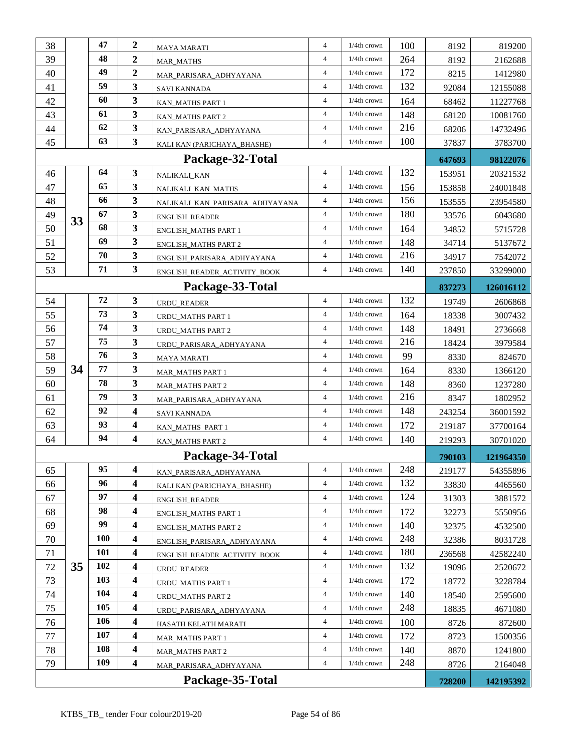| 38       |    | 47         | $\boldsymbol{2}$        | MAYA MARATI                     | $\overline{4}$                   | 1/4th crown                      | 100        | 8192   | 819200    |
|----------|----|------------|-------------------------|---------------------------------|----------------------------------|----------------------------------|------------|--------|-----------|
| 39       |    | 48         | 2                       | <b>MAR_MATHS</b>                | $\overline{4}$                   | $1/4$ th crown                   | 264        | 8192   | 2162688   |
| 40       |    | 49         | $\boldsymbol{2}$        | MAR_PARISARA_ADHYAYANA          | $\overline{4}$                   | 1/4th crown                      | 172        | 8215   | 1412980   |
| 41       |    | 59         | 3                       | <b>SAVI KANNADA</b>             | $\overline{4}$                   | $1/4$ th crown                   | 132        | 92084  | 12155088  |
| 42       |    | 60         | 3                       | KAN_MATHS PART 1                | $\overline{4}$                   | $1/4$ th crown                   | 164        | 68462  | 11227768  |
| 43       |    | 61         | 3                       | KAN_MATHS PART 2                | $\overline{4}$                   | 1/4th crown                      | 148        | 68120  | 10081760  |
| 44       |    | 62         | 3                       | KAN_PARISARA_ADHYAYANA          | $\overline{4}$                   | 1/4th crown                      | 216        | 68206  | 14732496  |
| 45       |    | 63         | $\overline{\mathbf{3}}$ | KALI KAN (PARICHAYA_BHASHE)     | $\overline{4}$                   | 1/4th crown                      | 100        | 37837  | 3783700   |
|          |    |            |                         | Package-32-Total                |                                  |                                  |            | 647693 | 98122076  |
| 46       |    | 64         | 3                       |                                 | $\overline{4}$                   | 1/4th crown                      | 132        | 153951 | 20321532  |
| 47       |    | 65         | $\mathbf{3}$            | NALIKALI_KAN                    | $\overline{4}$                   | $1/4$ th crown                   | 156        | 153858 | 24001848  |
| 48       |    | 66         | 3                       | NALIKALI_KAN_MATHS              | $\overline{4}$                   | 1/4th crown                      | 156        | 153555 | 23954580  |
| 49       |    | 67         | 3                       | NALIKALI_KAN_PARISARA_ADHYAYANA | $\overline{4}$                   | $1/4$ th crown                   | 180        | 33576  | 6043680   |
| 50       | 33 | 68         | 3                       | <b>ENGLISH_READER</b>           | $\overline{4}$                   | $1/4th$ crown                    | 164        | 34852  | 5715728   |
| 51       |    | 69         | 3                       | <b>ENGLISH_MATHS PART 1</b>     | $\overline{4}$                   | 1/4th crown                      | 148        | 34714  | 5137672   |
| 52       |    | 70         | 3                       | <b>ENGLISH_MATHS PART 2</b>     | $\overline{4}$                   | 1/4th crown                      | 216        | 34917  | 7542072   |
| 53       |    | 71         | 3                       | ENGLISH_PARISARA_ADHYAYANA      | $\overline{4}$                   | 1/4th crown                      | 140        | 237850 | 33299000  |
|          |    |            |                         | ENGLISH_READER_ACTIVITY_BOOK    |                                  |                                  |            |        |           |
|          |    | 72         | $\mathbf{3}$            | Package-33-Total                | $\overline{4}$                   | 1/4th crown                      | 132        | 837273 | 126016112 |
| 54       |    | 73         | 3                       | <b>URDU READER</b>              | $\overline{4}$                   | $1/4$ th crown                   |            | 19749  | 2606868   |
| 55<br>56 |    | 74         | 3                       | URDU_MATHS PART 1               | $\overline{4}$                   | $1/4$ th crown                   | 164<br>148 | 18338  | 3007432   |
|          |    | 75         | 3                       | <b>URDU_MATHS PART 2</b>        | $\overline{4}$                   | $1/4th$ crown                    | 216        | 18491  | 2736668   |
| 57       |    | 76         | 3                       | URDU_PARISARA_ADHYAYANA         | $\overline{4}$                   |                                  |            | 18424  | 3979584   |
| 58       |    | 77         |                         | MAYA MARATI                     | $\overline{4}$                   | 1/4th crown                      | 99         | 8330   | 824670    |
| 59       | 34 | 78         | 3                       | MAR_MATHS PART 1                | $\overline{4}$                   | 1/4th crown                      | 164        | 8330   | 1366120   |
| 60       |    |            | 3                       | <b>MAR_MATHS PART 2</b>         |                                  | $1/4$ th crown                   | 148        | 8360   | 1237280   |
| 61       |    | 79<br>92   | 3                       | MAR_PARISARA_ADHYAYANA          | $\overline{4}$                   | 1/4th crown                      | 216        | 8347   | 1802952   |
| 62       |    |            | 4                       | <b>SAVI KANNADA</b>             | $\overline{4}$<br>$\overline{4}$ | $1/4$ th crown<br>$1/4$ th crown | 148        | 243254 | 36001592  |
| 63       |    | 93<br>94   | 4                       | KAN_MATHS PART 1                |                                  |                                  | 172        | 219187 | 37700164  |
| 64       |    |            | 4                       | KAN_MATHS PART 2                | $\overline{4}$                   | $1/4$ th crown                   | 140        | 219293 | 30701020  |
|          |    |            |                         | Package-34-Total                |                                  |                                  |            | 790103 | 121964350 |
| 65       |    | 95         | 4                       | KAN PARISARA ADHYAYANA          | $\overline{4}$                   | $1/4$ th crown                   | 248        | 219177 | 54355896  |
| 66       |    | 96         | 4                       | KALI KAN (PARICHAYA_BHASHE)     | $\overline{4}$                   | 1/4th crown                      | 132        | 33830  | 4465560   |
| 67       |    | 97         | 4                       | ENGLISH_READER                  | $\overline{4}$                   | $1/4$ th crown                   | 124        | 31303  | 3881572   |
| 68       |    | 98         | 4                       | <b>ENGLISH_MATHS PART 1</b>     | $\overline{4}$                   | 1/4th crown                      | 172        | 32273  | 5550956   |
| 69       |    | 99         | 4                       | <b>ENGLISH_MATHS PART 2</b>     | $\overline{4}$                   | 1/4th crown                      | 140        | 32375  | 4532500   |
| 70       |    | <b>100</b> | 4                       | ENGLISH_PARISARA_ADHYAYANA      | $\overline{4}$                   | $1/4$ th crown                   | 248        | 32386  | 8031728   |
| 71       |    | <b>101</b> | 4                       | ENGLISH_READER_ACTIVITY_BOOK    | $\overline{4}$                   | 1/4th crown                      | 180        | 236568 | 42582240  |
| 72       | 35 | 102        | $\overline{\mathbf{4}}$ | URDU_READER                     | $\overline{4}$                   | $1/4$ th crown                   | 132        | 19096  | 2520672   |
| 73       |    | 103        | 4                       | URDU_MATHS PART 1               | $\overline{4}$                   | $1/4$ th crown                   | 172        | 18772  | 3228784   |
| 74       |    | 104        | 4                       | <b>URDU_MATHS PART 2</b>        | $\overline{4}$                   | $1/4$ th crown                   | 140        | 18540  | 2595600   |
| 75       |    | 105        | 4                       | URDU_PARISARA_ADHYAYANA         | $\overline{4}$                   | $1/4$ th crown                   | 248        | 18835  | 4671080   |
| 76       |    | <b>106</b> | 4                       | HASATH KELATH MARATI            | $\overline{4}$                   | $1/4$ th crown                   | 100        | 8726   | 872600    |
| 77       |    | 107        | 4                       | <b>MAR_MATHS PART 1</b>         | 4                                | $1/4$ th crown                   | 172        | 8723   | 1500356   |
| 78       |    | 108        | 4                       | <b>MAR_MATHS PART 2</b>         | $\overline{4}$                   | $1/4$ th crown                   | 140        | 8870   | 1241800   |
| 79       |    | 109        | 4                       | MAR_PARISARA_ADHYAYANA          | $\overline{4}$                   | $1/4$ th crown                   | 248        | 8726   | 2164048   |
|          |    |            |                         | Package-35-Total                |                                  |                                  |            | 728200 | 142195392 |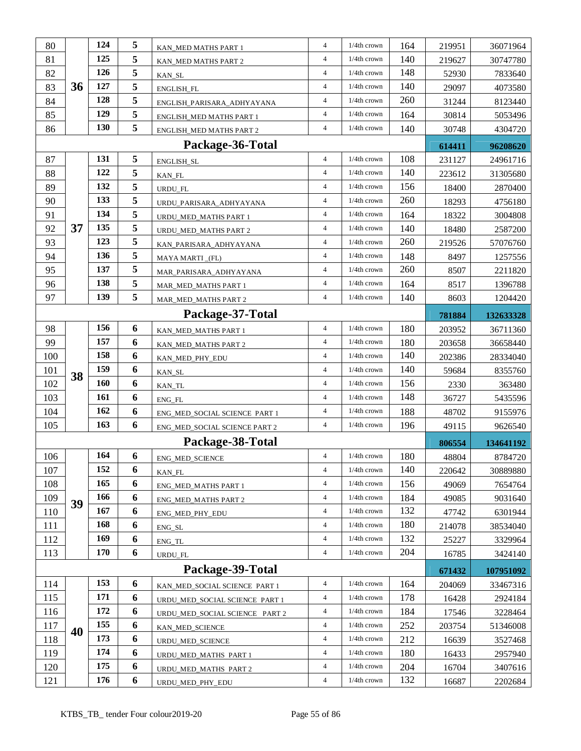| 80  |    | 124 | 5 | KAN_MED MATHS PART 1           | $\overline{4}$ | 1/4th crown    | 164 | 219951 | 36071964  |
|-----|----|-----|---|--------------------------------|----------------|----------------|-----|--------|-----------|
| 81  |    | 125 | 5 | KAN_MED MATHS PART 2           | $\overline{4}$ | $1/4$ th crown | 140 | 219627 | 30747780  |
| 82  |    | 126 | 5 | KAN_SL                         | $\overline{4}$ | 1/4th crown    | 148 | 52930  | 7833640   |
| 83  | 36 | 127 | 5 | ENGLISH_FL                     | $\overline{4}$ | $1/4$ th crown | 140 | 29097  | 4073580   |
| 84  |    | 128 | 5 | ENGLISH_PARISARA_ADHYAYANA     | $\overline{4}$ | $1/4$ th crown | 260 | 31244  | 8123440   |
| 85  |    | 129 | 5 | ENGLISH_MED MATHS PART 1       | $\overline{4}$ | 1/4th crown    | 164 | 30814  | 5053496   |
| 86  |    | 130 | 5 | ENGLISH_MED MATHS PART 2       | $\overline{4}$ | $1/4$ th crown | 140 | 30748  | 4304720   |
|     |    |     |   | Package-36-Total               |                |                |     | 614411 | 96208620  |
| 87  |    | 131 | 5 | ENGLISH_SL                     | $\overline{4}$ | 1/4th crown    | 108 | 231127 | 24961716  |
| 88  |    | 122 | 5 | KAN_FL                         | $\overline{4}$ | 1/4th crown    | 140 | 223612 | 31305680  |
| 89  |    | 132 | 5 | URDU_FL                        | $\overline{4}$ | $1/4th$ crown  | 156 | 18400  | 2870400   |
| 90  |    | 133 | 5 | URDU_PARISARA_ADHYAYANA        | $\overline{4}$ | $1/4$ th crown | 260 | 18293  | 4756180   |
| 91  |    | 134 | 5 | URDU_MED_MATHS PART 1          | $\overline{4}$ | $1/4$ th crown | 164 | 18322  | 3004808   |
| 92  | 37 | 135 | 5 | URDU_MED_MATHS PART 2          | $\overline{4}$ | $1/4th$ crown  | 140 | 18480  | 2587200   |
| 93  |    | 123 | 5 | KAN_PARISARA_ADHYAYANA         | $\overline{4}$ | 1/4th crown    | 260 | 219526 | 57076760  |
| 94  |    | 136 | 5 | MAYA MARTI_(FL)                | $\overline{4}$ | 1/4th crown    | 148 | 8497   | 1257556   |
| 95  |    | 137 | 5 | MAR_PARISARA_ADHYAYANA         | $\overline{4}$ | $1/4$ th crown | 260 | 8507   | 2211820   |
| 96  |    | 138 | 5 | MAR_MED_MATHS PART 1           | $\overline{4}$ | $1/4$ th crown | 164 | 8517   | 1396788   |
| 97  |    | 139 | 5 | MAR_MED_MATHS PART 2           | $\overline{4}$ | $1/4$ th crown | 140 | 8603   | 1204420   |
|     |    |     |   | Package-37-Total               |                |                |     | 781884 | 132633328 |
| 98  |    | 156 | 6 | KAN_MED_MATHS PART 1           | $\overline{4}$ | 1/4th crown    | 180 | 203952 | 36711360  |
| 99  |    | 157 | 6 | KAN_MED_MATHS PART 2           | $\overline{4}$ | $1/4th$ crown  | 180 | 203658 | 36658440  |
| 100 |    | 158 | 6 | KAN_MED_PHY_EDU                | $\overline{4}$ | 1/4th crown    | 140 | 202386 | 28334040  |
| 101 | 38 | 159 | 6 | KAN_SL                         | $\overline{4}$ | 1/4th crown    | 140 | 59684  | 8355760   |
| 102 |    | 160 | 6 | KAN_TL                         | $\overline{4}$ | 1/4th crown    | 156 | 2330   | 363480    |
| 103 |    | 161 | 6 | ENG_FL                         | $\overline{4}$ | 1/4th crown    | 148 | 36727  | 5435596   |
| 104 |    | 162 | 6 | ENG_MED_SOCIAL SCIENCE PART 1  | $\overline{4}$ | $1/4$ th crown | 188 | 48702  | 9155976   |
| 105 |    | 163 | 6 | ENG_MED_SOCIAL SCIENCE PART 2  | $\overline{4}$ | $1/4$ th crown | 196 | 49115  | 9626540   |
|     |    |     |   | Package-38-Total               |                |                |     | 806554 | 134641192 |
| 106 |    | 164 | 6 | <b>ENG_MED_SCIENCE</b>         | $\overline{4}$ | 1/4th crown    | 180 | 48804  | 8784720   |
| 107 |    | 152 | 6 | KAN FL                         | $\overline{4}$ | 1/4th crown    | 140 | 220642 | 30889880  |
| 108 |    | 165 | 6 | ENG_MED_MATHS PART 1           | $\overline{4}$ | 1/4th crown    | 156 | 49069  | 7654764   |
| 109 | 39 | 166 | 6 | ENG_MED_MATHS PART 2           | $\overline{4}$ | 1/4th crown    | 184 | 49085  | 9031640   |
| 110 |    | 167 | 6 | ENG_MED_PHY_EDU                | $\overline{4}$ | 1/4th crown    | 132 | 47742  | 6301944   |
| 111 |    | 168 | 6 | ENG_SL                         | $\overline{4}$ | $1/4$ th crown | 180 | 214078 | 38534040  |
| 112 |    | 169 | 6 | ENG_TL                         | $\overline{4}$ | 1/4th crown    | 132 | 25227  | 3329964   |
| 113 |    | 170 | 6 | URDU_FL                        | $\overline{4}$ | 1/4th crown    | 204 | 16785  | 3424140   |
|     |    |     |   | Package-39-Total               |                |                |     | 671432 | 107951092 |
| 114 |    | 153 | 6 | KAN_MED_SOCIAL SCIENCE PART 1  | $\overline{4}$ | 1/4th crown    | 164 | 204069 | 33467316  |
| 115 |    | 171 | 6 | URDU_MED_SOCIAL SCIENCE PART 1 | $\overline{4}$ | 1/4th crown    | 178 | 16428  | 2924184   |
| 116 |    | 172 | 6 | URDU_MED_SOCIAL SCIENCE PART 2 | $\overline{4}$ | 1/4th crown    | 184 | 17546  | 3228464   |
| 117 | 40 | 155 | 6 | KAN_MED_SCIENCE                | $\overline{4}$ | $1/4$ th crown | 252 | 203754 | 51346008  |
| 118 |    | 173 | 6 | URDU_MED_SCIENCE               | $\overline{4}$ | $1/4$ th crown | 212 | 16639  | 3527468   |
| 119 |    | 174 | 6 | URDU_MED_MATHS PART 1          | $\overline{4}$ | $1/4$ th crown | 180 | 16433  | 2957940   |
| 120 |    | 175 | 6 | URDU_MED_MATHS PART 2          | $\overline{4}$ | 1/4th crown    | 204 | 16704  | 3407616   |
| 121 |    | 176 | 6 | URDU_MED_PHY_EDU               | $\overline{4}$ | $1/4$ th crown | 132 | 16687  | 2202684   |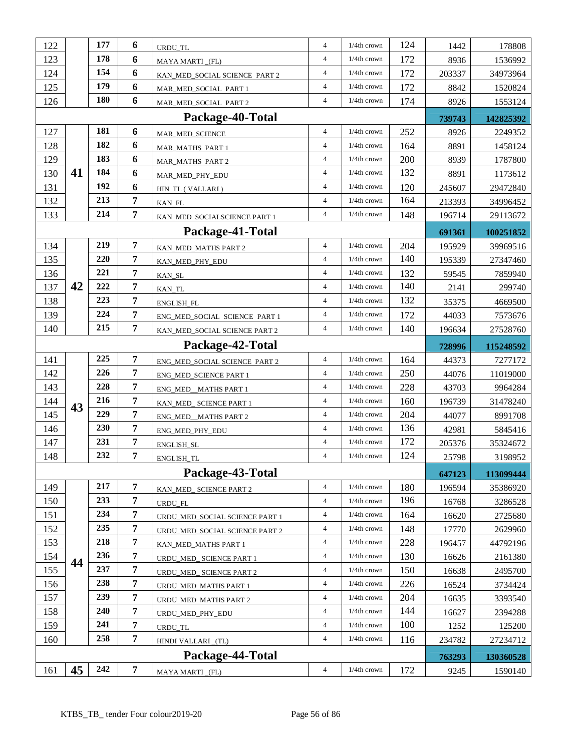| 122 |    | 177        | 6              | URDU_TL                        | $\overline{4}$ | $1/4$ th crown | 124 | 1442   | 178808    |
|-----|----|------------|----------------|--------------------------------|----------------|----------------|-----|--------|-----------|
| 123 |    | 178        | 6              | MAYA MARTI_(FL)                | $\overline{4}$ | $1/4$ th crown | 172 | 8936   | 1536992   |
| 124 |    | 154        | 6              | KAN_MED_SOCIAL SCIENCE PART 2  | $\overline{4}$ | 1/4th crown    | 172 | 203337 | 34973964  |
| 125 |    | 179        | 6              | MAR_MED_SOCIAL PART 1          | $\overline{4}$ | $1/4$ th crown | 172 | 8842   | 1520824   |
| 126 |    | <b>180</b> | 6              | MAR_MED_SOCIAL PART 2          | $\overline{4}$ | $1/4$ th crown | 174 | 8926   | 1553124   |
|     |    |            |                | Package-40-Total               |                |                |     | 739743 | 142825392 |
| 127 |    | 181        | 6              | MAR_MED_SCIENCE                | $\overline{4}$ | 1/4th crown    | 252 | 8926   | 2249352   |
| 128 |    | 182        | 6              | MAR_MATHS PART 1               | $\overline{4}$ | $1/4$ th crown | 164 | 8891   | 1458124   |
| 129 |    | 183        | 6              | MAR_MATHS PART 2               | $\overline{4}$ | 1/4th crown    | 200 | 8939   | 1787800   |
| 130 | 41 | 184        | 6              | MAR_MED_PHY_EDU                | $\overline{4}$ | $1/4$ th crown | 132 | 8891   | 1173612   |
| 131 |    | 192        | 6              | HIN_TL (VALLARI)               | $\overline{4}$ | 1/4th crown    | 120 | 245607 | 29472840  |
| 132 |    | 213        | 7              | KAN_FL                         | $\overline{4}$ | $1/4$ th crown | 164 | 213393 | 34996452  |
| 133 |    | 214        | 7              | KAN_MED_SOCIALSCIENCE PART 1   | $\overline{4}$ | $1/4$ th crown | 148 | 196714 | 29113672  |
|     |    |            |                | Package-41-Total               |                |                |     | 691361 | 100251852 |
| 134 |    | 219        | 7              | KAN_MED_MATHS PART 2           | $\overline{4}$ | 1/4th crown    | 204 | 195929 | 39969516  |
| 135 |    | 220        | 7              | KAN_MED_PHY_EDU                | $\overline{4}$ | $1/4$ th crown | 140 | 195339 | 27347460  |
| 136 |    | 221        | 7              | KAN_SL                         | $\overline{4}$ | $1/4$ th crown | 132 | 59545  | 7859940   |
| 137 | 42 | 222        | 7              | KAN_TL                         | $\overline{4}$ | $1/4$ th crown | 140 | 2141   | 299740    |
| 138 |    | 223        | $\overline{7}$ | ENGLISH_FL                     | $\overline{4}$ | $1/4th$ crown  | 132 | 35375  | 4669500   |
| 139 |    | 224        | 7              | ENG_MED_SOCIAL SCIENCE PART 1  | $\overline{4}$ | $1/4$ th crown | 172 | 44033  | 7573676   |
| 140 |    | 215        | 7              | KAN_MED_SOCIAL SCIENCE PART 2  | $\overline{4}$ | $1/4$ th crown | 140 | 196634 | 27528760  |
|     |    |            |                | Package-42-Total               |                |                |     | 728996 | 115248592 |
| 141 |    | 225        | 7              | ENG_MED_SOCIAL SCIENCE PART 2  | $\overline{4}$ | 1/4th crown    | 164 | 44373  | 7277172   |
| 142 |    | 226        | 7              | <b>ENG_MED_SCIENCE PART 1</b>  | $\overline{4}$ | $1/4$ th crown | 250 | 44076  | 11019000  |
| 143 |    | 228        | 7              | ENG_MED__MATHS PART 1          | $\overline{4}$ | $1/4$ th crown | 228 | 43703  | 9964284   |
| 144 | 43 | 216        | 7              | KAN_MED_ SCIENCE PART 1        | $\overline{4}$ | $1/4$ th crown | 160 | 196739 | 31478240  |
| 145 |    | 229        | 7              | ENG_MED__MATHS PART 2          | $\overline{4}$ | 1/4th crown    | 204 | 44077  | 8991708   |
| 146 |    | 230        | 7              | ENG_MED_PHY_EDU                | $\overline{4}$ | $1/4$ th crown | 136 | 42981  | 5845416   |
| 147 |    | 231        | 7              | ENGLISH_SL                     | $\overline{4}$ | 1/4th crown    | 172 | 205376 | 35324672  |
| 148 |    | 232        | 7              | ENGLISH_TL                     | $\overline{4}$ | $1/4$ th crown | 124 | 25798  | 3198952   |
|     |    |            |                | Package-43-Total               |                |                |     | 647123 | 113099444 |
| 149 |    | 217        | 7              | KAN_MED_ SCIENCE PART 2        | $\overline{4}$ | 1/4th crown    | 180 | 196594 | 35386920  |
| 150 |    | 233        | $\overline{7}$ | URDU_FL                        | $\overline{4}$ | $1/4$ th crown | 196 | 16768  | 3286528   |
| 151 |    | 234        | 7              | URDU_MED_SOCIAL SCIENCE PART 1 | $\overline{4}$ | $1/4$ th crown | 164 | 16620  | 2725680   |
| 152 |    | 235        | 7              | URDU_MED_SOCIAL SCIENCE PART 2 | $\overline{4}$ | 1/4th crown    | 148 | 17770  | 2629960   |
| 153 |    | 218        | 7              | KAN_MED_MATHS PART 1           | $\overline{4}$ | 1/4th crown    | 228 | 196457 | 44792196  |
| 154 | 44 | 236        | 7              | URDU_MED_ SCIENCE PART 1       | $\overline{4}$ | 1/4th crown    | 130 | 16626  | 2161380   |
|     |    |            |                |                                |                | 1/4th crown    | 150 | 16638  | 2495700   |
| 155 |    | 237        | 7              | URDU_MED_ SCIENCE PART 2       | $\overline{4}$ |                |     |        |           |
| 156 |    | 238        | 7              | URDU_MED_MATHS PART 1          | $\overline{4}$ | $1/4th$ crown  | 226 | 16524  | 3734424   |
| 157 |    | 239        | 7              | URDU_MED_MATHS PART 2          | $\overline{4}$ | 1/4th crown    | 204 | 16635  | 3393540   |
| 158 |    | 240        | 7              | URDU_MED_PHY_EDU               | $\overline{4}$ | 1/4th crown    | 144 | 16627  | 2394288   |
| 159 |    | 241        | $\overline{7}$ | URDU_TL                        | $\overline{4}$ | 1/4th crown    | 100 | 1252   | 125200    |
| 160 |    | 258        | $\overline{7}$ | HINDI VALLARI_(TL)             | $\overline{4}$ | $1/4$ th crown | 116 | 234782 | 27234712  |
|     |    |            |                | Package-44-Total               |                |                |     | 763293 | 130360528 |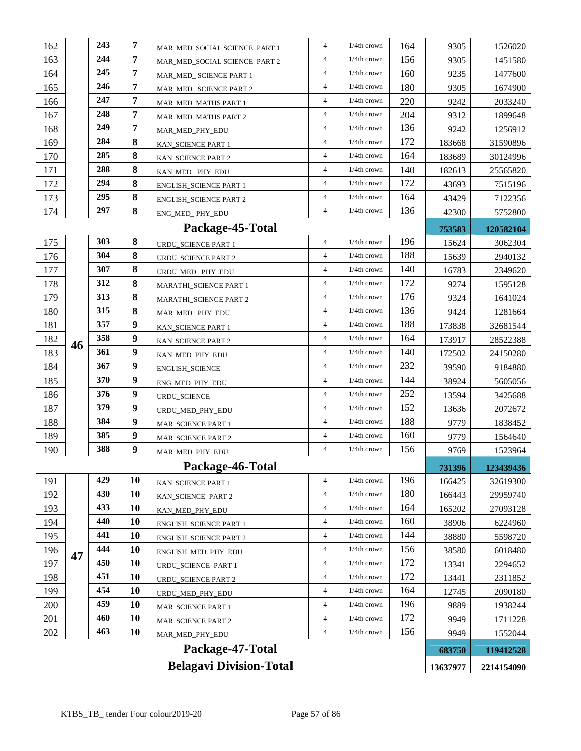| 162                                        |    | 243 | 7                | MAR_MED_SOCIAL SCIENCE PART 1 | $\overline{4}$ | $1/4$ th crown | 164 | 9305   | 1526020    |
|--------------------------------------------|----|-----|------------------|-------------------------------|----------------|----------------|-----|--------|------------|
| 163                                        |    | 244 | 7                | MAR MED SOCIAL SCIENCE PART 2 | $\overline{4}$ | $1/4$ th crown | 156 | 9305   | 1451580    |
| 164                                        |    | 245 | $\overline{7}$   | MAR_MED_ SCIENCE PART 1       | $\overline{4}$ | 1/4th crown    | 160 | 9235   | 1477600    |
| 165                                        |    | 246 | $\overline{7}$   | MAR_MED_ SCIENCE PART 2       | $\overline{4}$ | $1/4$ th crown | 180 | 9305   | 1674900    |
| 166                                        |    | 247 | 7                | MAR_MED_MATHS PART 1          | $\overline{4}$ | $1/4th$ crown  | 220 | 9242   | 2033240    |
| 167                                        |    | 248 | 7                | MAR_MED_MATHS PART 2          | $\overline{4}$ | $1/4th$ crown  | 204 | 9312   | 1899648    |
| 168                                        |    | 249 | 7                | MAR_MED_PHY_EDU               | $\overline{4}$ | 1/4th crown    | 136 | 9242   | 1256912    |
| 169                                        |    | 284 | 8                | KAN_SCIENCE PART 1            | $\overline{4}$ | 1/4th crown    | 172 | 183668 | 31590896   |
| 170                                        |    | 285 | $\bf{8}$         | KAN_SCIENCE PART 2            | $\overline{4}$ | $1/4$ th crown | 164 | 183689 | 30124996   |
| 171                                        |    | 288 | 8                | KAN_MED_PHY_EDU               | $\overline{4}$ | 1/4th crown    | 140 | 182613 | 25565820   |
| 172                                        |    | 294 | 8                | <b>ENGLISH_SCIENCE PART 1</b> | $\overline{4}$ | $1/4$ th crown | 172 | 43693  | 7515196    |
| 173                                        |    | 295 | 8                | <b>ENGLISH_SCIENCE PART 2</b> | $\overline{4}$ | 1/4th crown    | 164 | 43429  | 7122356    |
| 174                                        |    | 297 | 8                | ENG_MED_PHY_EDU               | $\overline{4}$ | $1/4$ th crown | 136 | 42300  | 5752800    |
|                                            |    |     |                  | Package-45-Total              |                |                |     | 753583 | 120582104  |
| 175                                        |    | 303 | $\bf{8}$         | <b>URDU_SCIENCE PART 1</b>    | $\overline{4}$ | $1/4$ th crown | 196 | 15624  | 3062304    |
| 176                                        |    | 304 | 8                | URDU_SCIENCE PART 2           | $\overline{4}$ | $1/4$ th crown | 188 | 15639  | 2940132    |
| 177                                        |    | 307 | 8                | URDU_MED_PHY_EDU              | $\overline{4}$ | $1/4$ th crown | 140 | 16783  | 2349620    |
| 178                                        |    | 312 | 8                | MARATHI_SCIENCE PART 1        | $\overline{4}$ | 1/4th crown    | 172 | 9274   | 1595128    |
| 179                                        |    | 313 | 8                | MARATHI_SCIENCE PART 2        | $\overline{4}$ | 1/4th crown    | 176 | 9324   | 1641024    |
| 180                                        |    | 315 | 8                | MAR_MED_PHY_EDU               | $\overline{4}$ | 1/4th crown    | 136 | 9424   | 1281664    |
| 181                                        |    | 357 | 9                | KAN_SCIENCE PART 1            | $\overline{4}$ | 1/4th crown    | 188 | 173838 | 32681544   |
| 182                                        | 46 | 358 | 9                | KAN_SCIENCE PART 2            | $\overline{4}$ | 1/4th crown    | 164 | 173917 | 28522388   |
| 183                                        |    | 361 | 9                | KAN_MED_PHY_EDU               | $\overline{4}$ | $1/4$ th crown | 140 | 172502 | 24150280   |
| 184                                        |    | 367 | 9                | ENGLISH_SCIENCE               | $\overline{4}$ | $1/4$ th crown | 232 | 39590  | 9184880    |
| 185                                        |    | 370 | $\boldsymbol{9}$ | ENG_MED_PHY_EDU               | $\overline{4}$ | 1/4th crown    | 144 | 38924  | 5605056    |
| 186                                        |    | 376 | 9                | URDU_SCIENCE                  | $\overline{4}$ | 1/4th crown    | 252 | 13594  | 3425688    |
| 187                                        |    | 379 | 9                | URDU_MED_PHY_EDU              | $\overline{4}$ | 1/4th crown    | 152 | 13636  | 2072672    |
| 188                                        |    | 384 | 9                | MAR_SCIENCE PART 1            | $\overline{4}$ | 1/4th crown    | 188 | 9779   | 1838452    |
| 189                                        |    | 385 | 9                | <b>MAR_SCIENCE PART 2</b>     | $\overline{4}$ | 1/4th crown    | 160 | 9779   | 1564640    |
| 190                                        |    | 388 | 9                | MAR_MED_PHY_EDU               | $\overline{4}$ | $1/4$ th crown | 156 | 9769   | 1523964    |
|                                            |    |     |                  | Package-46-Total              |                |                |     | 731396 | 123439436  |
| 191                                        |    | 429 | 10               | KAN SCIENCE PART 1            | $\overline{4}$ | 1/4th crown    | 196 | 166425 | 32619300   |
| 192                                        |    | 430 | 10               | KAN_SCIENCE PART 2            | $\overline{4}$ | 1/4th crown    | 180 | 166443 | 29959740   |
| 193                                        |    | 433 | 10               | KAN_MED_PHY_EDU               | $\overline{4}$ | 1/4th crown    | 164 | 165202 | 27093128   |
| 194                                        |    | 440 | 10               | <b>ENGLISH_SCIENCE PART 1</b> | $\overline{4}$ | 1/4th crown    | 160 | 38906  | 6224960    |
| 195                                        |    | 441 | 10               | <b>ENGLISH_SCIENCE PART 2</b> | $\overline{4}$ | 1/4th crown    | 144 | 38880  | 5598720    |
| 196                                        | 47 | 444 | 10               | ENGLISH_MED_PHY_EDU           | $\overline{4}$ | $1/4th$ crown  | 156 | 38580  | 6018480    |
| 197                                        |    | 450 | 10               | URDU_SCIENCE PART 1           | $\overline{4}$ | 1/4th crown    | 172 | 13341  | 2294652    |
| 198                                        |    | 451 | 10               | <b>URDU_SCIENCE PART 2</b>    | $\overline{4}$ | 1/4th crown    | 172 | 13441  | 2311852    |
| 199                                        |    | 454 | 10               | URDU_MED_PHY_EDU              | $\overline{4}$ | 1/4th crown    | 164 | 12745  | 2090180    |
| 200                                        |    | 459 | 10               | MAR_SCIENCE PART 1            | $\overline{4}$ | 1/4th crown    | 196 | 9889   | 1938244    |
| 201                                        |    | 460 | 10               | MAR_SCIENCE PART 2            | $\overline{4}$ | 1/4th crown    | 172 | 9949   | 1711228    |
| 202                                        |    | 463 | 10               | MAR_MED_PHY_EDU               | $\overline{4}$ | $1/4$ th crown | 156 | 9949   | 1552044    |
|                                            |    |     |                  | Package-47-Total              |                |                |     | 683750 | 119412528  |
| <b>Belagavi Division-Total</b><br>13637977 |    |     |                  |                               |                |                |     |        | 2214154090 |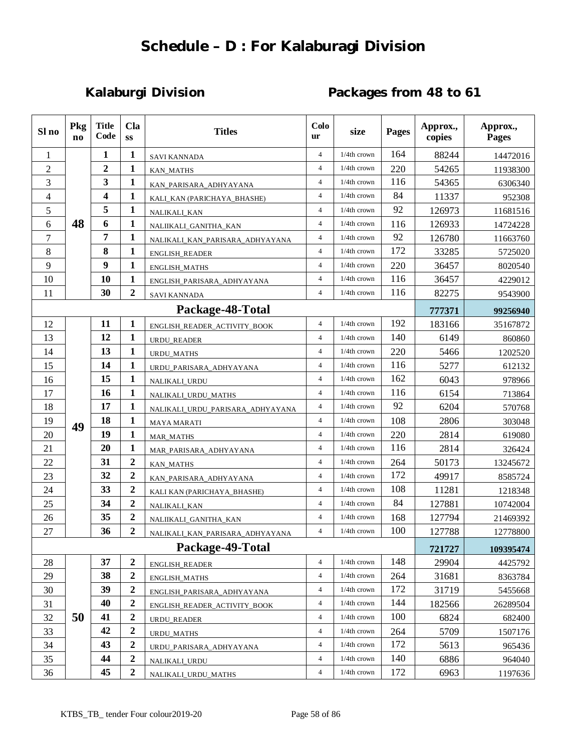# **Schedule – D : For Kalaburagi Division**

# **Kalaburgi Division Packages from 48 to 61**

| Sl no          | Pkg<br>$\mathbf{n}$ | <b>Title</b><br>Code | <b>Cla</b><br>SS | Colo<br><b>Titles</b><br><b>Pages</b><br>size<br>ur |                | Approx.,<br>copies | Approx.,<br>Pages |        |           |
|----------------|---------------------|----------------------|------------------|-----------------------------------------------------|----------------|--------------------|-------------------|--------|-----------|
| 1              |                     | 1                    | 1                | <b>SAVI KANNADA</b>                                 | $\overline{4}$ | 1/4th crown        | 164               | 88244  | 14472016  |
| $\overline{2}$ |                     | $\overline{2}$       | 1                | <b>KAN_MATHS</b>                                    | $\overline{4}$ | 1/4th crown        | 220               | 54265  | 11938300  |
| 3              | 3<br>1<br>4<br>1    |                      |                  | KAN_PARISARA_ADHYAYANA                              | $\overline{4}$ | 1/4th crown        | 116               | 54365  | 6306340   |
| 4              |                     |                      |                  | KALI_KAN (PARICHAYA_BHASHE)                         | $\overline{4}$ | 1/4th crown        | 84                | 11337  | 952308    |
| 5              |                     | 5                    | 1                | NALIKALI_KAN                                        | $\overline{4}$ | 1/4th crown        | 92                | 126973 | 11681516  |
| 6              | 48                  | 6                    | 1                | NALIIKALI_GANITHA_KAN                               | $\overline{4}$ | 1/4th crown        | 116               | 126933 | 14724228  |
| $\overline{7}$ |                     | 7                    | 1                | NALIKALI KAN PARISARA ADHYAYANA                     | 4              | 1/4th crown        | 92                | 126780 | 11663760  |
| 8              |                     | 8                    | 1                | <b>ENGLISH_READER</b>                               | $\overline{4}$ | 1/4th crown        | 172               | 33285  | 5725020   |
| 9              |                     | 9                    | 1                | ENGLISH_MATHS                                       | 4              | 1/4th crown        | 220               | 36457  | 8020540   |
| 10             |                     | 10                   | $\mathbf{1}$     | ENGLISH_PARISARA_ADHYAYANA                          | $\overline{4}$ | 1/4th crown        | 116               | 36457  | 4229012   |
| 11             |                     | 30                   | $\boldsymbol{2}$ | <b>SAVI KANNADA</b>                                 | $\overline{4}$ | $1/4$ th crown     | 116               | 82275  | 9543900   |
|                |                     |                      |                  | Package-48-Total                                    |                |                    |                   | 777371 | 99256940  |
| 12             |                     | 11                   | 1                | ENGLISH_READER_ACTIVITY_BOOK                        | $\overline{4}$ | 1/4th crown        | 192               | 183166 | 35167872  |
| 13             |                     | 12                   | 1                | <b>URDU READER</b>                                  | $\overline{4}$ | $1/4$ th crown     | 140               | 6149   | 860860    |
| 14             |                     | 13                   | 1                | <b>URDU_MATHS</b>                                   | $\overline{4}$ | 1/4th crown        | 220               | 5466   | 1202520   |
| 15             |                     | 14                   | 1                | URDU_PARISARA_ADHYAYANA                             | $\overline{4}$ | 1/4th crown        | 116               | 5277   | 612132    |
| 16             |                     | 15                   | 1                | NALIKALI_URDU                                       | $\overline{4}$ | 1/4th crown        | 162               | 6043   | 978966    |
| 17             |                     | 16                   | $\mathbf{1}$     | NALIKALI_URDU_MATHS                                 | $\overline{4}$ | 1/4th crown        | 116               | 6154   | 713864    |
| 18             |                     | 17                   | 1                | NALIKALI_URDU_PARISARA_ADHYAYANA                    | $\overline{4}$ | 1/4th crown        | 92                | 6204   | 570768    |
| 19             | 49                  | 18                   | 1                | <b>MAYA MARATI</b>                                  | $\overline{4}$ | $1/4$ th crown     | 108               | 2806   | 303048    |
| 20             |                     | 19                   | 1                | <b>MAR_MATHS</b>                                    | $\overline{4}$ | 1/4th crown        | 220               | 2814   | 619080    |
| 21             |                     | 20                   | 1                | MAR_PARISARA_ADHYAYANA                              | $\overline{4}$ | 1/4th crown        | 116               | 2814   | 326424    |
| 22             |                     | 31                   | $\boldsymbol{2}$ | <b>KAN_MATHS</b>                                    | $\overline{4}$ | $1/4$ th crown     | 264               | 50173  | 13245672  |
| 23             |                     | 32                   | $\overline{2}$   | KAN_PARISARA_ADHYAYANA                              | $\overline{4}$ | 1/4th crown        | 172               | 49917  | 8585724   |
| 24             |                     | 33                   | $\boldsymbol{2}$ | KALI KAN (PARICHAYA_BHASHE)                         | $\overline{4}$ | 1/4th crown        | 108               | 11281  | 1218348   |
| 25             |                     | 34                   | $\boldsymbol{2}$ | NALIKALI_KAN                                        | $\overline{4}$ | $1/4$ th crown     | 84                | 127881 | 10742004  |
| 26             |                     | 35                   | $\overline{2}$   | NALIIKALI_GANITHA_KAN                               | $\overline{4}$ | $1/4$ th crown     | 168               | 127794 | 21469392  |
| 27             |                     | 36                   | $\mathbf{2}$     | NALIKALI_KAN_PARISARA_ADHYAYANA                     | 4              | $1/4$ th crown     | 100               | 127788 | 12778800  |
|                |                     |                      |                  | Package-49-Total                                    |                |                    |                   | 721727 | 109395474 |
| 28             |                     | 37                   | $\boldsymbol{2}$ | <b>ENGLISH_READER</b>                               | 4              | 1/4th crown        | 148               | 29904  | 4425792   |
| 29             |                     | 38                   | $\boldsymbol{2}$ | ENGLISH_MATHS                                       | 4              | $1/4$ th crown     | 264               | 31681  | 8363784   |
| 30             |                     | 39                   | $\mathbf{2}$     | ENGLISH_PARISARA_ADHYAYANA                          | 4              | 1/4th crown        | 172               | 31719  | 5455668   |
| 31             |                     | 40                   | $\boldsymbol{2}$ | ENGLISH_READER_ACTIVITY_BOOK                        | 4              | 1/4th crown        | 144               | 182566 | 26289504  |
| 32             | 50                  | 41                   | $\boldsymbol{2}$ | URDU_READER                                         | 4              | 1/4th crown        | 100               | 6824   | 682400    |
| 33             |                     | 42                   | $\mathbf{2}$     | <b>URDU_MATHS</b>                                   | $\overline{4}$ | 1/4th crown        | 264               | 5709   | 1507176   |
| 34             |                     | 43                   | 2                | URDU_PARISARA_ADHYAYANA                             | 4              | $1/4$ th crown     | 172               | 5613   | 965436    |
| 35             |                     | 44                   | $\boldsymbol{2}$ | NALIKALI URDU                                       | 4              | 1/4th crown        | 140               | 6886   | 964040    |
| 36             |                     | 45                   | $\boldsymbol{2}$ | NALIKALI_URDU_MATHS                                 | 4              | $1/4$ th crown     | 172               | 6963   | 1197636   |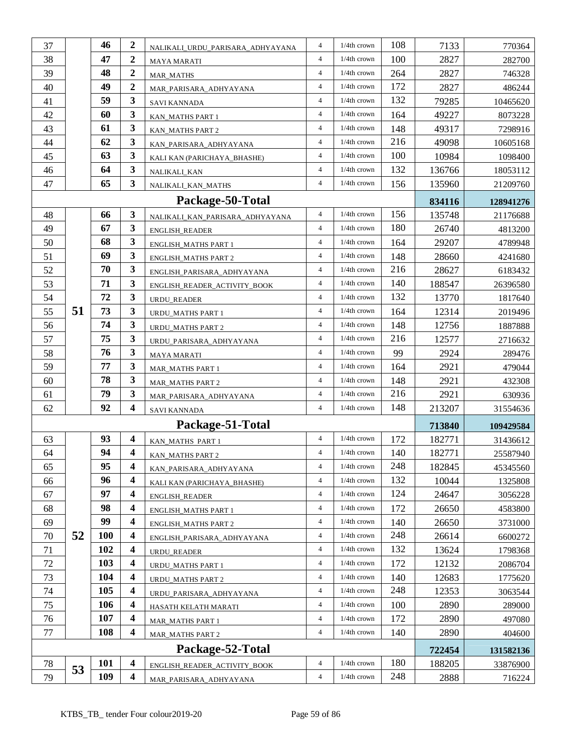| 37       |    | 46                | $\boldsymbol{2}$        |                                  | $\overline{4}$ | 1/4th crown    | 108        | 7133           | 770364    |
|----------|----|-------------------|-------------------------|----------------------------------|----------------|----------------|------------|----------------|-----------|
| 38       |    | 47                | $\boldsymbol{2}$        | NALIKALI_URDU_PARISARA_ADHYAYANA | $\overline{4}$ | $1/4$ th crown | 100        | 2827           | 282700    |
| 39       |    | 48                | $\boldsymbol{2}$        | MAYA MARATI<br><b>MAR_MATHS</b>  | $\overline{4}$ | 1/4th crown    | 264        | 2827           | 746328    |
| 40       |    | 49                | $\overline{2}$          | MAR_PARISARA_ADHYAYANA           | $\overline{4}$ | $1/4$ th crown | 172        | 2827           | 486244    |
| 41       |    | 59                | $\mathbf{3}$            | SAVI KANNADA                     | $\overline{4}$ | 1/4th crown    | 132        | 79285          | 10465620  |
| 42       |    | 60                | $\overline{\mathbf{3}}$ | KAN_MATHS PART 1                 | $\overline{4}$ | 1/4th crown    | 164        | 49227          | 8073228   |
| 43       |    | 61                | $\mathbf{3}$            | KAN_MATHS PART 2                 | $\overline{4}$ | $1/4$ th crown | 148        | 49317          | 7298916   |
| 44       |    | 62                | $\mathbf{3}$            | KAN_PARISARA_ADHYAYANA           | $\overline{4}$ | 1/4th crown    | 216        | 49098          | 10605168  |
| 45       |    | 63                | 3                       | KALI KAN (PARICHAYA_BHASHE)      | $\overline{4}$ | $1/4$ th crown | 100        | 10984          | 1098400   |
| 46       |    | 64                | $\mathbf{3}$            | NALIKALI KAN                     | $\overline{4}$ | 1/4th crown    | 132        | 136766         | 18053112  |
| 47       |    | 65                | 3                       | NALIKALI_KAN_MATHS               | $\overline{4}$ | 1/4th crown    | 156        | 135960         | 21209760  |
|          |    |                   |                         | Package-50-Total                 |                |                |            | 834116         | 128941276 |
| 48       |    | 66                | $\mathbf{3}$            | NALIKALI_KAN_PARISARA_ADHYAYANA  | $\overline{4}$ | 1/4th crown    | 156        | 135748         | 21176688  |
| 49       |    | 67                | $\mathbf{3}$            | ENGLISH_READER                   | $\overline{4}$ | $1/4$ th crown | 180        | 26740          | 4813200   |
| 50       |    | 68                | $\mathbf{3}$            | <b>ENGLISH_MATHS PART 1</b>      | $\overline{4}$ | $1/4$ th crown | 164        | 29207          | 4789948   |
| 51       |    | 69                | $\mathbf{3}$            | <b>ENGLISH_MATHS PART 2</b>      | $\overline{4}$ | 1/4th crown    | 148        | 28660          | 4241680   |
| 52       |    | 70                | $\mathbf{3}$            | ENGLISH_PARISARA_ADHYAYANA       | $\overline{4}$ | 1/4th crown    | 216        | 28627          | 6183432   |
| 53       |    | 71                | $\mathbf{3}$            | ENGLISH_READER_ACTIVITY_BOOK     | $\overline{4}$ | 1/4th crown    | 140        | 188547         | 26396580  |
| 54       |    | 72                | $\mathbf{3}$            | URDU_READER                      | $\overline{4}$ | 1/4th crown    | 132        | 13770          | 1817640   |
| 55       | 51 | 73                | 3                       | URDU_MATHS PART 1                | $\overline{4}$ | $1/4$ th crown | 164        | 12314          | 2019496   |
| 56       |    | 74                | $\mathbf{3}$            | URDU_MATHS PART 2                | $\overline{4}$ | $1/4$ th crown | 148        | 12756          | 1887888   |
| 57       |    | 75                | $\mathbf{3}$            | URDU_PARISARA_ADHYAYANA          | $\overline{4}$ | $1/4$ th crown | 216        | 12577          | 2716632   |
| 58       |    | 76                | $\mathbf{3}$            | <b>MAYA MARATI</b>               | $\overline{4}$ | 1/4th crown    | 99         | 2924           | 289476    |
| 59       |    | 77                | $\mathbf{3}$            | <b>MAR_MATHS PART 1</b>          | $\overline{4}$ | $1/4$ th crown | 164        | 2921           | 479044    |
| 60       |    | 78                | $\mathbf{3}$            | <b>MAR_MATHS PART 2</b>          | $\overline{4}$ | 1/4th crown    | 148        | 2921           | 432308    |
| 61       |    | 79                | $\mathbf{3}$            | MAR_PARISARA_ADHYAYANA           | $\overline{4}$ | $1/4$ th crown | 216        | 2921           | 630936    |
| 62       |    | 92                | 4                       | <b>SAVI KANNADA</b>              | $\overline{4}$ | 1/4th crown    | 148        | 213207         | 31554636  |
|          |    |                   |                         | Package-51-Total                 |                |                |            | 713840         | 109429584 |
| 63       |    | 93                | $\overline{\mathbf{4}}$ | KAN MATHS PART 1                 | $\overline{4}$ | $1/4$ th crown | 172        | 182771         | 31436612  |
| 64       |    | 94                | 4                       | KAN_MATHS PART 2                 | $\overline{4}$ | $1/4$ th crown | 140        | 182771         | 25587940  |
| 65       |    | 95                | 4                       | KAN_PARISARA_ADHYAYANA           | 4              | $1/4$ th crown | 248        | 182845         | 45345560  |
| 66       |    | 96                | $\overline{\mathbf{4}}$ | KALI KAN (PARICHAYA_BHASHE)      | $\overline{4}$ | $1/4$ th crown | 132        | 10044          | 1325808   |
| 67       |    | 97                | $\overline{\mathbf{4}}$ | <b>ENGLISH_READER</b>            | $\overline{4}$ | 1/4th crown    | 124        | 24647          | 3056228   |
| 68       |    | 98                | $\overline{\mathbf{4}}$ | <b>ENGLISH_MATHS PART 1</b>      | $\overline{4}$ | 1/4th crown    | 172        | 26650          | 4583800   |
| 69       |    | 99                | $\boldsymbol{4}$        | ENGLISH_MATHS PART 2             | $\overline{4}$ | 1/4th crown    | 140        | 26650          | 3731000   |
| 70       | 52 | <b>100</b>        | $\overline{\mathbf{4}}$ | ENGLISH_PARISARA_ADHYAYANA       | $\overline{4}$ | $1/4$ th crown | 248        | 26614          | 6600272   |
| 71       |    |                   |                         |                                  |                |                |            |                |           |
|          |    | 102               | $\overline{\mathbf{4}}$ | URDU_READER                      | $\overline{4}$ | 1/4th crown    | 132        | 13624          | 1798368   |
| 72       |    | 103               | $\overline{\mathbf{4}}$ | URDU_MATHS PART 1                | $\overline{4}$ | 1/4th crown    | 172        | 12132          | 2086704   |
| 73       |    | 104               | $\boldsymbol{4}$        | <b>URDU_MATHS PART 2</b>         | $\overline{4}$ | 1/4th crown    | 140        | 12683          | 1775620   |
| 74       |    | 105               | $\overline{\mathbf{4}}$ | URDU_PARISARA_ADHYAYANA          | $\overline{4}$ | 1/4th crown    | 248        | 12353          | 3063544   |
| 75       |    | 106               | $\boldsymbol{4}$        | HASATH KELATH MARATI             | $\overline{4}$ | $1/4$ th crown | 100        | 2890           | 289000    |
| 76       |    | 107               | $\boldsymbol{4}$        | MAR_MATHS PART 1                 | $\overline{4}$ | $1/4$ th crown | 172        | 2890           | 497080    |
| 77       |    | 108               | 4                       | MAR_MATHS PART 2                 | $\overline{4}$ | 1/4th crown    | 140        | 2890           | 404600    |
|          |    |                   |                         | Package-52-Total                 |                |                |            | 722454         | 131582136 |
| 78<br>79 | 53 | <b>101</b><br>109 | 4<br>$\boldsymbol{4}$   | ENGLISH_READER_ACTIVITY_BOOK     | $\overline{4}$ | 1/4th crown    | 180<br>248 | 188205<br>2888 | 33876900  |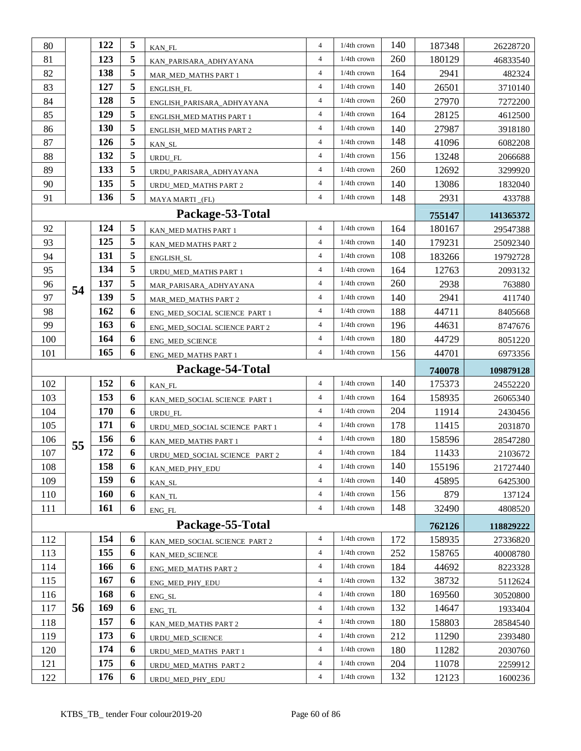| 80  |    | 122        | 5                         | KAN_FL                         | $\overline{4}$ | 1/4th crown    | 140 | 187348 | 26228720  |
|-----|----|------------|---------------------------|--------------------------------|----------------|----------------|-----|--------|-----------|
| 81  |    | 123        | 5                         | KAN_PARISARA_ADHYAYANA         | $\overline{4}$ | 1/4th crown    | 260 | 180129 | 46833540  |
| 82  |    | 138        | 5<br>MAR_MED_MATHS PART 1 |                                | $\overline{4}$ | 1/4th crown    | 164 | 2941   | 482324    |
| 83  |    | 127        | 5                         | <b>ENGLISH FL</b>              |                | 1/4th crown    | 140 | 26501  | 3710140   |
| 84  |    | 128        | 5                         | ENGLISH_PARISARA_ADHYAYANA     | $\overline{4}$ | $1/4$ th crown | 260 | 27970  | 7272200   |
| 85  |    | 129        | 5                         | ENGLISH_MED MATHS PART 1       | $\overline{4}$ | $1/4$ th crown | 164 | 28125  | 4612500   |
| 86  |    | 130        | 5                         | ENGLISH_MED MATHS PART 2       | $\overline{4}$ | $1/4$ th crown | 140 | 27987  | 3918180   |
| 87  |    | 126        | 5                         | KAN_SL                         | $\overline{4}$ | 1/4th crown    | 148 | 41096  | 6082208   |
| 88  |    | 132        | 5                         | URDU_FL                        | $\overline{4}$ | 1/4th crown    | 156 | 13248  | 2066688   |
| 89  |    | 133        | 5                         | URDU PARISARA ADHYAYANA        | $\overline{4}$ | 1/4th crown    | 260 | 12692  | 3299920   |
| 90  |    | 135        | 5                         | URDU_MED_MATHS PART 2          | $\overline{4}$ | 1/4th crown    | 140 | 13086  | 1832040   |
| 91  |    | 136        | 5                         | MAYA MARTI_(FL)                | $\overline{4}$ | $1/4$ th crown | 148 | 2931   | 433788    |
|     |    |            |                           | Package-53-Total               |                |                |     | 755147 | 141365372 |
| 92  |    | 124        | 5                         | KAN_MED MATHS PART 1           | $\overline{4}$ | 1/4th crown    | 164 | 180167 | 29547388  |
| 93  |    | 125        | 5                         | KAN_MED MATHS PART 2           | $\overline{4}$ | $1/4$ th crown | 140 | 179231 | 25092340  |
| 94  |    | 131        | 5                         | ENGLISH_SL                     | $\overline{4}$ | 1/4th crown    | 108 | 183266 | 19792728  |
| 95  |    | 134        | 5                         | URDU_MED_MATHS PART 1          | $\overline{4}$ | 1/4th crown    | 164 | 12763  | 2093132   |
| 96  | 54 | 137        | 5                         | MAR_PARISARA_ADHYAYANA         | $\overline{4}$ | 1/4th crown    | 260 | 2938   | 763880    |
| 97  |    | 139        | 5                         | <b>MAR_MED_MATHS PART 2</b>    | $\overline{4}$ | 1/4th crown    | 140 | 2941   | 411740    |
| 98  |    | 162        | 6                         | ENG_MED_SOCIAL SCIENCE PART 1  | $\overline{4}$ | $1/4$ th crown | 188 | 44711  | 8405668   |
| 99  |    | 163        | 6                         | ENG_MED_SOCIAL SCIENCE PART 2  | $\overline{4}$ | 1/4th crown    | 196 | 44631  | 8747676   |
| 100 |    | 164        | 6                         | ENG_MED_SCIENCE                | $\overline{4}$ | $1/4$ th crown | 180 | 44729  | 8051220   |
| 101 |    | 165        | 6                         | ENG_MED_MATHS PART 1           | $\overline{4}$ | 1/4th crown    | 156 | 44701  | 6973356   |
|     |    |            |                           |                                |                |                |     |        |           |
|     |    |            |                           | Package-54-Total               |                |                |     | 740078 | 109879128 |
| 102 |    | 152        | 6                         | KAN_FL                         | $\overline{4}$ | 1/4th crown    | 140 | 175373 | 24552220  |
| 103 |    | 153        | 6                         | KAN_MED_SOCIAL SCIENCE PART 1  | $\overline{4}$ | 1/4th crown    | 164 | 158935 | 26065340  |
| 104 |    | 170        | 6                         | URDU_FL                        | $\overline{4}$ | $1/4$ th crown | 204 | 11914  | 2430456   |
| 105 |    | 171        | 6                         | URDU_MED_SOCIAL SCIENCE PART 1 | $\overline{4}$ | $1/4$ th crown | 178 | 11415  | 2031870   |
| 106 |    | 156        | 6                         | KAN_MED_MATHS PART 1           | $\overline{4}$ | $1/4$ th crown | 180 | 158596 | 28547280  |
| 107 | 55 | 172        | 6                         | URDU_MED_SOCIAL SCIENCE PART 2 | 4              | $1/4$ th crown | 184 | 11433  | 2103672   |
| 108 |    | 158        | 6                         | KAN_MED_PHY_EDU                | $\overline{4}$ | 1/4th crown    | 140 | 155196 | 21727440  |
| 109 |    | 159        | 6                         | KAN_SL                         | $\overline{4}$ | $1/4$ th crown | 140 | 45895  | 6425300   |
| 110 |    | <b>160</b> | 6                         | KAN_TL                         | $\overline{4}$ | 1/4th crown    | 156 | 879    | 137124    |
| 111 |    | 161        | 6                         | ENG_FL                         | $\overline{4}$ | 1/4th crown    | 148 | 32490  | 4808520   |
|     |    |            |                           | Package-55-Total               |                |                |     | 762126 | 118829222 |
| 112 |    | 154        | 6                         | KAN_MED_SOCIAL SCIENCE PART 2  | $\overline{4}$ | 1/4th crown    | 172 | 158935 | 27336820  |
| 113 |    | 155        | 6                         | KAN_MED_SCIENCE                | $\overline{4}$ | 1/4th crown    | 252 | 158765 | 40008780  |
| 114 |    | 166        | 6                         | ENG MED MATHS PART 2           | $\overline{4}$ | 1/4th crown    | 184 | 44692  | 8223328   |
| 115 |    | 167        | 6                         | ENG_MED_PHY_EDU                | $\overline{4}$ | 1/4th crown    | 132 | 38732  | 5112624   |
| 116 |    | 168        | 6                         | ENG_SL                         | $\overline{4}$ | 1/4th crown    | 180 | 169560 | 30520800  |
| 117 | 56 | 169        | 6                         | ENG_TL                         | $\overline{4}$ | 1/4th crown    | 132 | 14647  | 1933404   |
| 118 |    | 157        | 6                         | KAN_MED_MATHS PART 2           | $\overline{4}$ | 1/4th crown    | 180 | 158803 | 28584540  |
| 119 |    | 173        | 6                         | URDU_MED_SCIENCE               | $\overline{4}$ | 1/4th crown    | 212 | 11290  | 2393480   |
| 120 |    | 174        | 6                         | URDU_MED_MATHS PART 1          | $\overline{4}$ | 1/4th crown    | 180 | 11282  | 2030760   |
| 121 |    | 175        | 6                         | URDU_MED_MATHS PART 2          | $\overline{4}$ | 1/4th crown    | 204 | 11078  | 2259912   |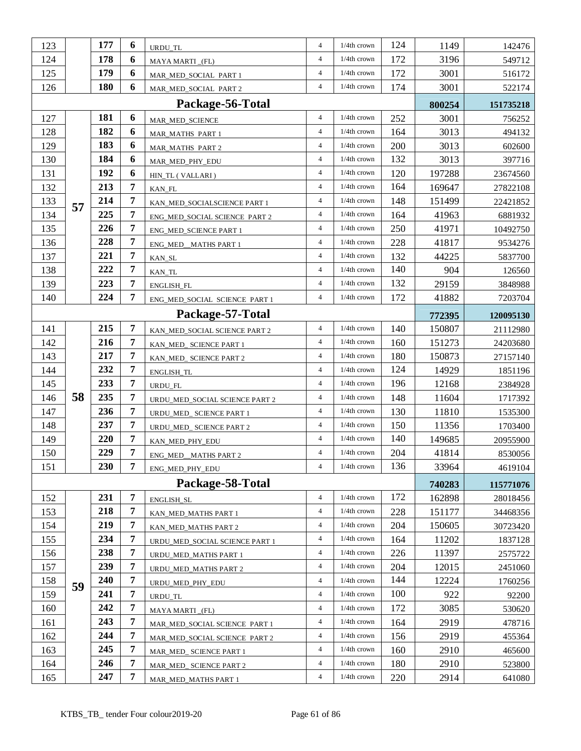| 123 |                  | 177 | 6              | URDU_TL                                                   | $\overline{4}$ | 1/4th crown    | 124 | 1149           | 142476    |
|-----|------------------|-----|----------------|-----------------------------------------------------------|----------------|----------------|-----|----------------|-----------|
| 124 |                  | 178 | 6              | MAYA MARTI_(FL)                                           | $\overline{4}$ | 1/4th crown    | 172 | 3196           | 549712    |
| 125 |                  | 179 | 6              | MAR_MED_SOCIAL PART 1                                     | $\overline{4}$ | 1/4th crown    | 172 | 3001           | 516172    |
| 126 |                  | 180 | 6              | $\overline{4}$<br>$1/4$ th crown<br>MAR_MED_SOCIAL PART 2 |                |                | 174 | 3001           | 522174    |
|     | Package-56-Total |     |                |                                                           |                |                |     |                | 151735218 |
| 127 |                  | 181 | 6              | MAR_MED_SCIENCE                                           | $\overline{4}$ | 1/4th crown    | 252 | 800254<br>3001 | 756252    |
| 128 |                  | 182 | 6              | MAR_MATHS PART 1                                          | $\overline{4}$ | 1/4th crown    | 164 | 3013           | 494132    |
| 129 |                  | 183 | 6              | MAR_MATHS PART 2                                          | $\overline{4}$ | 1/4th crown    | 200 | 3013           | 602600    |
| 130 |                  | 184 | 6              | MAR_MED_PHY_EDU                                           | $\overline{4}$ | 1/4th crown    | 132 | 3013           | 397716    |
| 131 |                  | 192 | 6              | HIN_TL (VALLARI)                                          | $\overline{4}$ | $1/4$ th crown | 120 | 197288         | 23674560  |
| 132 |                  | 213 | $\overline{7}$ | KAN_FL                                                    | $\overline{4}$ | 1/4th crown    | 164 | 169647         | 27822108  |
| 133 |                  | 214 | $\overline{7}$ | KAN_MED_SOCIALSCIENCE PART 1                              | $\overline{4}$ | 1/4th crown    | 148 | 151499         | 22421852  |
| 134 | 57               | 225 | 7              | ENG_MED_SOCIAL SCIENCE PART 2                             | $\overline{4}$ | $1/4$ th crown | 164 | 41963          | 6881932   |
| 135 |                  | 226 | 7              | ENG_MED_SCIENCE PART 1                                    | $\overline{4}$ | 1/4th crown    | 250 | 41971          | 10492750  |
| 136 |                  | 228 | 7              | ENG_MED__MATHS PART 1                                     | $\overline{4}$ | 1/4th crown    | 228 | 41817          | 9534276   |
| 137 |                  | 221 | $\overline{7}$ | KAN_SL                                                    | $\overline{4}$ | $1/4$ th crown | 132 | 44225          | 5837700   |
| 138 |                  | 222 | 7              | KAN_TL                                                    | $\overline{4}$ | $1/4$ th crown | 140 | 904            | 126560    |
| 139 |                  | 223 | 7              | <b>ENGLISH_FL</b>                                         | $\overline{4}$ | $1/4$ th crown | 132 | 29159          | 3848988   |
| 140 |                  | 224 | $\overline{7}$ | ENG_MED_SOCIAL SCIENCE PART 1                             | $\overline{4}$ | $1/4$ th crown | 172 | 41882          | 7203704   |
|     |                  |     |                | Package-57-Total                                          |                |                |     | 772395         | 120095130 |
| 141 |                  | 215 | 7              | KAN_MED_SOCIAL SCIENCE PART 2                             | $\overline{4}$ | 1/4th crown    | 140 | 150807         | 21112980  |
| 142 |                  | 216 | 7              | KAN_MED_ SCIENCE PART 1                                   | $\overline{4}$ | 1/4th crown    | 160 | 151273         | 24203680  |
| 143 |                  | 217 | 7              | KAN_MED_ SCIENCE PART 2                                   | $\overline{4}$ | 1/4th crown    | 180 | 150873         | 27157140  |
| 144 |                  | 232 | $\overline{7}$ | ENGLISH_TL                                                | $\overline{4}$ | 1/4th crown    | 124 | 14929          | 1851196   |
| 145 |                  | 233 | 7              | URDU_FL                                                   | $\overline{4}$ | $1/4$ th crown | 196 | 12168          | 2384928   |
| 146 | 58               | 235 | 7              | URDU_MED_SOCIAL SCIENCE PART 2                            | $\overline{4}$ | 1/4th crown    | 148 | 11604          | 1717392   |
| 147 |                  | 236 | 7              | URDU_MED_ SCIENCE PART 1                                  | $\overline{4}$ | 1/4th crown    | 130 | 11810          | 1535300   |
| 148 |                  | 237 | 7              | URDU_MED_ SCIENCE PART 2                                  | $\overline{4}$ | $1/4$ th crown | 150 | 11356          | 1703400   |
| 149 |                  | 220 | 7              | KAN_MED_PHY_EDU                                           | $\overline{4}$ | 1/4th crown    | 140 | 149685         | 20955900  |
| 150 |                  | 229 | 7              | ENG_MED_MATHS PART 2                                      | $\overline{4}$ | 1/4th crown    | 204 | 41814          | 8530056   |
| 151 |                  | 230 | 7              | ENG_MED_PHY_EDU                                           | 4              | $1/4$ th crown | 136 | 33964          | 4619104   |
|     |                  |     |                | Package-58-Total                                          |                |                |     | 740283         | 115771076 |
| 152 |                  | 231 | 7              | ENGLISH_SL                                                | $\overline{4}$ | 1/4th crown    | 172 | 162898         | 28018456  |
| 153 |                  | 218 | $\overline{7}$ | KAN_MED_MATHS PART 1                                      | $\overline{4}$ | 1/4th crown    | 228 | 151177         | 34468356  |
| 154 |                  | 219 | 7              | KAN_MED_MATHS PART 2                                      | $\overline{4}$ | $1/4$ th crown | 204 | 150605         | 30723420  |
| 155 |                  | 234 | $\overline{7}$ | URDU_MED_SOCIAL SCIENCE PART 1                            | $\overline{4}$ | 1/4th crown    | 164 | 11202          | 1837128   |
| 156 |                  | 238 | $\overline{7}$ | URDU_MED_MATHS PART 1                                     | $\overline{4}$ | 1/4th crown    | 226 | 11397          | 2575722   |
| 157 |                  | 239 | $\overline{7}$ | URDU_MED_MATHS PART 2                                     | $\overline{4}$ | $1/4$ th crown | 204 | 12015          | 2451060   |
| 158 | 59               | 240 | $\overline{7}$ | URDU_MED_PHY_EDU                                          | $\overline{4}$ | $1/4$ th crown | 144 | 12224          | 1760256   |
| 159 |                  | 241 | $\overline{7}$ | URDU_TL                                                   | $\overline{4}$ | 1/4th crown    | 100 | 922            | 92200     |
| 160 |                  | 242 | 7              | MAYA MARTI _(FL)                                          | $\overline{4}$ | 1/4th crown    | 172 | 3085           | 530620    |
| 161 |                  | 243 | 7              | MAR_MED_SOCIAL SCIENCE PART 1                             | $\overline{4}$ | $1/4$ th crown | 164 | 2919           | 478716    |
| 162 |                  | 244 | $\overline{7}$ | MAR_MED_SOCIAL SCIENCE PART 2                             | $\overline{4}$ | 1/4th crown    | 156 | 2919           | 455364    |
| 163 |                  | 245 | $\overline{7}$ | MAR_MED_ SCIENCE PART 1                                   | $\overline{4}$ | $1/4$ th crown | 160 | 2910           | 465600    |
| 164 |                  | 246 | 7              | MAR_MED_ SCIENCE PART 2                                   | $\overline{4}$ | $1/4$ th crown | 180 | 2910           | 523800    |
| 165 |                  | 247 | $\overline{7}$ | MAR_MED_MATHS PART 1                                      | $\overline{4}$ | 1/4th crown    | 220 | 2914           | 641080    |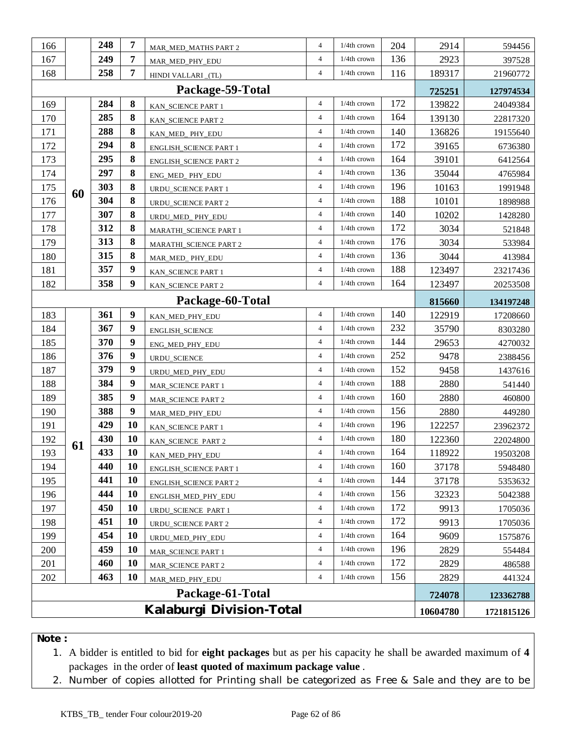| 166                      |    | 248 | 7              | MAR_MED_MATHS PART 2                   | $\overline{4}$ | 1/4th crown    | 204 | 2914     | 594456     |
|--------------------------|----|-----|----------------|----------------------------------------|----------------|----------------|-----|----------|------------|
| 167                      |    | 249 | 7              | MAR_MED_PHY_EDU                        | $\overline{4}$ | 1/4th crown    | 136 | 2923     | 397528     |
| 168                      |    | 258 | $\overline{7}$ | HINDI VALLARI_(TL)                     | $\overline{4}$ | 1/4th crown    | 116 | 189317   | 21960772   |
|                          |    |     | 725251         | 127974534                              |                |                |     |          |            |
| 169                      |    | 284 | 8              | Package-59-Total<br>KAN_SCIENCE PART 1 | $\overline{4}$ | 1/4th crown    | 172 | 139822   | 24049384   |
| 170                      |    | 285 | 8              | KAN_SCIENCE PART 2                     | $\overline{4}$ | 1/4th crown    | 164 | 139130   | 22817320   |
| 171                      |    | 288 | 8              | KAN_MED_PHY_EDU                        | $\overline{4}$ | $1/4$ th crown | 140 | 136826   | 19155640   |
| 172                      |    | 294 | 8              | <b>ENGLISH_SCIENCE PART 1</b>          | $\overline{4}$ | 1/4th crown    | 172 | 39165    | 6736380    |
| 173                      |    | 295 | 8              | <b>ENGLISH_SCIENCE PART 2</b>          | $\overline{4}$ | 1/4th crown    | 164 | 39101    | 6412564    |
| 174                      |    | 297 | 8              | ENG_MED_ PHY_EDU                       | $\overline{4}$ | 1/4th crown    | 136 | 35044    | 4765984    |
| 175                      | 60 | 303 | 8              | URDU_SCIENCE PART 1                    | $\overline{4}$ | 1/4th crown    | 196 | 10163    | 1991948    |
| 176                      |    | 304 | 8              | URDU_SCIENCE PART 2                    | $\overline{4}$ | 1/4th crown    | 188 | 10101    | 1898988    |
| 177                      |    | 307 | 8              | URDU_MED_PHY_EDU                       | $\overline{4}$ | 1/4th crown    | 140 | 10202    | 1428280    |
| 178                      |    | 312 | 8              | MARATHI_SCIENCE PART 1                 | $\overline{4}$ | 1/4th crown    | 172 | 3034     | 521848     |
| 179                      |    | 313 | 8              | MARATHI_SCIENCE PART 2                 | $\overline{4}$ | 1/4th crown    | 176 | 3034     | 533984     |
| 180                      |    | 315 | 8              | MAR_MED_PHY_EDU                        | $\overline{4}$ | $1/4$ th crown | 136 | 3044     | 413984     |
| 181                      |    | 357 | 9              | KAN SCIENCE PART 1                     | $\overline{4}$ | 1/4th crown    | 188 | 123497   | 23217436   |
| 182                      |    | 358 | 9              | KAN_SCIENCE PART 2                     | $\overline{4}$ | 1/4th crown    | 164 | 123497   | 20253508   |
| Package-60-Total         |    |     |                |                                        |                |                |     | 815660   | 134197248  |
| 183                      |    | 361 | 9              | KAN_MED_PHY_EDU                        | $\overline{4}$ | 1/4th crown    | 140 | 122919   | 17208660   |
| 184                      |    | 367 | 9              | ENGLISH_SCIENCE                        | $\overline{4}$ | 1/4th crown    | 232 | 35790    | 8303280    |
| 185                      |    | 370 | 9              | ENG_MED_PHY_EDU                        | $\overline{4}$ | 1/4th crown    | 144 | 29653    | 4270032    |
| 186                      |    | 376 | 9              | URDU_SCIENCE                           | $\overline{4}$ | 1/4th crown    | 252 | 9478     | 2388456    |
| 187                      |    | 379 | 9              | URDU_MED_PHY_EDU                       | $\overline{4}$ | 1/4th crown    | 152 | 9458     | 1437616    |
| 188                      |    | 384 | 9              | MAR_SCIENCE PART 1                     | $\overline{4}$ | 1/4th crown    | 188 | 2880     | 541440     |
| 189                      |    | 385 | 9              | MAR_SCIENCE PART 2                     | $\overline{4}$ | 1/4th crown    | 160 | 2880     | 460800     |
| 190                      |    | 388 | 9              | MAR_MED_PHY_EDU                        | $\overline{4}$ | $1/4$ th crown | 156 | 2880     | 449280     |
| 191                      |    | 429 | 10             | KAN_SCIENCE PART 1                     | $\overline{4}$ | 1/4th crown    | 196 | 122257   | 23962372   |
| 192                      | 61 | 430 | 10             | KAN_SCIENCE_PART 2                     | $\overline{4}$ | 1/4th crown    | 180 | 122360   | 22024800   |
| 193                      |    | 433 | 10             | KAN_MED_PHY_EDU                        | $\overline{4}$ | $1/4$ th crown | 164 | 118922   | 19503208   |
| 194                      |    | 440 | 10             | <b>ENGLISH_SCIENCE PART 1</b>          | 4              | 1/4th crown    | 160 | 37178    | 5948480    |
| 195                      |    | 441 | 10             | ENGLISH_SCIENCE PART 2                 | $\overline{4}$ | 1/4th crown    | 144 | 37178    | 5353632    |
| 196                      |    | 444 | 10             | ENGLISH_MED_PHY_EDU                    | $\overline{4}$ | 1/4th crown    | 156 | 32323    | 5042388    |
| 197                      |    | 450 | 10             | URDU_SCIENCE PART 1                    | $\overline{4}$ | 1/4th crown    | 172 | 9913     | 1705036    |
| 198                      |    | 451 | 10             | URDU_SCIENCE PART 2                    | $\overline{4}$ | 1/4th crown    | 172 | 9913     | 1705036    |
| 199                      |    | 454 | 10             | URDU_MED_PHY_EDU                       | $\overline{4}$ | $1/4$ th crown | 164 | 9609     | 1575876    |
| 200                      |    | 459 | 10             | MAR_SCIENCE PART 1                     | 4              | $1/4$ th crown | 196 | 2829     | 554484     |
| 201                      |    | 460 | 10             | <b>MAR_SCIENCE PART 2</b>              | $\overline{4}$ | 1/4th crown    | 172 | 2829     | 486588     |
| 202                      |    | 463 | 10             | MAR_MED_PHY_EDU                        | $\overline{4}$ | $1/4$ th crown | 156 | 2829     | 441324     |
|                          |    |     |                | Package-61-Total                       |                |                |     | 724078   | 123362788  |
| Kalaburgi Division-Total |    |     |                |                                        |                |                |     | 10604780 | 1721815126 |

**Note :** 

1. A bidder is entitled to bid for **eight packages** but as per his capacity he shall be awarded maximum of **4** packages in the order of **least quoted of maximum package value** .

2. Number of copies allotted for Printing shall be categorized as Free & Sale and they are to be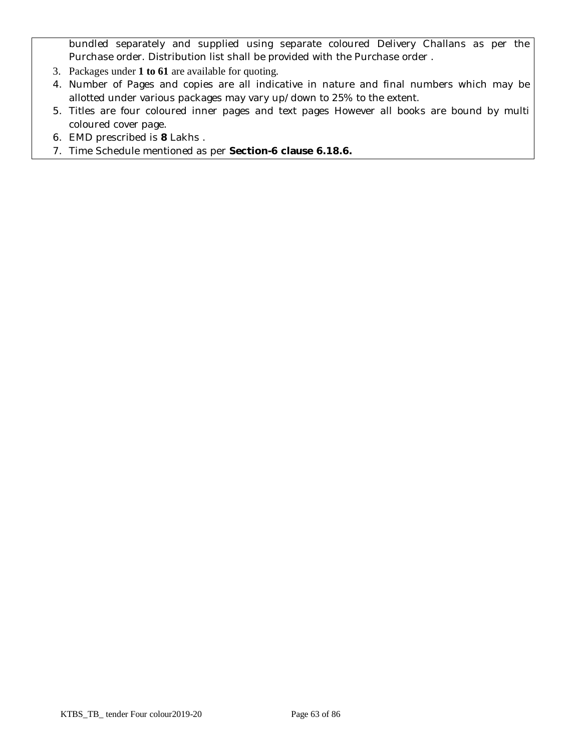bundled separately and supplied using separate coloured Delivery Challans as per the Purchase order. Distribution list shall be provided with the Purchase order .

- 3. Packages under **1 to 61** are available for quoting.
- 4. Number of Pages and copies are all indicative in nature and final numbers which may be allotted under various packages may vary up/down to 25% to the extent.
- 5. Titles are four coloured inner pages and text pages However all books are bound by multi coloured cover page.
- 6. EMD prescribed is **8** Lakhs .
- 7. Time Schedule mentioned as per **Section-6 clause 6.18.6.**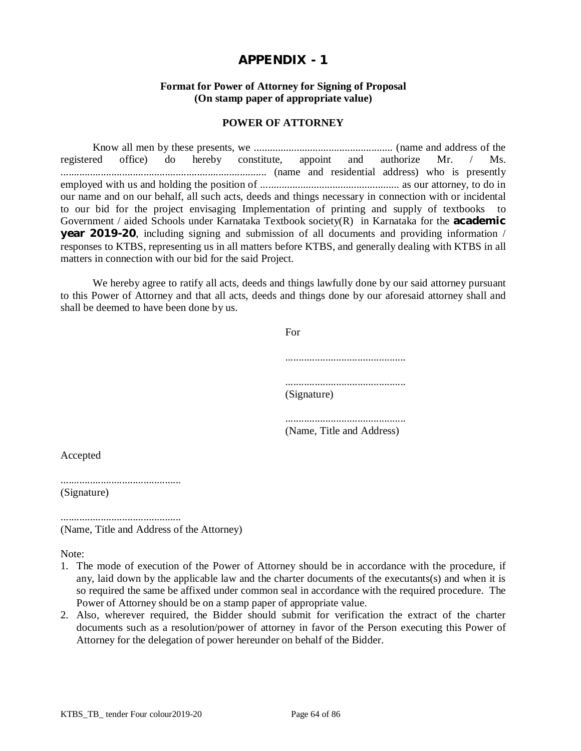#### **Format for Power of Attorney for Signing of Proposal (On stamp paper of appropriate value)**

#### **POWER OF ATTORNEY**

Know all men by these presents, we .................................................... (name and address of the registered office) do hereby constitute, appoint and authorize Mr. / Ms. ............................................................................. (name and residential address) who is presently employed with us and holding the position of .................................................... as our attorney, to do in our name and on our behalf, all such acts, deeds and things necessary in connection with or incidental to our bid for the project envisaging Implementation of printing and supply of textbooks to Government / aided Schools under Karnataka Textbook society(R) in Karnataka for the **academic year 2019-20**, including signing and submission of all documents and providing information / responses to KTBS, representing us in all matters before KTBS, and generally dealing with KTBS in all matters in connection with our bid for the said Project.

We hereby agree to ratify all acts, deeds and things lawfully done by our said attorney pursuant to this Power of Attorney and that all acts, deeds and things done by our aforesaid attorney shall and shall be deemed to have been done by us.

| For         |
|-------------|
|             |
| (Signature) |
|             |

(Name, Title and Address)

Accepted

............................................. (Signature)

............................................. (Name, Title and Address of the Attorney)

Note:

- 1. The mode of execution of the Power of Attorney should be in accordance with the procedure, if any, laid down by the applicable law and the charter documents of the executants(s) and when it is so required the same be affixed under common seal in accordance with the required procedure. The Power of Attorney should be on a stamp paper of appropriate value.
- 2. Also, wherever required, the Bidder should submit for verification the extract of the charter documents such as a resolution/power of attorney in favor of the Person executing this Power of Attorney for the delegation of power hereunder on behalf of the Bidder.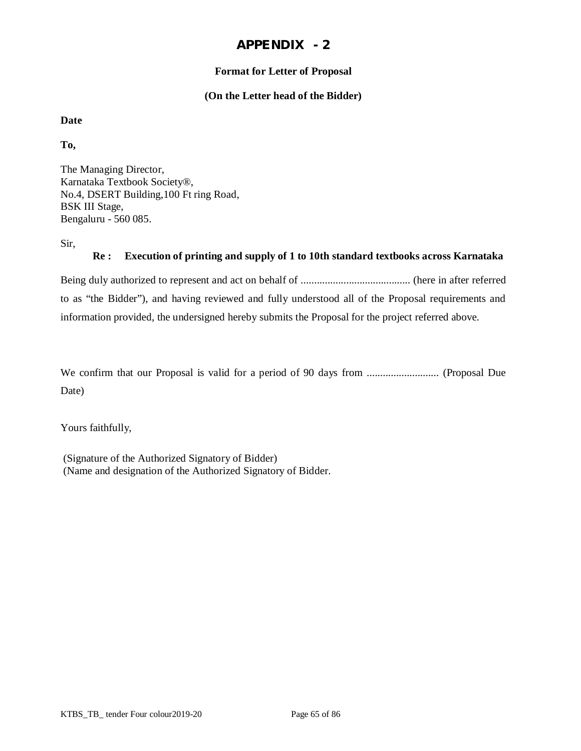## **Format for Letter of Proposal**

#### **(On the Letter head of the Bidder)**

## **Date**

**To,**

The Managing Director, Karnataka Textbook Society®, No.4, DSERT Building,100 Ft ring Road, BSK III Stage, Bengaluru - 560 085.

Sir,

#### **Re : Execution of printing and supply of 1 to 10th standard textbooks across Karnataka**

Being duly authorized to represent and act on behalf of ......................................... (here in after referred to as "the Bidder"), and having reviewed and fully understood all of the Proposal requirements and information provided, the undersigned hereby submits the Proposal for the project referred above.

We confirm that our Proposal is valid for a period of 90 days from ........................... (Proposal Due Date)

Yours faithfully,

(Signature of the Authorized Signatory of Bidder) (Name and designation of the Authorized Signatory of Bidder.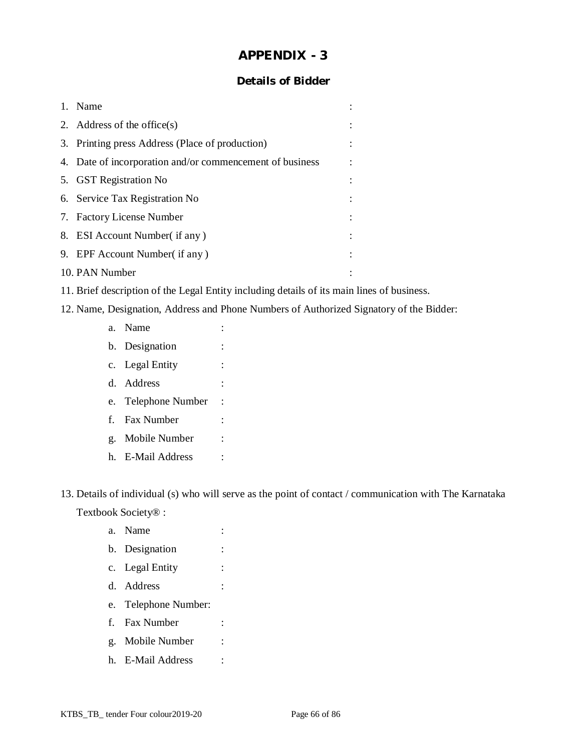## **Details of Bidder**

| 1. | Name                                                     |  |
|----|----------------------------------------------------------|--|
|    | 2. Address of the office $(s)$                           |  |
|    | 3. Printing press Address (Place of production)          |  |
|    | 4. Date of incorporation and/or commencement of business |  |
|    | 5. GST Registration No                                   |  |
|    | 6. Service Tax Registration No.                          |  |
|    | 7. Factory License Number                                |  |
|    | 8. ESI Account Number (if any)                           |  |
|    | 9. EPF Account Number (if any)                           |  |
|    | 10. PAN Number                                           |  |

- 11. Brief description of the Legal Entity including details of its main lines of business.
- 12. Name, Designation, Address and Phone Numbers of Authorized Signatory of the Bidder:
	- a. Name : b. Designation : c. Legal Entity : d. Address : e. Telephone Number : f. Fax Number : g. Mobile Number : h. E-Mail Address :

13. Details of individual (s) who will serve as the point of contact / communication with The Karnataka Textbook Society® :

- a. Name : b. Designation : c. Legal Entity : d. Address : e. Telephone Number: f. Fax Number :
- g. Mobile Number :
- h. E-Mail Address :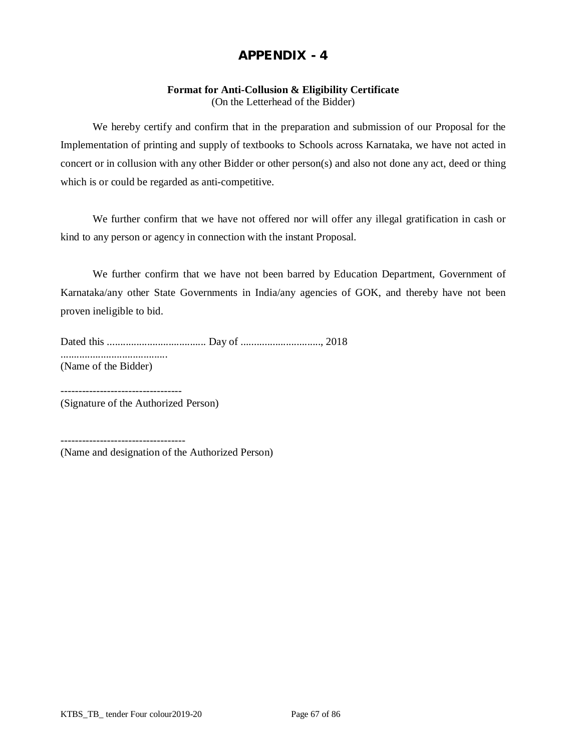## **Format for Anti-Collusion & Eligibility Certificate**

(On the Letterhead of the Bidder)

We hereby certify and confirm that in the preparation and submission of our Proposal for the Implementation of printing and supply of textbooks to Schools across Karnataka, we have not acted in concert or in collusion with any other Bidder or other person(s) and also not done any act, deed or thing which is or could be regarded as anti-competitive.

We further confirm that we have not offered nor will offer any illegal gratification in cash or kind to any person or agency in connection with the instant Proposal.

We further confirm that we have not been barred by Education Department, Government of Karnataka/any other State Governments in India/any agencies of GOK, and thereby have not been proven ineligible to bid.

Dated this ..................................... Day of .............................., 2018 ........................................ (Name of the Bidder)

---------------------------------- (Signature of the Authorized Person)

(Name and designation of the Authorized Person)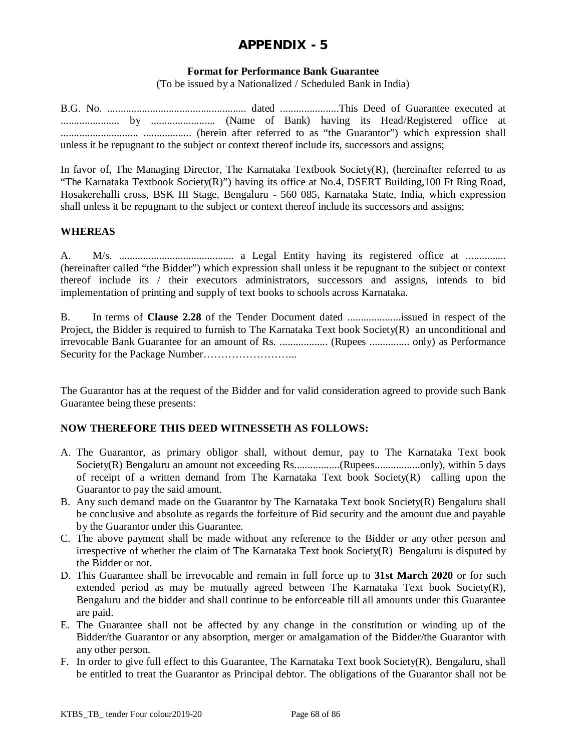### **Format for Performance Bank Guarantee**

(To be issued by a Nationalized / Scheduled Bank in India)

B.G. No. .................................................... dated ......................This Deed of Guarantee executed at ...................... by ........................ (Name of Bank) having its Head/Registered office at ............................. .................. (herein after referred to as "the Guarantor") which expression shall unless it be repugnant to the subject or context thereof include its, successors and assigns;

In favor of, The Managing Director, The Karnataka Textbook Society(R), (hereinafter referred to as "The Karnataka Textbook Society(R)") having its office at No.4, DSERT Building,100 Ft Ring Road, Hosakerehalli cross, BSK III Stage, Bengaluru - 560 085, Karnataka State, India, which expression shall unless it be repugnant to the subject or context thereof include its successors and assigns;

### **WHEREAS**

A. M/s. ........................................... a Legal Entity having its registered office at ............... (hereinafter called "the Bidder") which expression shall unless it be repugnant to the subject or context thereof include its / their executors administrators, successors and assigns, intends to bid implementation of printing and supply of text books to schools across Karnataka.

B. In terms of **Clause 2.28** of the Tender Document dated ....................issued in respect of the Project, the Bidder is required to furnish to The Karnataka Text book Society(R) an unconditional and irrevocable Bank Guarantee for an amount of Rs. .................. (Rupees ............... only) as Performance Security for the Package Number……………………...

The Guarantor has at the request of the Bidder and for valid consideration agreed to provide such Bank Guarantee being these presents:

#### **NOW THEREFORE THIS DEED WITNESSETH AS FOLLOWS:**

- A. The Guarantor, as primary obligor shall, without demur, pay to The Karnataka Text book Society(R) Bengaluru an amount not exceeding Rs..................(Rupees....................only), within 5 days of receipt of a written demand from The Karnataka Text book Society(R) calling upon the Guarantor to pay the said amount.
- B. Any such demand made on the Guarantor by The Karnataka Text book Society(R) Bengaluru shall be conclusive and absolute as regards the forfeiture of Bid security and the amount due and payable by the Guarantor under this Guarantee.
- C. The above payment shall be made without any reference to the Bidder or any other person and irrespective of whether the claim of The Karnataka Text book Society $(R)$  Bengaluru is disputed by the Bidder or not.
- D. This Guarantee shall be irrevocable and remain in full force up to **31st March 2020** or for such extended period as may be mutually agreed between The Karnataka Text book Society $(R)$ , Bengaluru and the bidder and shall continue to be enforceable till all amounts under this Guarantee are paid.
- E. The Guarantee shall not be affected by any change in the constitution or winding up of the Bidder/the Guarantor or any absorption, merger or amalgamation of the Bidder/the Guarantor with any other person.
- F. In order to give full effect to this Guarantee, The Karnataka Text book Society(R), Bengaluru, shall be entitled to treat the Guarantor as Principal debtor. The obligations of the Guarantor shall not be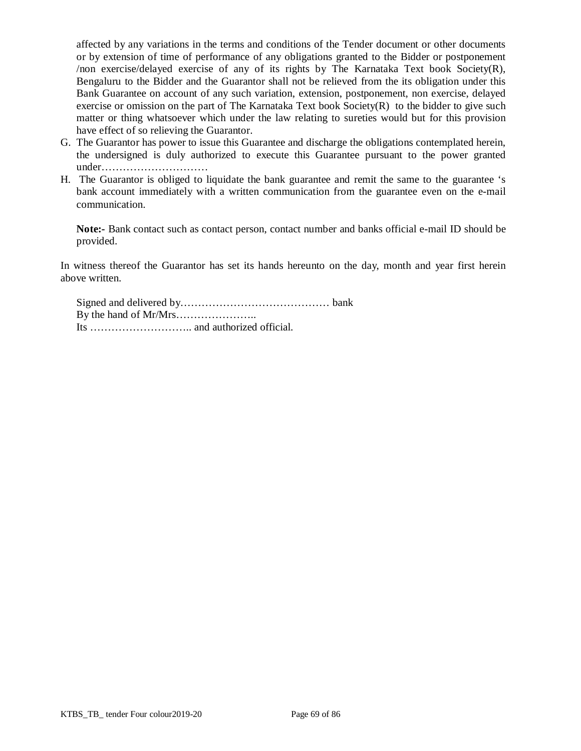affected by any variations in the terms and conditions of the Tender document or other documents or by extension of time of performance of any obligations granted to the Bidder or postponement /non exercise/delayed exercise of any of its rights by The Karnataka Text book Society(R), Bengaluru to the Bidder and the Guarantor shall not be relieved from the its obligation under this Bank Guarantee on account of any such variation, extension, postponement, non exercise, delayed exercise or omission on the part of The Karnataka Text book Society(R) to the bidder to give such matter or thing whatsoever which under the law relating to sureties would but for this provision have effect of so relieving the Guarantor.

- G. The Guarantor has power to issue this Guarantee and discharge the obligations contemplated herein, the undersigned is duly authorized to execute this Guarantee pursuant to the power granted under…………………………
- H. The Guarantor is obliged to liquidate the bank guarantee and remit the same to the guarantee 's bank account immediately with a written communication from the guarantee even on the e-mail communication.

**Note:-** Bank contact such as contact person, contact number and banks official e-mail ID should be provided.

In witness thereof the Guarantor has set its hands hereunto on the day, month and year first herein above written.

Signed and delivered by…………………………………… bank By the hand of Mr/Mrs………………….. Its ……………………….. and authorized official.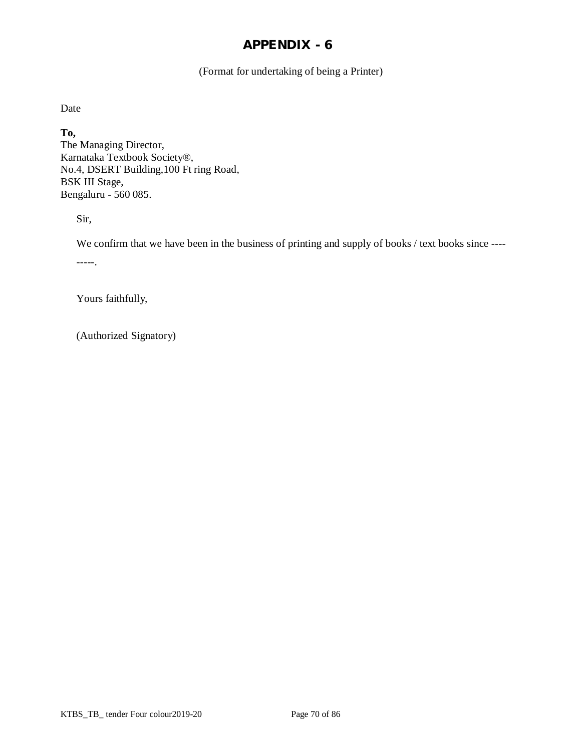(Format for undertaking of being a Printer)

Date

**To,** The Managing Director, Karnataka Textbook Society®, No.4, DSERT Building,100 Ft ring Road, BSK III Stage, Bengaluru - 560 085.

Sir,

We confirm that we have been in the business of printing and supply of books / text books since ----

-----.

Yours faithfully,

(Authorized Signatory)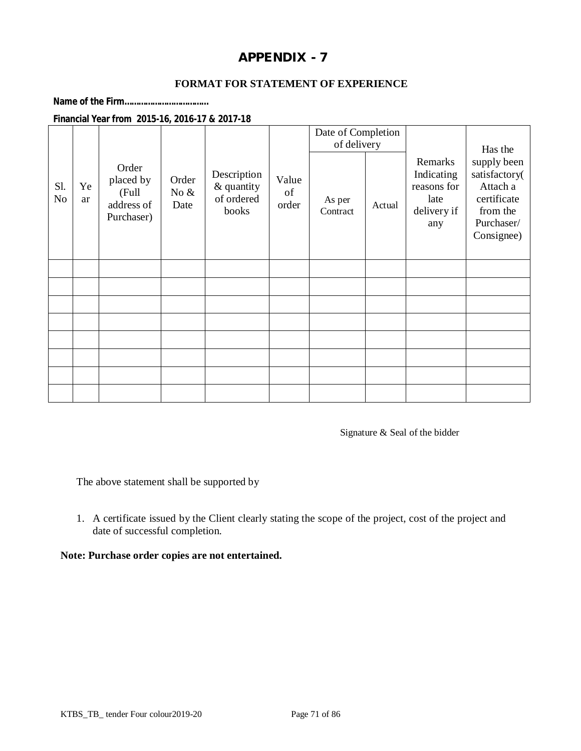## **FORMAT FOR STATEMENT OF EXPERIENCE**

**Name of the Firm………………………………**

#### **Financial Year from 2015-16, 2016-17 & 2017-18**

|                       |          |                                                         |                          |                                                  |                      | Date of Completion<br>of delivery |        |                                                                    | Has the                                                                                         |
|-----------------------|----------|---------------------------------------------------------|--------------------------|--------------------------------------------------|----------------------|-----------------------------------|--------|--------------------------------------------------------------------|-------------------------------------------------------------------------------------------------|
| Sl.<br>N <sub>o</sub> | Ye<br>ar | Order<br>placed by<br>(Full<br>address of<br>Purchaser) | Order<br>No $\&$<br>Date | Description<br>& quantity<br>of ordered<br>books | Value<br>of<br>order | As per<br>Contract                | Actual | Remarks<br>Indicating<br>reasons for<br>late<br>delivery if<br>any | supply been<br>satisfactory(<br>Attach a<br>certificate<br>from the<br>Purchaser/<br>Consignee) |
|                       |          |                                                         |                          |                                                  |                      |                                   |        |                                                                    |                                                                                                 |
|                       |          |                                                         |                          |                                                  |                      |                                   |        |                                                                    |                                                                                                 |
|                       |          |                                                         |                          |                                                  |                      |                                   |        |                                                                    |                                                                                                 |
|                       |          |                                                         |                          |                                                  |                      |                                   |        |                                                                    |                                                                                                 |
|                       |          |                                                         |                          |                                                  |                      |                                   |        |                                                                    |                                                                                                 |
|                       |          |                                                         |                          |                                                  |                      |                                   |        |                                                                    |                                                                                                 |
|                       |          |                                                         |                          |                                                  |                      |                                   |        |                                                                    |                                                                                                 |
|                       |          |                                                         |                          |                                                  |                      |                                   |        |                                                                    |                                                                                                 |

Signature & Seal of the bidder

The above statement shall be supported by

1. A certificate issued by the Client clearly stating the scope of the project, cost of the project and date of successful completion.

#### **Note: Purchase order copies are not entertained.**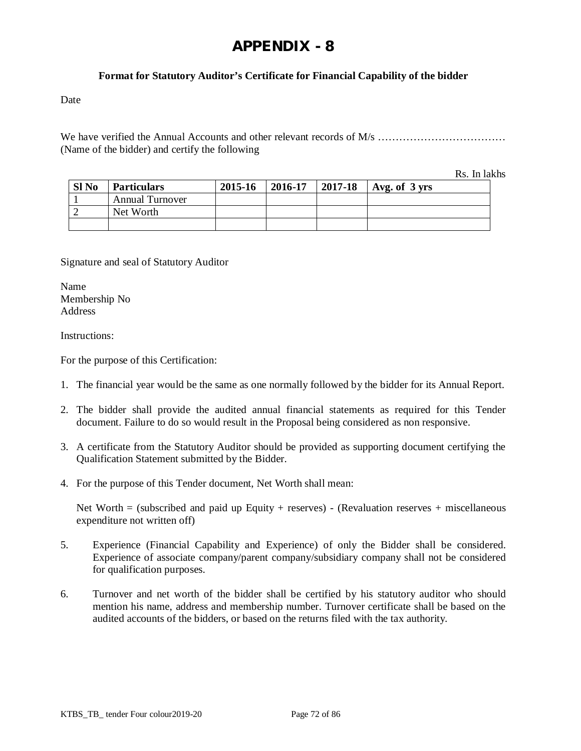# **Format for Statutory Auditor's Certificate for Financial Capability of the bidder**

Date

We have verified the Annual Accounts and other relevant records of M/s ……………………………… (Name of the bidder) and certify the following

Rs. In lakhs

| Sl <sub>No</sub> | <b>Particulars</b>     | 2015-16 | 2016-17 | 2017-18 | $\vert$ Avg. of 3 yrs |
|------------------|------------------------|---------|---------|---------|-----------------------|
|                  | <b>Annual Turnover</b> |         |         |         |                       |
|                  | Net Worth              |         |         |         |                       |
|                  |                        |         |         |         |                       |

Signature and seal of Statutory Auditor

Name Membership No Address

Instructions:

For the purpose of this Certification:

- 1. The financial year would be the same as one normally followed by the bidder for its Annual Report.
- 2. The bidder shall provide the audited annual financial statements as required for this Tender document. Failure to do so would result in the Proposal being considered as non responsive.
- 3. A certificate from the Statutory Auditor should be provided as supporting document certifying the Qualification Statement submitted by the Bidder.
- 4. For the purpose of this Tender document, Net Worth shall mean:

Net Worth  $=$  (subscribed and paid up Equity + reserves) - (Revaluation reserves + miscellaneous expenditure not written off)

- 5. Experience (Financial Capability and Experience) of only the Bidder shall be considered. Experience of associate company/parent company/subsidiary company shall not be considered for qualification purposes.
- 6. Turnover and net worth of the bidder shall be certified by his statutory auditor who should mention his name, address and membership number. Turnover certificate shall be based on the audited accounts of the bidders, or based on the returns filed with the tax authority.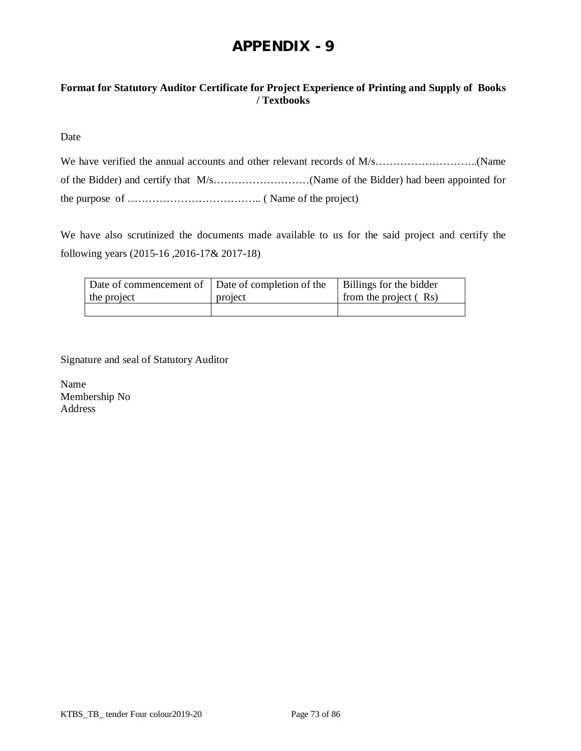# **Format for Statutory Auditor Certificate for Project Experience of Printing and Supply of Books / Textbooks**

Date

We have also scrutinized the documents made available to us for the said project and certify the following years (2015-16 ,2016-17& 2017-18)

| Date of commencement of Date of completion of the<br>the project | project | Billings for the bidder<br>from the project (Rs) |
|------------------------------------------------------------------|---------|--------------------------------------------------|
|                                                                  |         |                                                  |

Signature and seal of Statutory Auditor

Name Membership No Address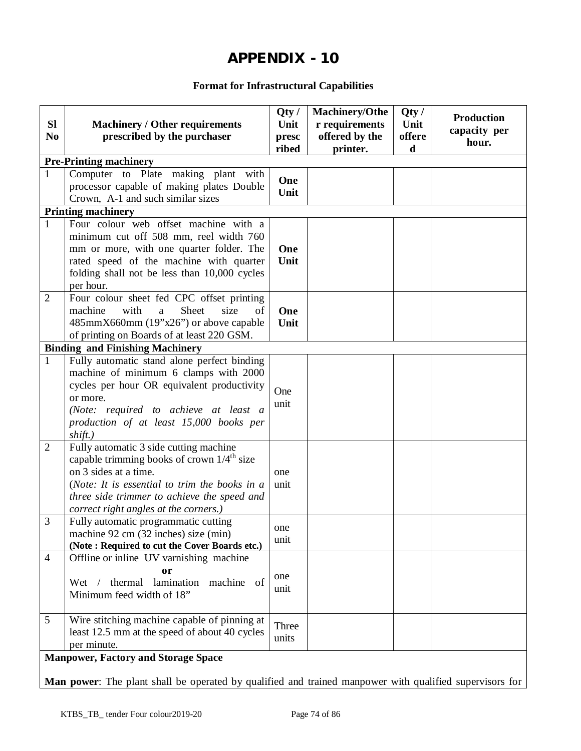# **Format for Infrastructural Capabilities**

| <b>SI</b><br>N <sub>0</sub> | <b>Machinery / Other requirements</b><br>prescribed by the purchaser                                                                                                                                                                                               | Qty/<br>Unit<br>presc<br>ribed | <b>Machinery/Othe</b><br>r requirements<br>offered by the<br>printer. | Qty/<br>Unit<br>offere<br>d | <b>Production</b><br>capacity per<br>hour. |
|-----------------------------|--------------------------------------------------------------------------------------------------------------------------------------------------------------------------------------------------------------------------------------------------------------------|--------------------------------|-----------------------------------------------------------------------|-----------------------------|--------------------------------------------|
|                             | <b>Pre-Printing machinery</b>                                                                                                                                                                                                                                      |                                |                                                                       |                             |                                            |
| 1                           | Computer to Plate making plant with<br>processor capable of making plates Double<br>Crown, A-1 and such similar sizes                                                                                                                                              | One<br>Unit                    |                                                                       |                             |                                            |
|                             | <b>Printing machinery</b>                                                                                                                                                                                                                                          |                                |                                                                       |                             |                                            |
| $\mathbf{1}$                | Four colour web offset machine with a<br>minimum cut off 508 mm, reel width 760<br>mm or more, with one quarter folder. The<br>rated speed of the machine with quarter<br>folding shall not be less than 10,000 cycles<br>per hour.                                | One<br>Unit                    |                                                                       |                             |                                            |
| $\overline{2}$              | Four colour sheet fed CPC offset printing<br>machine<br>Sheet<br>with<br>size<br>of<br>a<br>485mmX660mm (19"x26") or above capable<br>of printing on Boards of at least 220 GSM.                                                                                   | One<br>Unit                    |                                                                       |                             |                                            |
|                             | <b>Binding and Finishing Machinery</b>                                                                                                                                                                                                                             |                                |                                                                       |                             |                                            |
| $\mathbf{1}$                | Fully automatic stand alone perfect binding<br>machine of minimum 6 clamps with 2000<br>cycles per hour OR equivalent productivity<br>or more.<br>(Note: required to achieve at least a<br>production of at least 15,000 books per<br>shift.)                      | One<br>unit                    |                                                                       |                             |                                            |
| $\overline{2}$              | Fully automatic 3 side cutting machine<br>capable trimming books of crown $1/4^{\text{th}}$ size<br>on 3 sides at a time.<br>(Note: It is essential to trim the books in a<br>three side trimmer to achieve the speed and<br>correct right angles at the corners.) | one<br>unit                    |                                                                       |                             |                                            |
| 3                           | Fully automatic programmatic cutting<br>machine 92 cm (32 inches) size (min)<br>(Note: Required to cut the Cover Boards etc.)                                                                                                                                      | one<br>unit                    |                                                                       |                             |                                            |
| $\overline{4}$              | Offline or inline UV varnishing machine<br><b>or</b><br>lamination machine of<br>thermal<br>Wet /<br>Minimum feed width of 18"                                                                                                                                     | one<br>unit                    |                                                                       |                             |                                            |
| 5                           | Wire stitching machine capable of pinning at<br>least 12.5 mm at the speed of about 40 cycles<br>per minute.<br><b>Manpower, Factory and Storage Space</b>                                                                                                         | Three<br>units                 |                                                                       |                             |                                            |
|                             |                                                                                                                                                                                                                                                                    |                                |                                                                       |                             |                                            |

**Man power**: The plant shall be operated by qualified and trained manpower with qualified supervisors for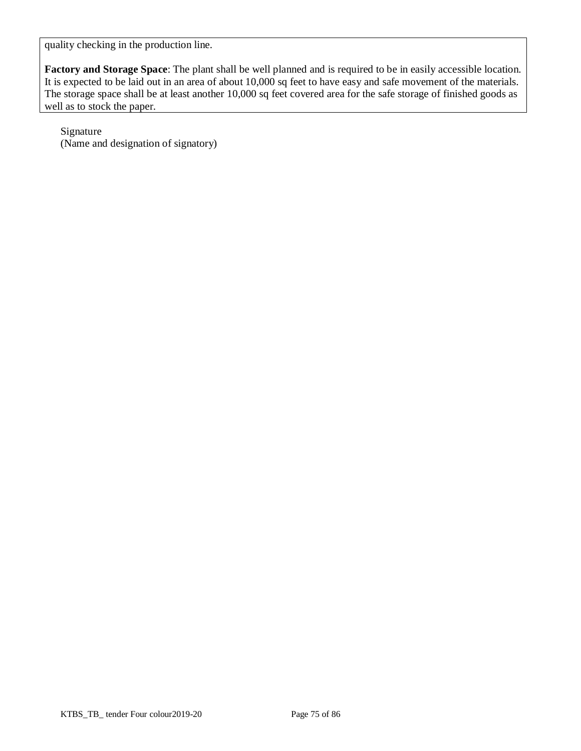quality checking in the production line.

**Factory and Storage Space**: The plant shall be well planned and is required to be in easily accessible location. It is expected to be laid out in an area of about 10,000 sq feet to have easy and safe movement of the materials. The storage space shall be at least another 10,000 sq feet covered area for the safe storage of finished goods as well as to stock the paper.

Signature (Name and designation of signatory)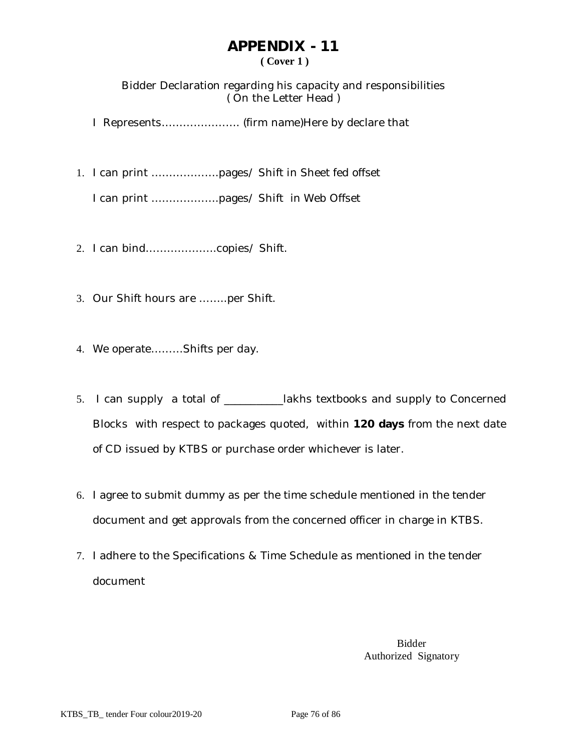# **APPENDIX - 11 ( Cover 1 )**

Bidder Declaration regarding his capacity and responsibilities ( On the Letter Head )

I Represents…………………. (firm name)Here by declare that

1. I can print ……………….pages/ Shift in Sheet fed offset

I can print ……………….pages/ Shift in Web Offset

- 2. I can bind………………..copies/ Shift.
- 3. Our Shift hours are ……..per Shift.
- 4. We operate………Shifts per day.
- 5. I can supply a total of \_\_\_\_\_\_\_\_\_\_\_lakhs textbooks and supply to Concerned Blocks with respect to packages quoted, within **120 days** from the next date of CD issued by KTBS or purchase order whichever is later.
- 6. I agree to submit dummy as per the time schedule mentioned in the tender document and get approvals from the concerned officer in charge in KTBS.
- 7. I adhere to the Specifications & Time Schedule as mentioned in the tender document

Bidder Authorized Signatory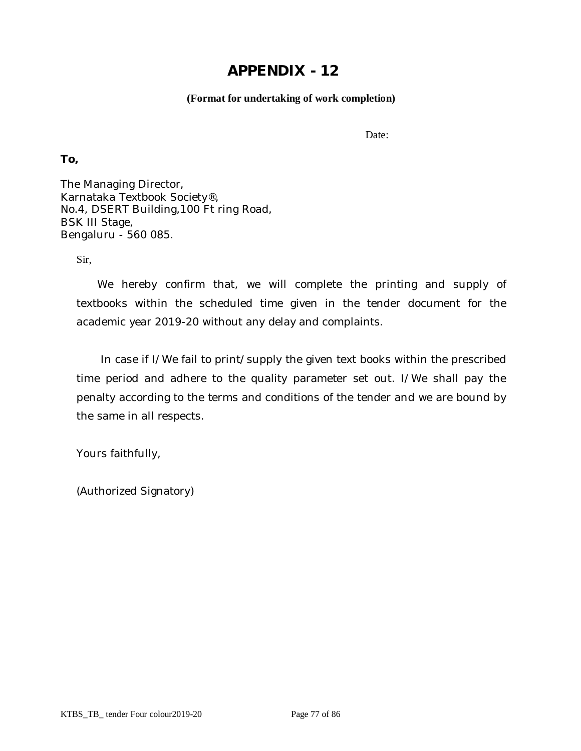## **(Format for undertaking of work completion)**

Date:

**To,**

The Managing Director, Karnataka Textbook Society®, No.4, DSERT Building,100 Ft ring Road, BSK III Stage, Bengaluru - 560 085.

Sir,

 We hereby confirm that, we will complete the printing and supply of textbooks within the scheduled time given in the tender document for the academic year 2019-20 without any delay and complaints.

 In case if I/We fail to print/supply the given text books within the prescribed time period and adhere to the quality parameter set out. I/We shall pay the penalty according to the terms and conditions of the tender and we are bound by the same in all respects.

Yours faithfully,

(Authorized Signatory)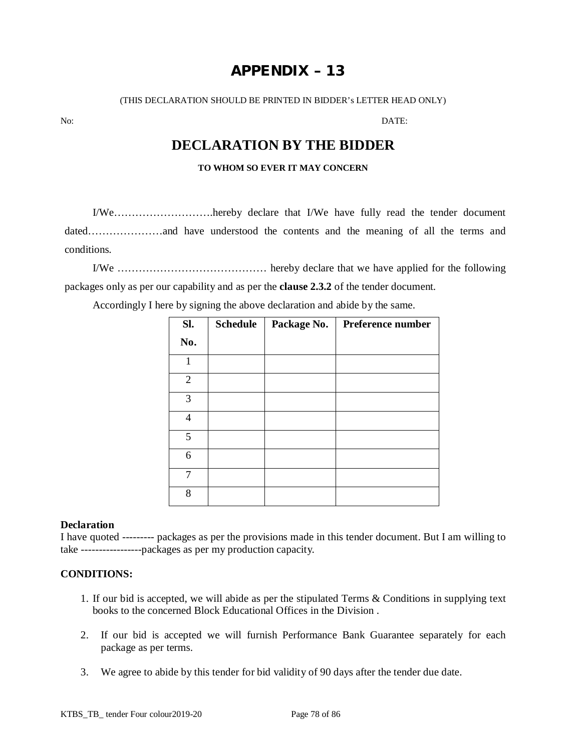# **APPENDIX – 13**

(THIS DECLARATION SHOULD BE PRINTED IN BIDDER's LETTER HEAD ONLY)

No: DATE:

# **DECLARATION BY THE BIDDER**

#### **TO WHOM SO EVER IT MAY CONCERN**

I/We……………………….hereby declare that I/We have fully read the tender document dated…………………and have understood the contents and the meaning of all the terms and conditions.

I/We …………………………………… hereby declare that we have applied for the following packages only as per our capability and as per the **clause 2.3.2** of the tender document.

Accordingly I here by signing the above declaration and abide by the same.

| SI.            | <b>Schedule</b> | Package No. | Preference number |
|----------------|-----------------|-------------|-------------------|
| No.            |                 |             |                   |
| 1              |                 |             |                   |
| $\overline{2}$ |                 |             |                   |
| 3              |                 |             |                   |
| 4              |                 |             |                   |
| 5              |                 |             |                   |
| 6              |                 |             |                   |
| 7              |                 |             |                   |
| 8              |                 |             |                   |

### **Declaration**

I have quoted --------- packages as per the provisions made in this tender document. But I am willing to take -----------------packages as per my production capacity.

### **CONDITIONS:**

- 1. If our bid is accepted, we will abide as per the stipulated Terms & Conditions in supplying text books to the concerned Block Educational Offices in the Division .
- 2. If our bid is accepted we will furnish Performance Bank Guarantee separately for each package as per terms.
- 3. We agree to abide by this tender for bid validity of 90 days after the tender due date.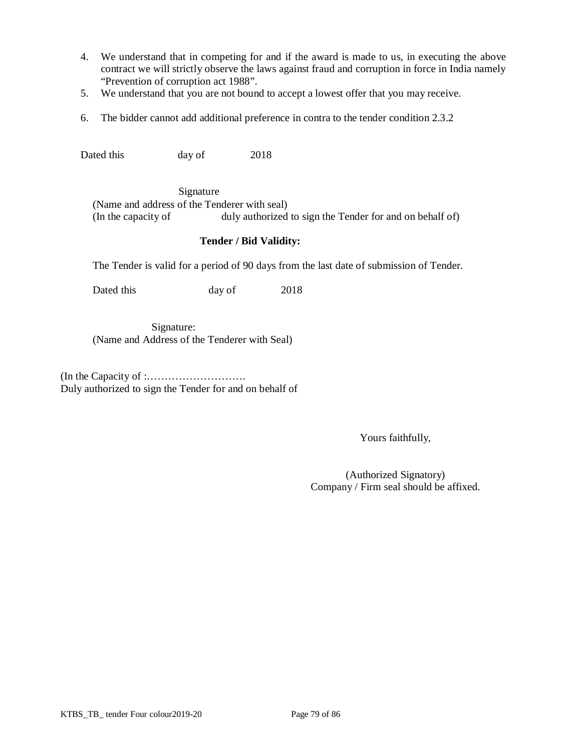- 4. We understand that in competing for and if the award is made to us, in executing the above contract we will strictly observe the laws against fraud and corruption in force in India namely "Prevention of corruption act 1988".
- 5. We understand that you are not bound to accept a lowest offer that you may receive.
- 6. The bidder cannot add additional preference in contra to the tender condition 2.3.2

Dated this day of 2018

 Signature (Name and address of the Tenderer with seal) (In the capacity of duly authorized to sign the Tender for and on behalf of)

#### **Tender / Bid Validity:**

The Tender is valid for a period of 90 days from the last date of submission of Tender.

Dated this day of 2018

 Signature: (Name and Address of the Tenderer with Seal)

(In the Capacity of :………………………. Duly authorized to sign the Tender for and on behalf of

Yours faithfully,

(Authorized Signatory) Company / Firm seal should be affixed.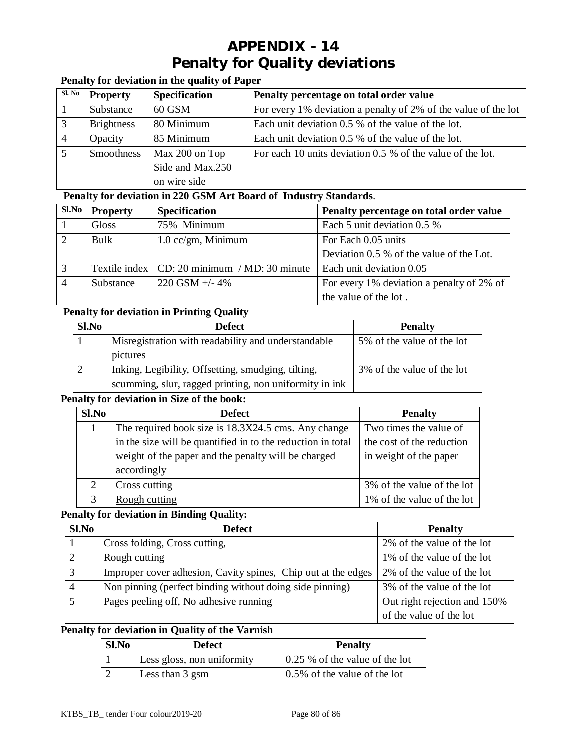# **APPENDIX - 14 Penalty for Quality deviations**

# **Penalty for deviation in the quality of Paper**

| Sl. No       | <b>Property</b>   | <b>Specification</b> | Penalty percentage on total order value                        |
|--------------|-------------------|----------------------|----------------------------------------------------------------|
|              | Substance         | 60 GSM               | For every 1% deviation a penalty of 2% of the value of the lot |
| $\mathbf{c}$ | <b>Brightness</b> | 80 Minimum           | Each unit deviation 0.5 % of the value of the lot.             |
|              | Opacity           | 85 Minimum           | Each unit deviation 0.5 % of the value of the lot.             |
|              | Smoothness        | Max 200 on Top       | For each 10 units deviation 0.5 % of the value of the lot.     |
|              |                   | Side and Max.250     |                                                                |
|              |                   | on wire side         |                                                                |

## **Penalty for deviation in 220 GSM Art Board of Industry Standards**.

| Sl.No | <b>Property</b> | <b>Specification</b>                           | Penalty percentage on total order value   |
|-------|-----------------|------------------------------------------------|-------------------------------------------|
|       | Gloss           | 75% Minimum                                    | Each 5 unit deviation 0.5 %               |
|       | Bulk            | $1.0$ cc/gm, Minimum                           | For Each 0.05 units                       |
|       |                 |                                                | Deviation 0.5 % of the value of the Lot.  |
|       |                 | Textile index   CD: 20 minimum / MD: 30 minute | Each unit deviation 0.05                  |
|       | Substance       | $220$ GSM $+/- 4\%$                            | For every 1% deviation a penalty of 2% of |
|       |                 |                                                | the value of the lot.                     |

# **Penalty for deviation in Printing Quality**

| Sl.No | <b>Defect</b>                                          | <b>Penalty</b>             |
|-------|--------------------------------------------------------|----------------------------|
|       | Misregistration with readability and understandable    | 5% of the value of the lot |
|       | pictures                                               |                            |
|       | Inking, Legibility, Offsetting, smudging, tilting,     | 3% of the value of the lot |
|       | scumming, slur, ragged printing, non uniformity in ink |                            |

### **Penalty for deviation in Size of the book:**

| S1.No                       | <b>Defect</b>                                               | <b>Penalty</b>             |
|-----------------------------|-------------------------------------------------------------|----------------------------|
|                             | The required book size is 18.3X24.5 cms. Any change         | Two times the value of     |
|                             | in the size will be quantified in to the reduction in total | the cost of the reduction  |
|                             | weight of the paper and the penalty will be charged         | in weight of the paper     |
|                             | accordingly                                                 |                            |
| $\mathcal{D}_{\mathcal{L}}$ | Cross cutting                                               | 3% of the value of the lot |
|                             | Rough cutting                                               | 1% of the value of the lot |

## **Penalty for deviation in Binding Quality:**

| Sl.No          | <b>Defect</b>                                                 | <b>Penalty</b>               |
|----------------|---------------------------------------------------------------|------------------------------|
|                | Cross folding, Cross cutting,                                 | 2% of the value of the lot   |
| ↑              | Rough cutting                                                 | 1% of the value of the lot   |
| $\mathbf{c}$   | Improper cover adhesion, Cavity spines, Chip out at the edges | 2% of the value of the lot   |
| $\overline{4}$ | Non pinning (perfect binding without doing side pinning)      | 3% of the value of the lot   |
|                | Pages peeling off, No adhesive running                        | Out right rejection and 150% |
|                |                                                               | of the value of the lot      |

### **Penalty for deviation in Quality of the Varnish**

| Sl.No | <b>Defect</b>              | <b>Penalty</b>                 |
|-------|----------------------------|--------------------------------|
|       | Less gloss, non uniformity | 0.25 % of the value of the lot |
|       | Less than 3 gsm            | 0.5% of the value of the lot   |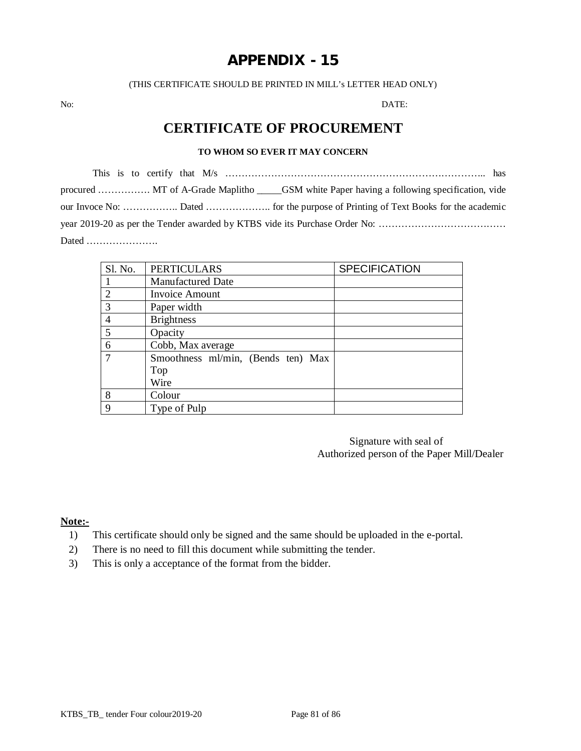(THIS CERTIFICATE SHOULD BE PRINTED IN MILL's LETTER HEAD ONLY)

No: DATE:

# **CERTIFICATE OF PROCUREMENT**

## **TO WHOM SO EVER IT MAY CONCERN**

This is to certify that M/s …………………………………………………………………….. has procured ……………. MT of A-Grade Maplitho \_\_\_\_\_GSM white Paper having a following specification, vide our Invoce No: …………….. Dated ……………….. for the purpose of Printing of Text Books for the academic year 2019-20 as per the Tender awarded by KTBS vide its Purchase Order No: ………………………………… Dated ………………….

| Sl. No.       | <b>PERTICULARS</b>                 | <b>SPECIFICATION</b> |
|---------------|------------------------------------|----------------------|
|               | <b>Manufactured Date</b>           |                      |
| 2             | <b>Invoice Amount</b>              |                      |
| $\mathcal{R}$ | Paper width                        |                      |
| 4             | <b>Brightness</b>                  |                      |
| 5             | Opacity                            |                      |
| 6             | Cobb, Max average                  |                      |
| 7             | Smoothness ml/min, (Bends ten) Max |                      |
|               | Top                                |                      |
|               | Wire                               |                      |
| 8             | Colour                             |                      |
| 9             | Type of Pulp                       |                      |

Signature with seal of Authorized person of the Paper Mill/Dealer

**Note:-**

- 1) This certificate should only be signed and the same should be uploaded in the e-portal.
- 2) There is no need to fill this document while submitting the tender.
- 3) This is only a acceptance of the format from the bidder.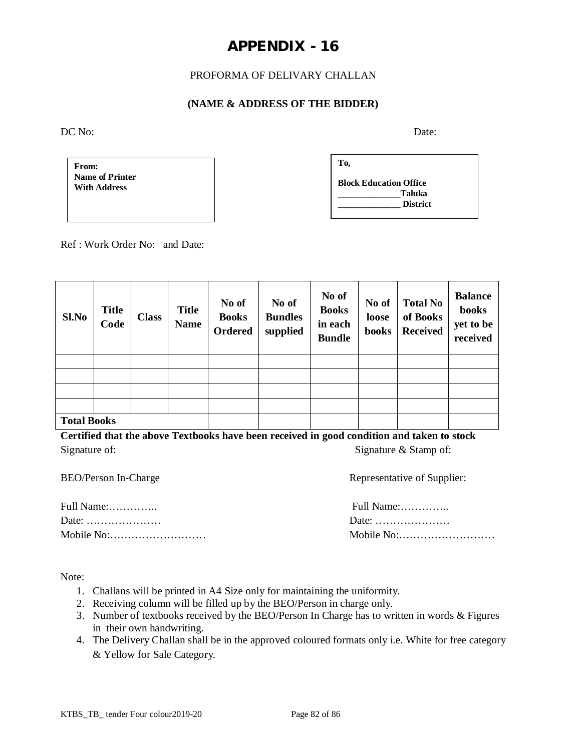# PROFORMA OF DELIVARY CHALLAN

## **(NAME & ADDRESS OF THE BIDDER)**

DC No: Date:

**From: Name of Printer With Address**

| To,                           |  |
|-------------------------------|--|
| <b>Block Education Office</b> |  |
| Taluka<br><b>District</b>     |  |
|                               |  |

Ref : Work Order No: and Date:

| Sl.No              | <b>Title</b><br>Code | <b>Class</b> | <b>Title</b><br><b>Name</b> | No of<br><b>Books</b><br><b>Ordered</b> | No of<br><b>Bundles</b><br>supplied | No of<br><b>Books</b><br>in each<br><b>Bundle</b> | No of<br>loose<br>books | <b>Total No</b><br>of Books<br><b>Received</b> | <b>Balance</b><br>books<br>yet to be<br>received |
|--------------------|----------------------|--------------|-----------------------------|-----------------------------------------|-------------------------------------|---------------------------------------------------|-------------------------|------------------------------------------------|--------------------------------------------------|
|                    |                      |              |                             |                                         |                                     |                                                   |                         |                                                |                                                  |
|                    |                      |              |                             |                                         |                                     |                                                   |                         |                                                |                                                  |
|                    |                      |              |                             |                                         |                                     |                                                   |                         |                                                |                                                  |
|                    |                      |              |                             |                                         |                                     |                                                   |                         |                                                |                                                  |
| <b>Total Books</b> |                      |              |                             |                                         |                                     |                                                   |                         |                                                |                                                  |

**Certified that the above Textbooks have been received in good condition and taken to stock** Signature of: Signature  $\&$  Stamp of:

| Representative of Supplier: |
|-----------------------------|
| Full Name:                  |
| Date:                       |
|                             |
|                             |

Note:

- 1. Challans will be printed in A4 Size only for maintaining the uniformity.
- 2. Receiving column will be filled up by the BEO/Person in charge only.
- 3. Number of textbooks received by the BEO/Person In Charge has to written in words & Figures in their own handwriting.
- 4. The Delivery Challan shall be in the approved coloured formats only i.e. White for free category & Yellow for Sale Category.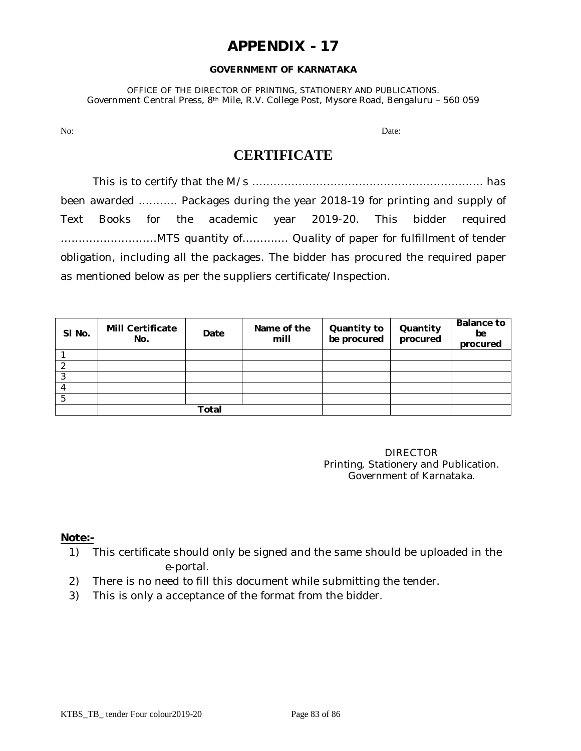#### **GOVERNMENT OF KARNATAKA**

OFFICE OF THE DIRECTOR OF PRINTING, STATIONERY AND PUBLICATIONS. Government Central Press, 8th Mile, R.V. College Post, Mysore Road, Bengaluru – 560 059

No: Date: Department of the contract of the contract of the contract of the contract of the contract of the contract of the contract of the contract of the contract of the contract of the contract of the contract of the co

# **CERTIFICATE**

This is to certify that the M/s ……………………………………………………….. has been awarded ……….. Packages during the year 2018-19 for printing and supply of Text Books for the academic year 2019-20. This bidder required ………………………MTS quantity of…………. Quality of paper for fulfillment of tender obligation, including all the packages. The bidder has procured the required paper as mentioned below as per the suppliers certificate/Inspection.

| SI No. | <b>Mill Certificate</b><br>No. | Date  | Name of the<br>mill | Quantity to<br>be procured | Quantity<br>procured | <b>Balance to</b><br>be<br>procured |
|--------|--------------------------------|-------|---------------------|----------------------------|----------------------|-------------------------------------|
|        |                                |       |                     |                            |                      |                                     |
|        |                                |       |                     |                            |                      |                                     |
| っ      |                                |       |                     |                            |                      |                                     |
|        |                                |       |                     |                            |                      |                                     |
|        |                                |       |                     |                            |                      |                                     |
|        |                                | Total |                     |                            |                      |                                     |

DIRECTOR Printing, Stationery and Publication. Government of Karnataka.

## **Note:-**

- 1) This certificate should only be signed and the same should be uploaded in the e-portal.
- 2) There is no need to fill this document while submitting the tender.
- 3) This is only a acceptance of the format from the bidder.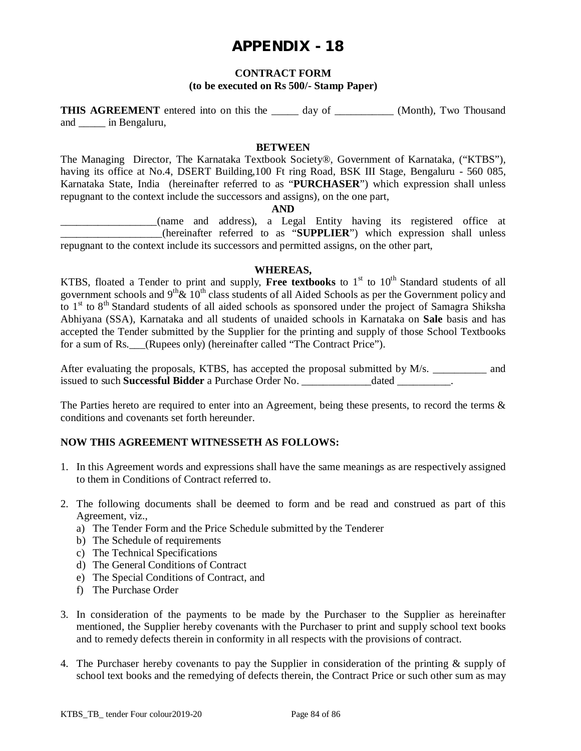### **CONTRACT FORM**

### **(to be executed on Rs 500/- Stamp Paper)**

**THIS AGREEMENT** entered into on this the day of (Month), Two Thousand and \_\_\_\_\_ in Bengaluru,

### **BETWEEN**

The Managing Director, The Karnataka Textbook Society®, Government of Karnataka, ("KTBS"), having its office at No.4, DSERT Building,100 Ft ring Road, BSK III Stage, Bengaluru - 560 085, Karnataka State, India (hereinafter referred to as "**PURCHASER**") which expression shall unless repugnant to the context include the successors and assigns), on the one part,

#### **AND**

\_\_\_\_\_\_\_\_\_\_\_\_\_\_\_\_\_\_(name and address), a Legal Entity having its registered office at \_\_\_\_\_\_\_\_\_\_\_\_\_\_\_\_\_\_\_(hereinafter referred to as "**SUPPLIER**") which expression shall unless repugnant to the context include its successors and permitted assigns, on the other part,

#### **WHEREAS,**

KTBS, floated a Tender to print and supply, Free textbooks to 1<sup>st</sup> to 10<sup>th</sup> Standard students of all government schools and  $9<sup>th</sup> \& 10<sup>th</sup>$  class students of all Aided Schools as per the Government policy and to 1<sup>st</sup> to 8<sup>th</sup> Standard students of all aided schools as sponsored under the project of Samagra Shiksha Abhiyana (SSA), Karnataka and all students of unaided schools in Karnataka on **Sale** basis and has accepted the Tender submitted by the Supplier for the printing and supply of those School Textbooks for a sum of Rs. (Rupees only) (hereinafter called "The Contract Price").

After evaluating the proposals, KTBS, has accepted the proposal submitted by M/s. \_\_\_\_\_\_\_\_\_\_ and issued to such **Successful Bidder** a Purchase Order No. \_\_\_\_\_\_\_\_\_\_\_\_\_dated \_\_\_\_\_\_\_\_\_\_.

The Parties hereto are required to enter into an Agreement, being these presents, to record the terms & conditions and covenants set forth hereunder.

### **NOW THIS AGREEMENT WITNESSETH AS FOLLOWS:**

- 1. In this Agreement words and expressions shall have the same meanings as are respectively assigned to them in Conditions of Contract referred to.
- 2. The following documents shall be deemed to form and be read and construed as part of this Agreement, viz.,
	- a) The Tender Form and the Price Schedule submitted by the Tenderer
	- b) The Schedule of requirements
	- c) The Technical Specifications
	- d) The General Conditions of Contract
	- e) The Special Conditions of Contract, and
	- f) The Purchase Order
- 3. In consideration of the payments to be made by the Purchaser to the Supplier as hereinafter mentioned, the Supplier hereby covenants with the Purchaser to print and supply school text books and to remedy defects therein in conformity in all respects with the provisions of contract.
- 4. The Purchaser hereby covenants to pay the Supplier in consideration of the printing & supply of school text books and the remedying of defects therein, the Contract Price or such other sum as may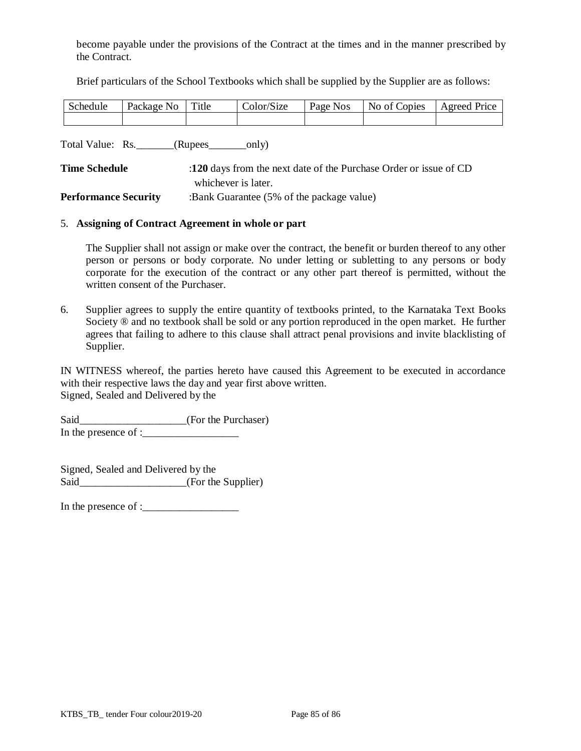become payable under the provisions of the Contract at the times and in the manner prescribed by the Contract.

Brief particulars of the School Textbooks which shall be supplied by the Supplier are as follows:

| Schedule | Package No | Title | Color/Size | Page Nos | No of Copies | <b>Agreed Price</b> |
|----------|------------|-------|------------|----------|--------------|---------------------|
|          |            |       |            |          |              |                     |

Total Value: Rs. \_\_\_\_\_\_\_(Rupees\_\_\_\_\_\_\_only)

| <b>Time Schedule</b>        | :120 days from the next date of the Purchase Order or issue of CD |  |  |  |  |
|-----------------------------|-------------------------------------------------------------------|--|--|--|--|
|                             | whichever is later.                                               |  |  |  |  |
| <b>Performance Security</b> | :Bank Guarantee (5% of the package value)                         |  |  |  |  |

#### 5. **Assigning of Contract Agreement in whole or part**

The Supplier shall not assign or make over the contract, the benefit or burden thereof to any other person or persons or body corporate. No under letting or subletting to any persons or body corporate for the execution of the contract or any other part thereof is permitted, without the written consent of the Purchaser.

6. Supplier agrees to supply the entire quantity of textbooks printed, to the Karnataka Text Books Society  $\otimes$  and no textbook shall be sold or any portion reproduced in the open market. He further agrees that failing to adhere to this clause shall attract penal provisions and invite blacklisting of Supplier.

IN WITNESS whereof, the parties hereto have caused this Agreement to be executed in accordance with their respective laws the day and year first above written. Signed, Sealed and Delivered by the

Said\_\_\_\_\_\_\_\_\_\_\_\_\_\_\_\_\_\_\_(For the Purchaser) In the presence of : $\frac{1}{2}$ 

Signed, Sealed and Delivered by the Said (For the Supplier)

In the presence of :\_\_\_\_\_\_\_\_\_\_\_\_\_\_\_\_\_\_